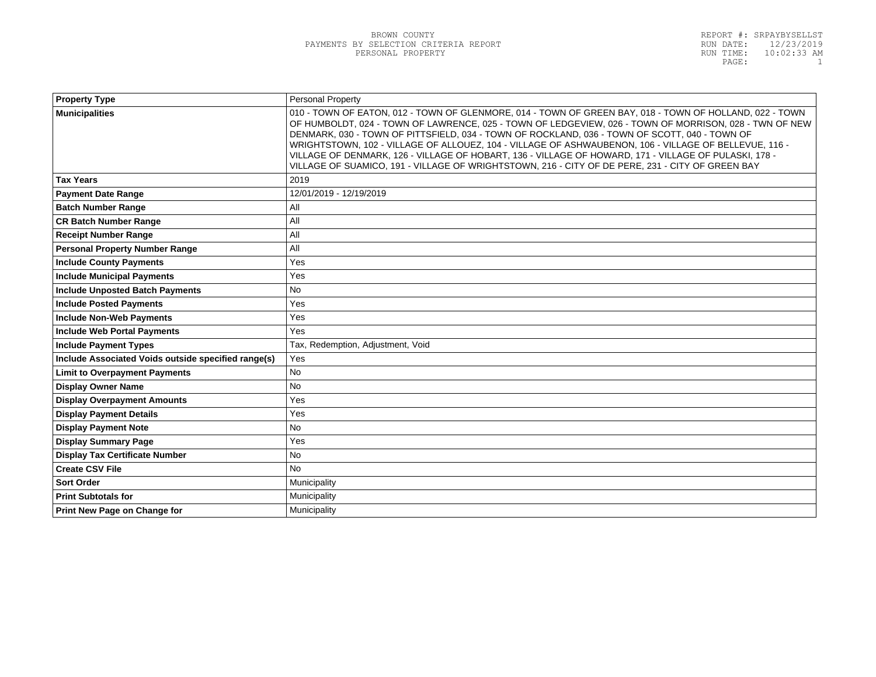| Personal Property                                                                                                                                                                                                                                                                                                                                                                                                                                                                                                                                                                                                                        |  |
|------------------------------------------------------------------------------------------------------------------------------------------------------------------------------------------------------------------------------------------------------------------------------------------------------------------------------------------------------------------------------------------------------------------------------------------------------------------------------------------------------------------------------------------------------------------------------------------------------------------------------------------|--|
| 010 - TOWN OF EATON, 012 - TOWN OF GLENMORE, 014 - TOWN OF GREEN BAY, 018 - TOWN OF HOLLAND, 022 - TOWN<br>OF HUMBOLDT, 024 - TOWN OF LAWRENCE, 025 - TOWN OF LEDGEVIEW, 026 - TOWN OF MORRISON, 028 - TWN OF NEW<br>DENMARK, 030 - TOWN OF PITTSFIELD, 034 - TOWN OF ROCKLAND, 036 - TOWN OF SCOTT, 040 - TOWN OF<br>WRIGHTSTOWN, 102 - VILLAGE OF ALLOUEZ, 104 - VILLAGE OF ASHWAUBENON, 106 - VILLAGE OF BELLEVUE, 116 -<br>VILLAGE OF DENMARK, 126 - VILLAGE OF HOBART, 136 - VILLAGE OF HOWARD, 171 - VILLAGE OF PULASKI, 178 -<br>VILLAGE OF SUAMICO, 191 - VILLAGE OF WRIGHTSTOWN, 216 - CITY OF DE PERE, 231 - CITY OF GREEN BAY |  |
| 2019                                                                                                                                                                                                                                                                                                                                                                                                                                                                                                                                                                                                                                     |  |
| 12/01/2019 - 12/19/2019                                                                                                                                                                                                                                                                                                                                                                                                                                                                                                                                                                                                                  |  |
| All                                                                                                                                                                                                                                                                                                                                                                                                                                                                                                                                                                                                                                      |  |
| All                                                                                                                                                                                                                                                                                                                                                                                                                                                                                                                                                                                                                                      |  |
| All                                                                                                                                                                                                                                                                                                                                                                                                                                                                                                                                                                                                                                      |  |
| All                                                                                                                                                                                                                                                                                                                                                                                                                                                                                                                                                                                                                                      |  |
| Yes                                                                                                                                                                                                                                                                                                                                                                                                                                                                                                                                                                                                                                      |  |
| Yes                                                                                                                                                                                                                                                                                                                                                                                                                                                                                                                                                                                                                                      |  |
| No                                                                                                                                                                                                                                                                                                                                                                                                                                                                                                                                                                                                                                       |  |
| Yes                                                                                                                                                                                                                                                                                                                                                                                                                                                                                                                                                                                                                                      |  |
| Yes                                                                                                                                                                                                                                                                                                                                                                                                                                                                                                                                                                                                                                      |  |
| Yes                                                                                                                                                                                                                                                                                                                                                                                                                                                                                                                                                                                                                                      |  |
| Tax, Redemption, Adjustment, Void                                                                                                                                                                                                                                                                                                                                                                                                                                                                                                                                                                                                        |  |
| Yes                                                                                                                                                                                                                                                                                                                                                                                                                                                                                                                                                                                                                                      |  |
| <b>No</b>                                                                                                                                                                                                                                                                                                                                                                                                                                                                                                                                                                                                                                |  |
| <b>No</b>                                                                                                                                                                                                                                                                                                                                                                                                                                                                                                                                                                                                                                |  |
| Yes                                                                                                                                                                                                                                                                                                                                                                                                                                                                                                                                                                                                                                      |  |
| Yes                                                                                                                                                                                                                                                                                                                                                                                                                                                                                                                                                                                                                                      |  |
| <b>No</b>                                                                                                                                                                                                                                                                                                                                                                                                                                                                                                                                                                                                                                |  |
| Yes                                                                                                                                                                                                                                                                                                                                                                                                                                                                                                                                                                                                                                      |  |
| <b>No</b>                                                                                                                                                                                                                                                                                                                                                                                                                                                                                                                                                                                                                                |  |
| <b>No</b>                                                                                                                                                                                                                                                                                                                                                                                                                                                                                                                                                                                                                                |  |
| Municipality                                                                                                                                                                                                                                                                                                                                                                                                                                                                                                                                                                                                                             |  |
| Municipality                                                                                                                                                                                                                                                                                                                                                                                                                                                                                                                                                                                                                             |  |
| Municipality                                                                                                                                                                                                                                                                                                                                                                                                                                                                                                                                                                                                                             |  |
|                                                                                                                                                                                                                                                                                                                                                                                                                                                                                                                                                                                                                                          |  |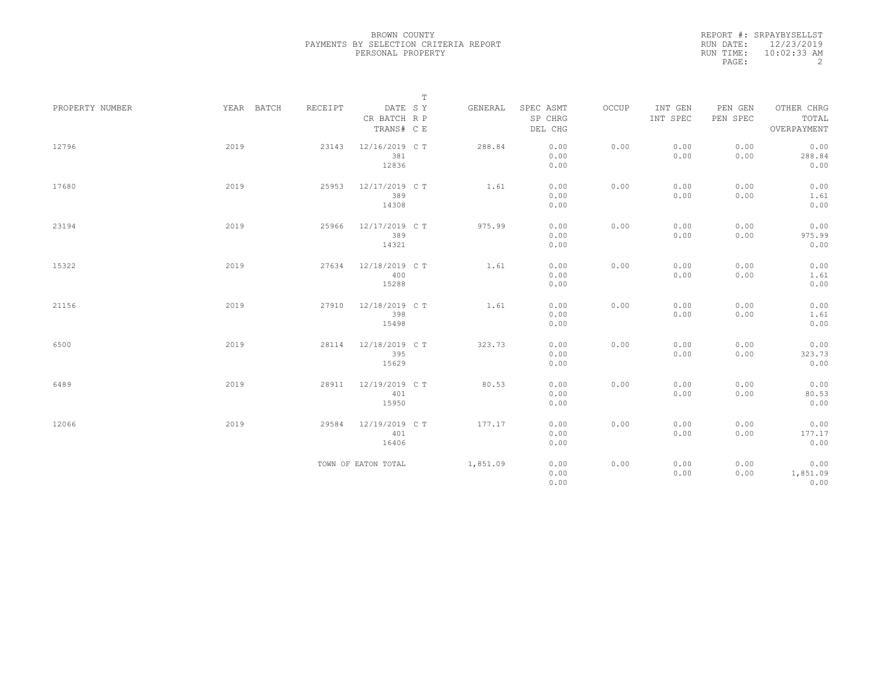|                 |            |         |                                       | $\mathbb T$ |          |                                 |       |                     |                     |                                    |
|-----------------|------------|---------|---------------------------------------|-------------|----------|---------------------------------|-------|---------------------|---------------------|------------------------------------|
| PROPERTY NUMBER | YEAR BATCH | RECEIPT | DATE SY<br>CR BATCH R P<br>TRANS# C E |             | GENERAL  | SPEC ASMT<br>SP CHRG<br>DEL CHG | OCCUP | INT GEN<br>INT SPEC | PEN GEN<br>PEN SPEC | OTHER CHRG<br>TOTAL<br>OVERPAYMENT |
| 12796           | 2019       | 23143   | 12/16/2019 C T<br>381<br>12836        |             | 288.84   | 0.00<br>0.00<br>0.00            | 0.00  | 0.00<br>0.00        | 0.00<br>0.00        | 0.00<br>288.84<br>0.00             |
| 17680           | 2019       | 25953   | 12/17/2019 C T<br>389<br>14308        |             | 1.61     | 0.00<br>0.00<br>0.00            | 0.00  | 0.00<br>0.00        | 0.00<br>0.00        | 0.00<br>1.61<br>0.00               |
| 23194           | 2019       | 25966   | 12/17/2019 C T<br>389<br>14321        |             | 975.99   | 0.00<br>0.00<br>0.00            | 0.00  | 0.00<br>0.00        | 0.00<br>0.00        | 0.00<br>975.99<br>0.00             |
| 15322           | 2019       | 27634   | 12/18/2019 C T<br>400<br>15288        |             | 1.61     | 0.00<br>0.00<br>0.00            | 0.00  | 0.00<br>0.00        | 0.00<br>0.00        | 0.00<br>1.61<br>0.00               |
| 21156           | 2019       | 27910   | 12/18/2019 C T<br>398<br>15498        |             | 1.61     | 0.00<br>0.00<br>0.00            | 0.00  | 0.00<br>0.00        | 0.00<br>0.00        | 0.00<br>1.61<br>0.00               |
| 6500            | 2019       | 28114   | 12/18/2019 C T<br>395<br>15629        |             | 323.73   | 0.00<br>0.00<br>0.00            | 0.00  | 0.00<br>0.00        | 0.00<br>0.00        | 0.00<br>323.73<br>0.00             |
| 6489            | 2019       | 28911   | 12/19/2019 C T<br>401<br>15950        |             | 80.53    | 0.00<br>0.00<br>0.00            | 0.00  | 0.00<br>0.00        | 0.00<br>0.00        | 0.00<br>80.53<br>0.00              |
| 12066           | 2019       | 29584   | 12/19/2019 C T<br>401<br>16406        |             | 177.17   | 0.00<br>0.00<br>0.00            | 0.00  | 0.00<br>0.00        | 0.00<br>0.00        | 0.00<br>177.17<br>0.00             |
|                 |            |         | TOWN OF EATON TOTAL                   |             | 1,851.09 | 0.00<br>0.00<br>0.00            | 0.00  | 0.00<br>0.00        | 0.00<br>0.00        | 0.00<br>1,851.09<br>0.00           |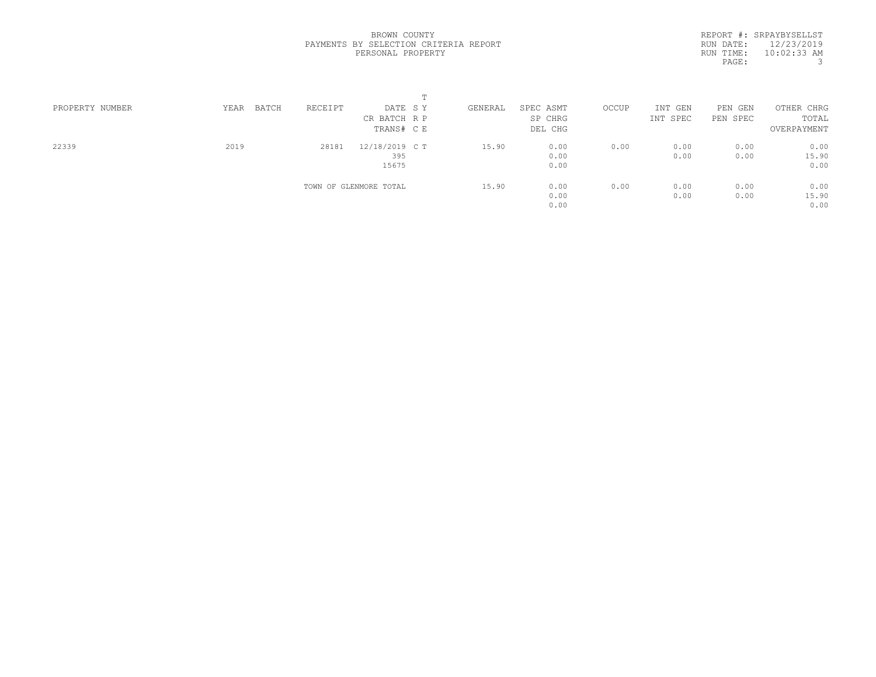| PROPERTY NUMBER | BATCH<br>YEAR | RECEIPT | DATE SY                | GENERAL | SPEC ASMT | OCCUP | INT GEN  | PEN GEN  | OTHER CHRG  |  |
|-----------------|---------------|---------|------------------------|---------|-----------|-------|----------|----------|-------------|--|
|                 |               |         | CR BATCH R P           |         | SP CHRG   |       | INT SPEC | PEN SPEC | TOTAL       |  |
|                 |               |         | TRANS# C E             |         | DEL CHG   |       |          |          | OVERPAYMENT |  |
| 22339           | 2019          | 28181   | 12/18/2019 C T         | 15.90   | 0.00      | 0.00  | 0.00     | 0.00     | 0.00        |  |
|                 |               |         | 395                    |         | 0.00      |       | 0.00     | 0.00     | 15.90       |  |
|                 |               |         | 15675                  |         | 0.00      |       |          |          | 0.00        |  |
|                 |               |         | TOWN OF GLENMORE TOTAL | 15.90   | 0.00      | 0.00  | 0.00     | 0.00     | 0.00        |  |
|                 |               |         |                        |         | 0.00      |       | 0.00     | 0.00     | 15.90       |  |
|                 |               |         |                        |         | 0.00      |       |          |          | 0.00        |  |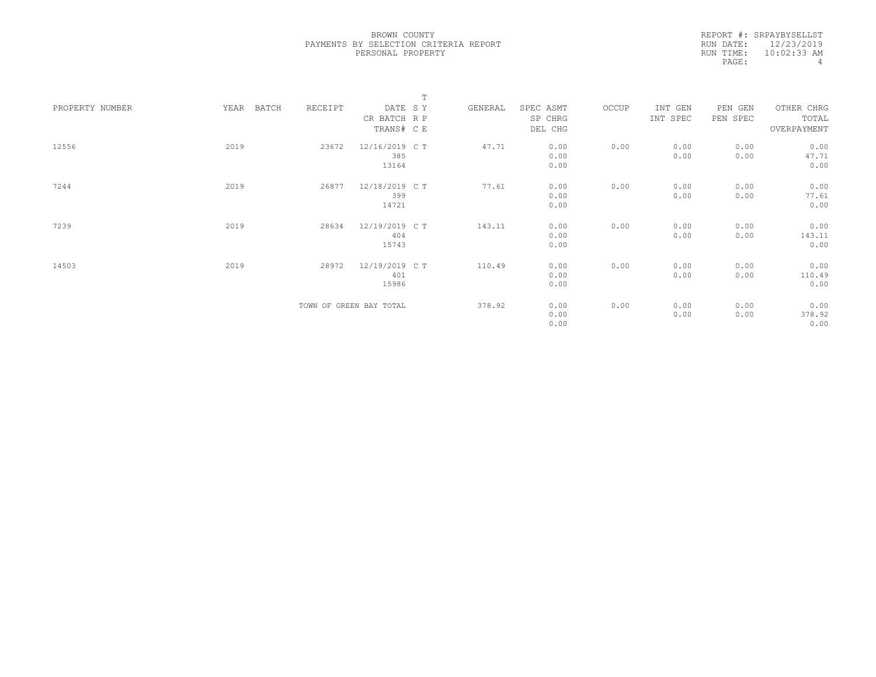|                 |      |       |         |                         | $\mathbb T$ |         |           |       |          |          |             |  |
|-----------------|------|-------|---------|-------------------------|-------------|---------|-----------|-------|----------|----------|-------------|--|
| PROPERTY NUMBER | YEAR | BATCH | RECEIPT | DATE SY                 |             | GENERAL | SPEC ASMT | OCCUP | INT GEN  | PEN GEN  | OTHER CHRG  |  |
|                 |      |       |         | CR BATCH R P            |             |         | SP CHRG   |       | INT SPEC | PEN SPEC | TOTAL       |  |
|                 |      |       |         | TRANS# C E              |             |         | DEL CHG   |       |          |          | OVERPAYMENT |  |
|                 |      |       |         |                         |             |         |           |       |          |          |             |  |
| 12556           | 2019 |       | 23672   | 12/16/2019 C T          |             | 47.71   | 0.00      | 0.00  | 0.00     | 0.00     | 0.00        |  |
|                 |      |       |         | 385                     |             |         | 0.00      |       | 0.00     | 0.00     | 47.71       |  |
|                 |      |       |         | 13164                   |             |         | 0.00      |       |          |          | 0.00        |  |
| 7244            | 2019 |       | 26877   | 12/18/2019 C T          |             | 77.61   | 0.00      | 0.00  | 0.00     | 0.00     | 0.00        |  |
|                 |      |       |         |                         |             |         |           |       |          |          |             |  |
|                 |      |       |         | 399                     |             |         | 0.00      |       | 0.00     | 0.00     | 77.61       |  |
|                 |      |       |         | 14721                   |             |         | 0.00      |       |          |          | 0.00        |  |
| 7239            | 2019 |       | 28634   | 12/19/2019 C T          |             | 143.11  | 0.00      | 0.00  | 0.00     | 0.00     | 0.00        |  |
|                 |      |       |         | 404                     |             |         | 0.00      |       | 0.00     | 0.00     | 143.11      |  |
|                 |      |       |         | 15743                   |             |         | 0.00      |       |          |          | 0.00        |  |
|                 |      |       |         |                         |             |         |           |       |          |          |             |  |
| 14503           | 2019 |       | 28972   | 12/19/2019 C T          |             | 110.49  | 0.00      | 0.00  | 0.00     | 0.00     | 0.00        |  |
|                 |      |       |         | 401                     |             |         | 0.00      |       | 0.00     | 0.00     | 110.49      |  |
|                 |      |       |         | 15986                   |             |         | 0.00      |       |          |          | 0.00        |  |
|                 |      |       |         |                         |             |         |           |       |          |          |             |  |
|                 |      |       |         | TOWN OF GREEN BAY TOTAL |             | 378.92  | 0.00      | 0.00  | 0.00     | 0.00     | 0.00        |  |
|                 |      |       |         |                         |             |         | 0.00      |       | 0.00     | 0.00     | 378.92      |  |
|                 |      |       |         |                         |             |         | 0.00      |       |          |          | 0.00        |  |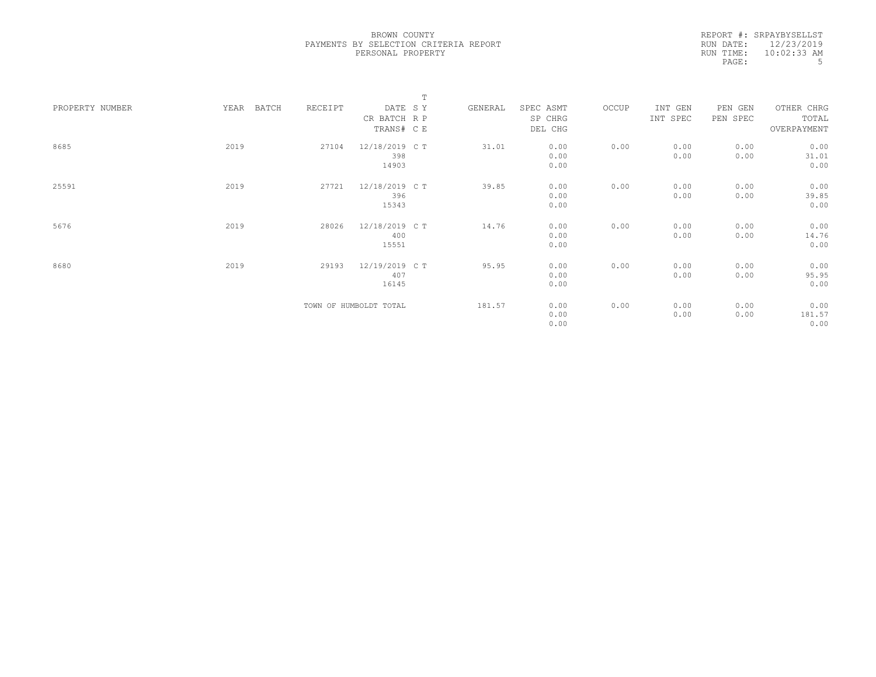|           | REPORT #: SRPAYBYSELLST |
|-----------|-------------------------|
| RUN DATE: | 12/23/2019              |
| RUN TIME: | $10:02:33$ AM           |
| PAGE:     | .5                      |
|           |                         |

|                 |      |       |         |                        | $\mathbb T$ |         |           |       |          |          |             |  |
|-----------------|------|-------|---------|------------------------|-------------|---------|-----------|-------|----------|----------|-------------|--|
| PROPERTY NUMBER | YEAR | BATCH | RECEIPT | DATE SY                |             | GENERAL | SPEC ASMT | OCCUP | INT GEN  | PEN GEN  | OTHER CHRG  |  |
|                 |      |       |         | CR BATCH R P           |             |         | SP CHRG   |       | INT SPEC | PEN SPEC | TOTAL       |  |
|                 |      |       |         | TRANS# C E             |             |         | DEL CHG   |       |          |          | OVERPAYMENT |  |
|                 |      |       |         |                        |             |         |           |       |          |          |             |  |
| 8685            | 2019 |       | 27104   | 12/18/2019 C T         |             | 31.01   | 0.00      | 0.00  | 0.00     | 0.00     | 0.00        |  |
|                 |      |       |         | 398                    |             |         | 0.00      |       | 0.00     | 0.00     | 31.01       |  |
|                 |      |       |         | 14903                  |             |         | 0.00      |       |          |          | 0.00        |  |
|                 |      |       |         |                        |             |         |           |       |          |          |             |  |
| 25591           | 2019 |       | 27721   | 12/18/2019 C T         |             | 39.85   | 0.00      | 0.00  | 0.00     | 0.00     | 0.00        |  |
|                 |      |       |         | 396                    |             |         | 0.00      |       | 0.00     | 0.00     | 39.85       |  |
|                 |      |       |         | 15343                  |             |         | 0.00      |       |          |          | 0.00        |  |
| 5676            | 2019 |       | 28026   | 12/18/2019 C T         |             | 14.76   | 0.00      | 0.00  | 0.00     | 0.00     | 0.00        |  |
|                 |      |       |         | 400                    |             |         | 0.00      |       | 0.00     | 0.00     | 14.76       |  |
|                 |      |       |         | 15551                  |             |         | 0.00      |       |          |          | 0.00        |  |
|                 |      |       |         |                        |             |         |           |       |          |          |             |  |
| 8680            | 2019 |       | 29193   | 12/19/2019 C T         |             | 95.95   | 0.00      | 0.00  | 0.00     | 0.00     | 0.00        |  |
|                 |      |       |         | 407                    |             |         | 0.00      |       | 0.00     | 0.00     | 95.95       |  |
|                 |      |       |         | 16145                  |             |         | 0.00      |       |          |          | 0.00        |  |
|                 |      |       |         |                        |             |         |           |       |          |          |             |  |
|                 |      |       |         | TOWN OF HUMBOLDT TOTAL |             | 181.57  | 0.00      | 0.00  | 0.00     | 0.00     | 0.00        |  |
|                 |      |       |         |                        |             |         | 0.00      |       | 0.00     | 0.00     | 181.57      |  |
|                 |      |       |         |                        |             |         | 0.00      |       |          |          | 0.00        |  |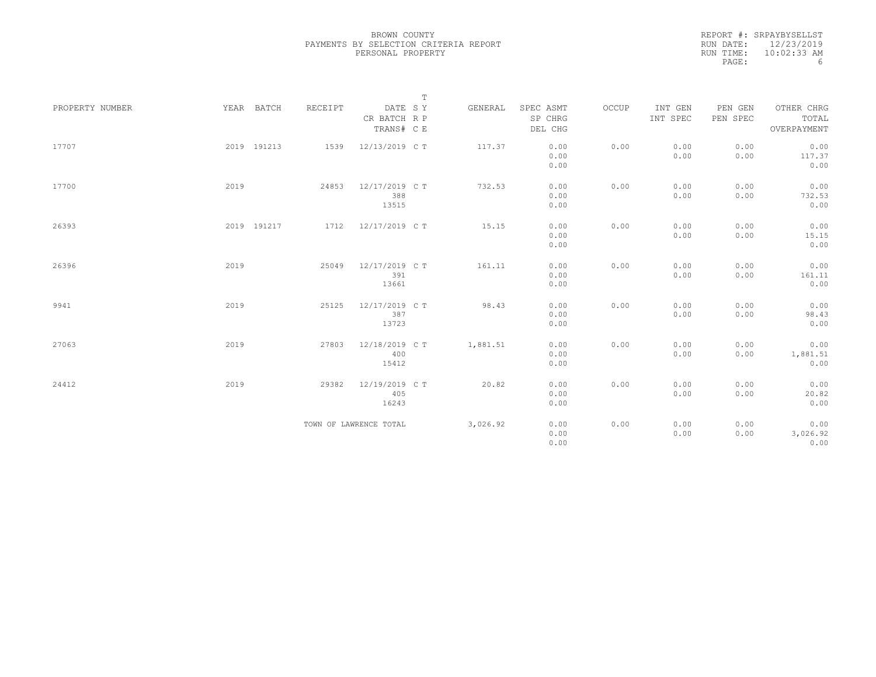|                 |             |         |                         | $\mathbb T$ |          |                      |       |                     |                     |                     |
|-----------------|-------------|---------|-------------------------|-------------|----------|----------------------|-------|---------------------|---------------------|---------------------|
| PROPERTY NUMBER | YEAR BATCH  | RECEIPT | DATE SY<br>CR BATCH R P |             | GENERAL  | SPEC ASMT<br>SP CHRG | OCCUP | INT GEN<br>INT SPEC | PEN GEN<br>PEN SPEC | OTHER CHRG<br>TOTAL |
|                 |             |         | TRANS# C E              |             |          | DEL CHG              |       |                     |                     | OVERPAYMENT         |
| 17707           | 2019 191213 | 1539    | 12/13/2019 C T          |             | 117.37   | 0.00                 | 0.00  | 0.00                | 0.00                | 0.00                |
|                 |             |         |                         |             |          | 0.00                 |       | 0.00                | 0.00                | 117.37              |
|                 |             |         |                         |             |          | 0.00                 |       |                     |                     | 0.00                |
| 17700           | 2019        | 24853   | 12/17/2019 C T          |             | 732.53   | 0.00                 | 0.00  | 0.00                | 0.00                | 0.00                |
|                 |             |         | 388                     |             |          | 0.00                 |       | 0.00                | 0.00                | 732.53              |
|                 |             |         | 13515                   |             |          | 0.00                 |       |                     |                     | 0.00                |
| 26393           | 2019 191217 |         | 1712 12/17/2019 CT      |             | 15.15    | 0.00                 | 0.00  | 0.00                | 0.00                | 0.00                |
|                 |             |         |                         |             |          | 0.00                 |       | 0.00                | 0.00                | 15.15               |
|                 |             |         |                         |             |          | 0.00                 |       |                     |                     | 0.00                |
| 26396           | 2019        | 25049   | 12/17/2019 C T          |             | 161.11   | 0.00                 | 0.00  | 0.00                | 0.00                | 0.00                |
|                 |             |         | 391                     |             |          | 0.00                 |       | 0.00                | 0.00                | 161.11              |
|                 |             |         | 13661                   |             |          | 0.00                 |       |                     |                     | 0.00                |
| 9941            | 2019        | 25125   | 12/17/2019 C T          |             | 98.43    | 0.00                 | 0.00  | 0.00                | 0.00                | 0.00                |
|                 |             |         | 387                     |             |          | 0.00                 |       | 0.00                | 0.00                | 98.43               |
|                 |             |         | 13723                   |             |          | 0.00                 |       |                     |                     | 0.00                |
| 27063           | 2019        | 27803   | 12/18/2019 C T          |             | 1,881.51 | 0.00                 | 0.00  | 0.00                | 0.00                | 0.00                |
|                 |             |         | 400                     |             |          | 0.00                 |       | 0.00                | 0.00                | 1,881.51            |
|                 |             |         | 15412                   |             |          | 0.00                 |       |                     |                     | 0.00                |
| 24412           | 2019        | 29382   | 12/19/2019 C T          |             | 20.82    | 0.00                 | 0.00  | 0.00                | 0.00                | 0.00                |
|                 |             |         | 405                     |             |          | 0.00                 |       | 0.00                | 0.00                | 20.82               |
|                 |             |         | 16243                   |             |          | 0.00                 |       |                     |                     | 0.00                |
|                 |             |         | TOWN OF LAWRENCE TOTAL  |             | 3,026.92 | 0.00                 | 0.00  | 0.00                | 0.00                | 0.00                |
|                 |             |         |                         |             |          | 0.00                 |       | 0.00                | 0.00                | 3,026.92            |
|                 |             |         |                         |             |          | 0.00                 |       |                     |                     | 0.00                |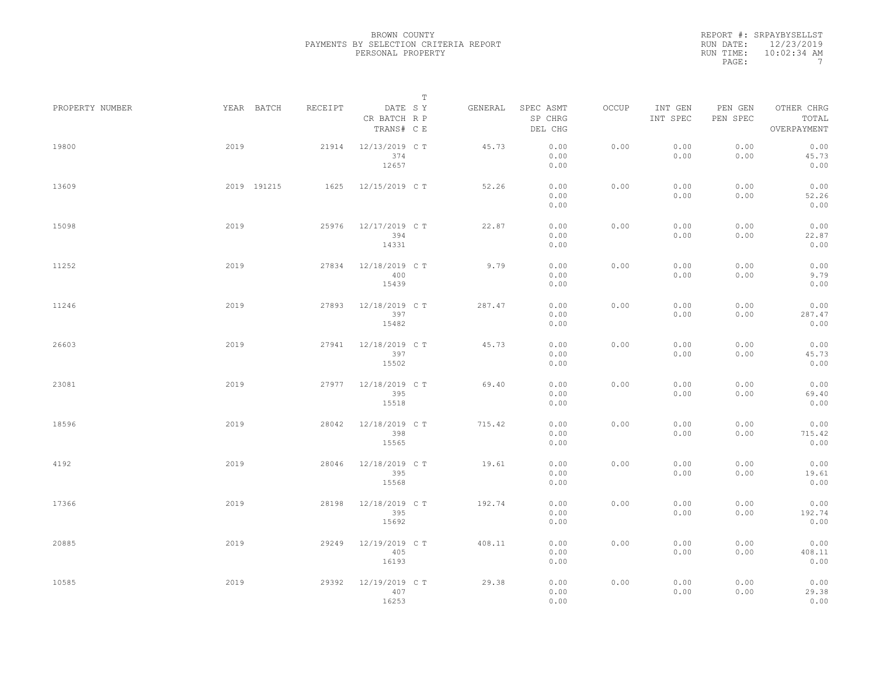|                 |      |             |         |                                       | $\mathbb T$ |         |                                 |       |                     |                     |                                    |  |
|-----------------|------|-------------|---------|---------------------------------------|-------------|---------|---------------------------------|-------|---------------------|---------------------|------------------------------------|--|
| PROPERTY NUMBER |      | YEAR BATCH  | RECEIPT | DATE SY<br>CR BATCH R P<br>TRANS# C E |             | GENERAL | SPEC ASMT<br>SP CHRG<br>DEL CHG | OCCUP | INT GEN<br>INT SPEC | PEN GEN<br>PEN SPEC | OTHER CHRG<br>TOTAL<br>OVERPAYMENT |  |
| 19800           | 2019 |             | 21914   | 12/13/2019 C T<br>374<br>12657        |             | 45.73   | 0.00<br>0.00<br>0.00            | 0.00  | 0.00<br>0.00        | 0.00<br>0.00        | 0.00<br>45.73<br>0.00              |  |
| 13609           |      | 2019 191215 | 1625    | 12/15/2019 C T                        |             | 52.26   | 0.00<br>0.00<br>0.00            | 0.00  | 0.00<br>0.00        | 0.00<br>0.00        | 0.00<br>52.26<br>0.00              |  |
| 15098           | 2019 |             | 25976   | 12/17/2019 C T<br>394<br>14331        |             | 22.87   | 0.00<br>0.00<br>0.00            | 0.00  | 0.00<br>0.00        | 0.00<br>0.00        | 0.00<br>22.87<br>0.00              |  |
| 11252           | 2019 |             | 27834   | 12/18/2019 C T<br>400<br>15439        |             | 9.79    | 0.00<br>0.00<br>0.00            | 0.00  | 0.00<br>0.00        | 0.00<br>0.00        | 0.00<br>9.79<br>0.00               |  |
| 11246           | 2019 |             | 27893   | 12/18/2019 C T<br>397<br>15482        |             | 287.47  | 0.00<br>0.00<br>0.00            | 0.00  | 0.00<br>0.00        | 0.00<br>0.00        | 0.00<br>287.47<br>0.00             |  |
| 26603           | 2019 |             | 27941   | 12/18/2019 C T<br>397<br>15502        |             | 45.73   | 0.00<br>0.00<br>0.00            | 0.00  | 0.00<br>0.00        | 0.00<br>0.00        | 0.00<br>45.73<br>0.00              |  |
| 23081           | 2019 |             | 27977   | 12/18/2019 C T<br>395<br>15518        |             | 69.40   | 0.00<br>0.00<br>0.00            | 0.00  | 0.00<br>0.00        | 0.00<br>0.00        | 0.00<br>69.40<br>0.00              |  |
| 18596           | 2019 |             | 28042   | 12/18/2019 C T<br>398<br>15565        |             | 715.42  | 0.00<br>0.00<br>0.00            | 0.00  | 0.00<br>0.00        | 0.00<br>0.00        | 0.00<br>715.42<br>0.00             |  |
| 4192            | 2019 |             | 28046   | 12/18/2019 C T<br>395<br>15568        |             | 19.61   | 0.00<br>0.00<br>0.00            | 0.00  | 0.00<br>0.00        | 0.00<br>0.00        | 0.00<br>19.61<br>0.00              |  |
| 17366           | 2019 |             | 28198   | 12/18/2019 C T<br>395<br>15692        |             | 192.74  | 0.00<br>0.00<br>0.00            | 0.00  | 0.00<br>0.00        | 0.00<br>0.00        | 0.00<br>192.74<br>0.00             |  |
| 20885           | 2019 |             | 29249   | 12/19/2019 C T<br>405<br>16193        |             | 408.11  | 0.00<br>0.00<br>0.00            | 0.00  | 0.00<br>0.00        | 0.00<br>0.00        | 0.00<br>408.11<br>0.00             |  |
| 10585           | 2019 |             | 29392   | 12/19/2019 C T<br>407<br>16253        |             | 29.38   | 0.00<br>0.00<br>0.00            | 0.00  | 0.00<br>0.00        | 0.00<br>0.00        | 0.00<br>29.38<br>0.00              |  |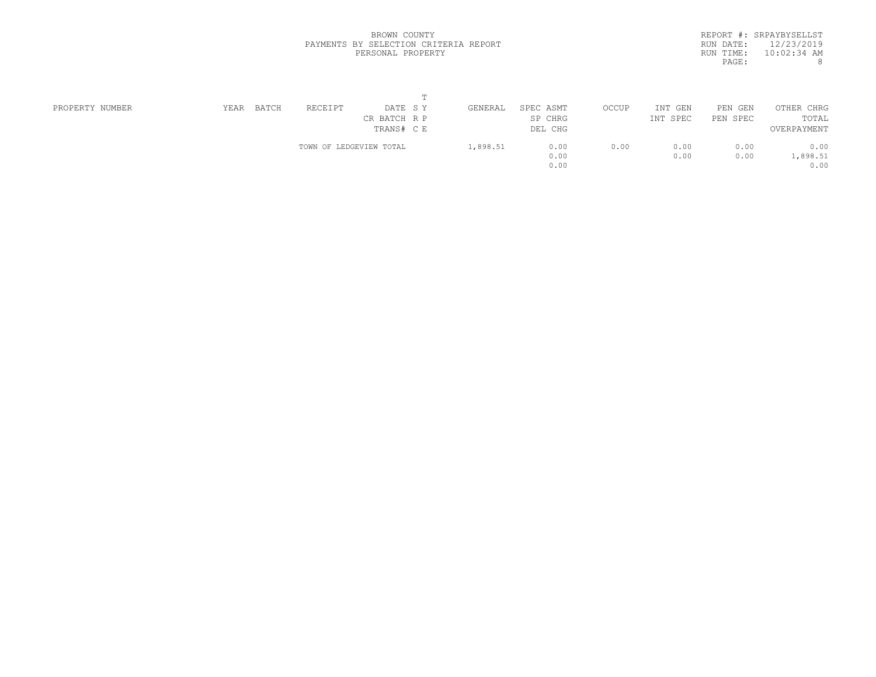|           | REPORT #: SRPAYBYSELLST |
|-----------|-------------------------|
| RUN DATE: | 12/23/2019              |
| RUN TIME: | $10:02:34$ AM           |
| PAGE:     | 8                       |
|           |                         |

| PROPERTY NUMBER | BATCH<br>YEAR | RECEIPT<br>DATE SY      | GENERAL  | SPEC ASMT | OCCUP | INT<br>GEN | PEN GEN  | OTHER CHRG  |  |
|-----------------|---------------|-------------------------|----------|-----------|-------|------------|----------|-------------|--|
|                 |               | CR BATCH R P            |          | SP CHRG   |       | INT SPEC   | PEN SPEC | TOTAL       |  |
|                 |               | TRANS# C E              |          | DEL CHG   |       |            |          | OVERPAYMENT |  |
|                 |               | TOWN OF LEDGEVIEW TOTAL | 1,898.51 | 0.00      | 0.00  | 0.00       | 0.00     | 0.00        |  |
|                 |               |                         |          | 0.00      |       | 0.00       | 0.00     | 1,898.51    |  |
|                 |               |                         |          | 0.00      |       |            |          | 0.00        |  |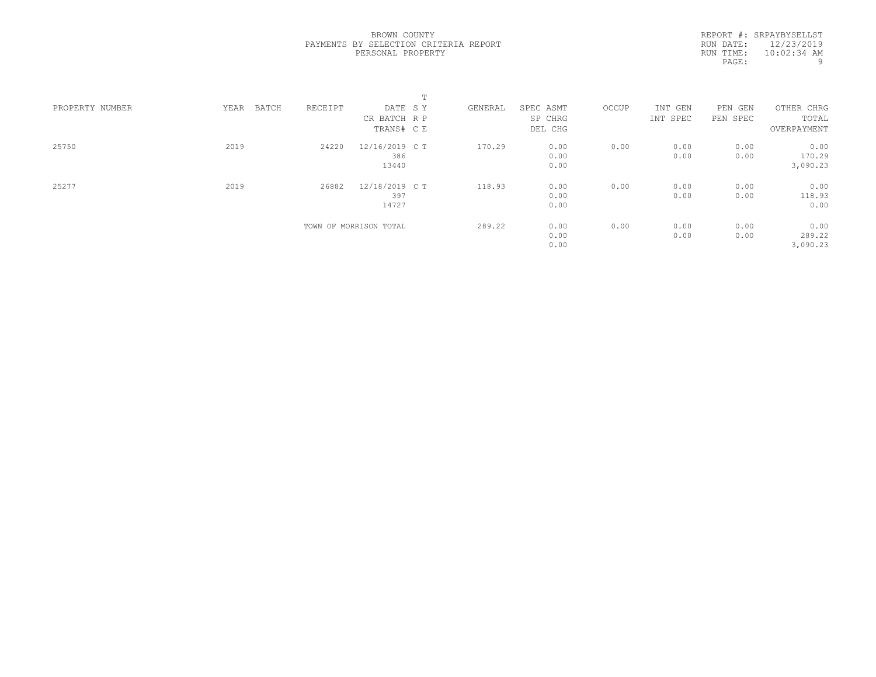|                 |               |         | $\blacksquare$<br>÷.   |         |           |       |          |          |             |  |
|-----------------|---------------|---------|------------------------|---------|-----------|-------|----------|----------|-------------|--|
| PROPERTY NUMBER | YEAR<br>BATCH | RECEIPT | DATE SY                | GENERAL | SPEC ASMT | OCCUP | INT GEN  | PEN GEN  | OTHER CHRG  |  |
|                 |               |         | CR BATCH R P           |         | SP CHRG   |       | INT SPEC | PEN SPEC | TOTAL       |  |
|                 |               |         | TRANS# C E             |         | DEL CHG   |       |          |          | OVERPAYMENT |  |
| 25750           | 2019          | 24220   | 12/16/2019 C T         | 170.29  | 0.00      | 0.00  | 0.00     | 0.00     | 0.00        |  |
|                 |               |         | 386                    |         | 0.00      |       | 0.00     | 0.00     | 170.29      |  |
|                 |               |         | 13440                  |         | 0.00      |       |          |          | 3,090.23    |  |
| 25277           | 2019          | 26882   | 12/18/2019 C T         | 118.93  | 0.00      | 0.00  | 0.00     | 0.00     | 0.00        |  |
|                 |               |         | 397                    |         | 0.00      |       | 0.00     | 0.00     | 118.93      |  |
|                 |               |         | 14727                  |         | 0.00      |       |          |          | 0.00        |  |
|                 |               |         | TOWN OF MORRISON TOTAL | 289.22  | 0.00      | 0.00  | 0.00     | 0.00     | 0.00        |  |
|                 |               |         |                        |         | 0.00      |       | 0.00     | 0.00     | 289.22      |  |
|                 |               |         |                        |         | 0.00      |       |          |          | 3,090.23    |  |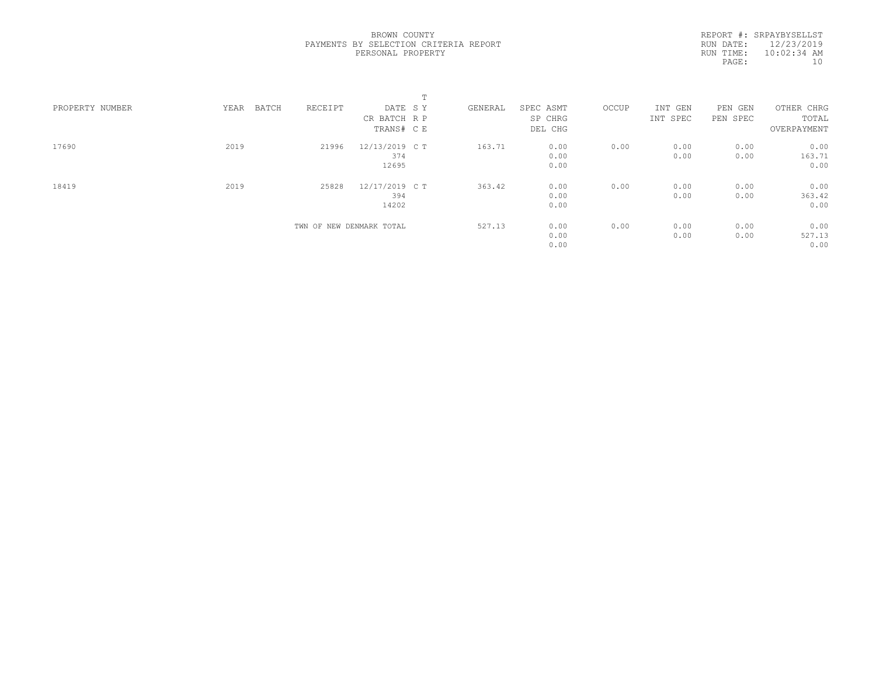|                 |               |                          |                | $\blacksquare$<br>÷. |         |           |       |          |          |             |  |
|-----------------|---------------|--------------------------|----------------|----------------------|---------|-----------|-------|----------|----------|-------------|--|
| PROPERTY NUMBER | YEAR<br>BATCH | RECEIPT                  | DATE SY        |                      | GENERAL | SPEC ASMT | OCCUP | INT GEN  | PEN GEN  | OTHER CHRG  |  |
|                 |               |                          | CR BATCH R P   |                      |         | SP CHRG   |       | INT SPEC | PEN SPEC | TOTAL       |  |
|                 |               |                          | TRANS# C E     |                      |         | DEL CHG   |       |          |          | OVERPAYMENT |  |
| 17690           | 2019          | 21996                    | 12/13/2019 C T |                      | 163.71  | 0.00      | 0.00  | 0.00     | 0.00     | 0.00        |  |
|                 |               |                          | 374            |                      |         | 0.00      |       | 0.00     | 0.00     | 163.71      |  |
|                 |               |                          | 12695          |                      |         | 0.00      |       |          |          | 0.00        |  |
| 18419           | 2019          | 25828                    | 12/17/2019 C T |                      | 363.42  | 0.00      | 0.00  | 0.00     | 0.00     | 0.00        |  |
|                 |               |                          | 394            |                      |         | 0.00      |       | 0.00     | 0.00     | 363.42      |  |
|                 |               |                          | 14202          |                      |         | 0.00      |       |          |          | 0.00        |  |
|                 |               | TWN OF NEW DENMARK TOTAL |                |                      | 527.13  | 0.00      | 0.00  | 0.00     | 0.00     | 0.00        |  |
|                 |               |                          |                |                      |         | 0.00      |       | 0.00     | 0.00     | 527.13      |  |
|                 |               |                          |                |                      |         | 0.00      |       |          |          | 0.00        |  |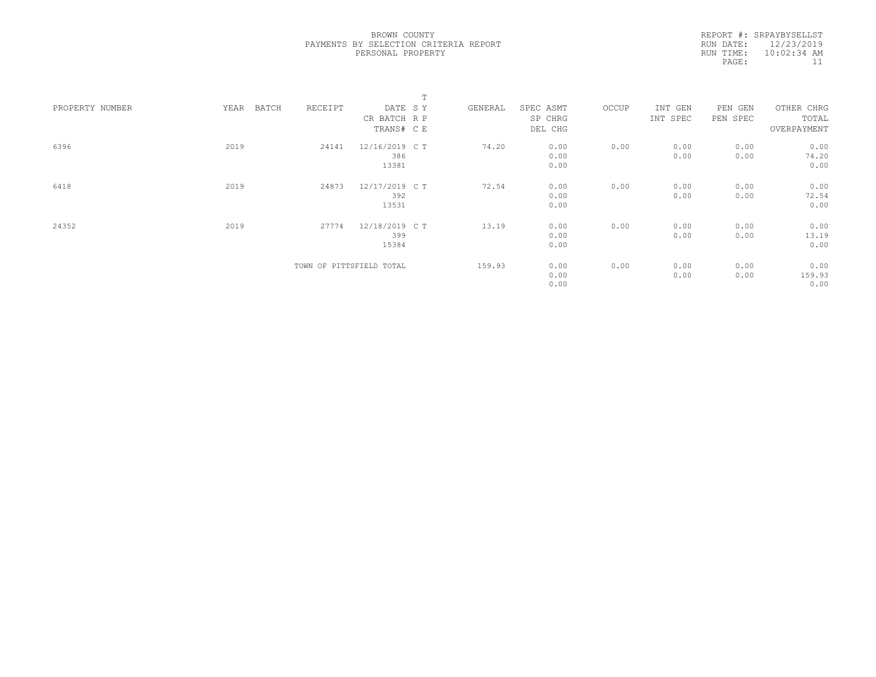|                 |               |         |                          | $\mathbb T$ |         |           |       |          |          |             |  |
|-----------------|---------------|---------|--------------------------|-------------|---------|-----------|-------|----------|----------|-------------|--|
| PROPERTY NUMBER | BATCH<br>YEAR | RECEIPT | DATE SY                  |             | GENERAL | SPEC ASMT | OCCUP | INT GEN  | PEN GEN  | OTHER CHRG  |  |
|                 |               |         | CR BATCH R P             |             |         | SP CHRG   |       | INT SPEC | PEN SPEC | TOTAL       |  |
|                 |               |         | TRANS# CE                |             |         | DEL CHG   |       |          |          | OVERPAYMENT |  |
| 6396            | 2019          | 24141   | 12/16/2019 C T           |             | 74.20   | 0.00      | 0.00  | 0.00     | 0.00     | 0.00        |  |
|                 |               |         | 386                      |             |         | 0.00      |       | 0.00     | 0.00     | 74.20       |  |
|                 |               |         | 13381                    |             |         | 0.00      |       |          |          | 0.00        |  |
| 6418            | 2019          | 24873   | 12/17/2019 C T           |             | 72.54   | 0.00      | 0.00  | 0.00     | 0.00     | 0.00        |  |
|                 |               |         | 392                      |             |         | 0.00      |       | 0.00     | 0.00     | 72.54       |  |
|                 |               |         | 13531                    |             |         | 0.00      |       |          |          | 0.00        |  |
| 24352           | 2019          | 27774   | 12/18/2019 C T           |             | 13.19   | 0.00      | 0.00  | 0.00     | 0.00     | 0.00        |  |
|                 |               |         | 399                      |             |         | 0.00      |       | 0.00     | 0.00     | 13.19       |  |
|                 |               |         | 15384                    |             |         | 0.00      |       |          |          | 0.00        |  |
|                 |               |         | TOWN OF PITTSFIELD TOTAL |             | 159.93  | 0.00      | 0.00  | 0.00     | 0.00     | 0.00        |  |
|                 |               |         |                          |             |         | 0.00      |       | 0.00     | 0.00     | 159.93      |  |
|                 |               |         |                          |             |         | 0.00      |       |          |          | 0.00        |  |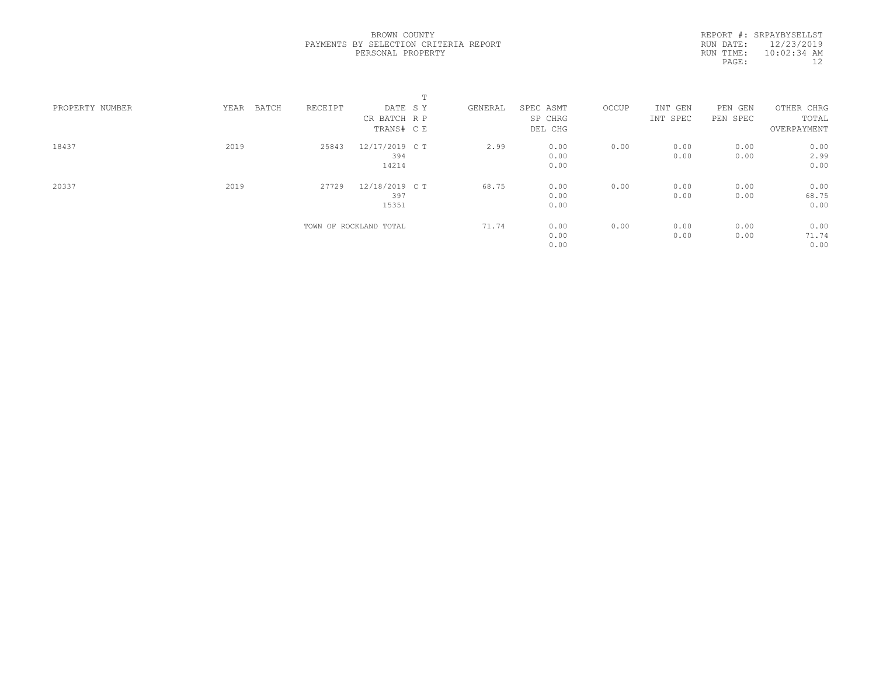|                 |               |         |                        | $\blacksquare$<br>÷. |         |           |       |          |          |             |
|-----------------|---------------|---------|------------------------|----------------------|---------|-----------|-------|----------|----------|-------------|
| PROPERTY NUMBER | YEAR<br>BATCH | RECEIPT | DATE SY                |                      | GENERAL | SPEC ASMT | OCCUP | INT GEN  | PEN GEN  | OTHER CHRG  |
|                 |               |         | CR BATCH R P           |                      |         | SP CHRG   |       | INT SPEC | PEN SPEC | TOTAL       |
|                 |               |         | TRANS# C E             |                      |         | DEL CHG   |       |          |          | OVERPAYMENT |
| 18437           | 2019          | 25843   | 12/17/2019 C T         |                      | 2.99    | 0.00      | 0.00  | 0.00     | 0.00     | 0.00        |
|                 |               |         | 394                    |                      |         | 0.00      |       | 0.00     | 0.00     | 2.99        |
|                 |               |         | 14214                  |                      |         | 0.00      |       |          |          | 0.00        |
| 20337           | 2019          | 27729   | 12/18/2019 C T         |                      | 68.75   | 0.00      | 0.00  | 0.00     | 0.00     | 0.00        |
|                 |               |         | 397                    |                      |         | 0.00      |       | 0.00     | 0.00     | 68.75       |
|                 |               |         | 15351                  |                      |         | 0.00      |       |          |          | 0.00        |
|                 |               |         | TOWN OF ROCKLAND TOTAL |                      | 71.74   | 0.00      | 0.00  | 0.00     | 0.00     | 0.00        |
|                 |               |         |                        |                      |         | 0.00      |       | 0.00     | 0.00     | 71.74       |
|                 |               |         |                        |                      |         | 0.00      |       |          |          | 0.00        |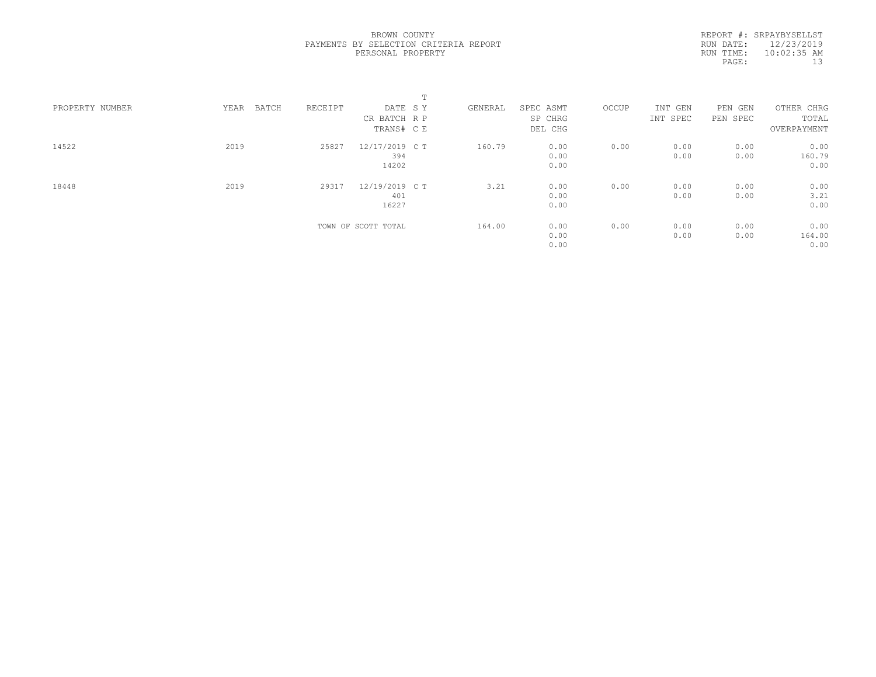|                 |               |         | m.                  |         |           |       |          |          |             |
|-----------------|---------------|---------|---------------------|---------|-----------|-------|----------|----------|-------------|
| PROPERTY NUMBER | BATCH<br>YEAR | RECEIPT | DATE SY             | GENERAL | SPEC ASMT | OCCUP | INT GEN  | PEN GEN  | OTHER CHRG  |
|                 |               |         | CR BATCH R P        |         | SP CHRG   |       | INT SPEC | PEN SPEC | TOTAL       |
|                 |               |         | TRANS# C E          |         | DEL CHG   |       |          |          | OVERPAYMENT |
| 14522           | 2019          | 25827   | 12/17/2019 C T      | 160.79  | 0.00      | 0.00  | 0.00     | 0.00     | 0.00        |
|                 |               |         | 394                 |         | 0.00      |       | 0.00     | 0.00     | 160.79      |
|                 |               |         | 14202               |         | 0.00      |       |          |          | 0.00        |
| 18448           | 2019          | 29317   | 12/19/2019 C T      | 3.21    | 0.00      | 0.00  | 0.00     | 0.00     | 0.00        |
|                 |               |         | 401                 |         | 0.00      |       | 0.00     | 0.00     | 3.21        |
|                 |               |         | 16227               |         | 0.00      |       |          |          | 0.00        |
|                 |               |         | TOWN OF SCOTT TOTAL | 164.00  | 0.00      | 0.00  | 0.00     | 0.00     | 0.00        |
|                 |               |         |                     |         | 0.00      |       | 0.00     | 0.00     | 164.00      |
|                 |               |         |                     |         | 0.00      |       |          |          | 0.00        |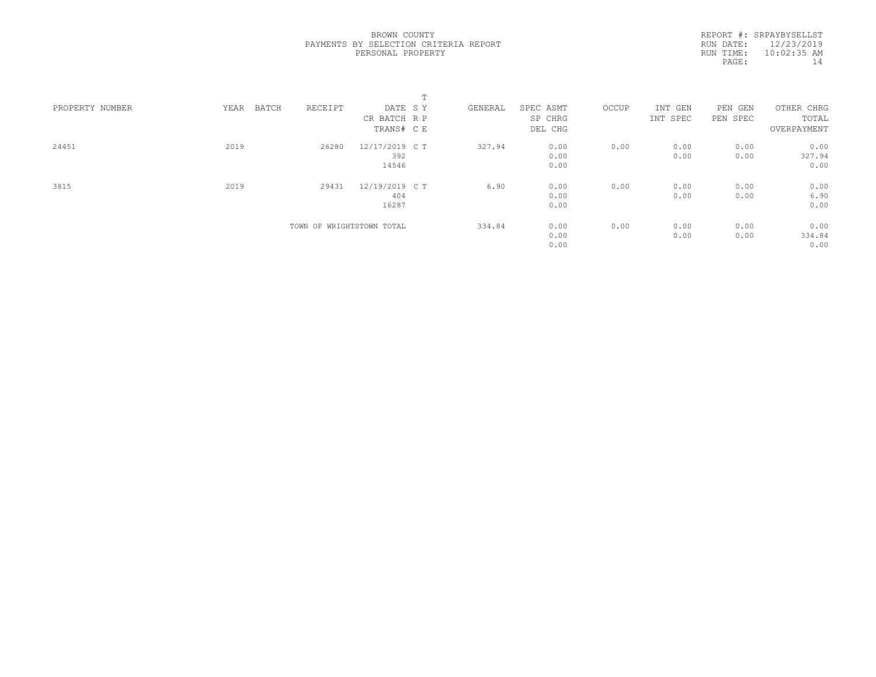|                 |               |                           | $\blacksquare$ |         |           |       |          |          |             |
|-----------------|---------------|---------------------------|----------------|---------|-----------|-------|----------|----------|-------------|
| PROPERTY NUMBER | BATCH<br>YEAR | RECEIPT                   | DATE SY        | GENERAL | SPEC ASMT | OCCUP | INT GEN  | PEN GEN  | OTHER CHRG  |
|                 |               |                           | CR BATCH R P   |         | SP CHRG   |       | INT SPEC | PEN SPEC | TOTAL       |
|                 |               |                           | TRANS# C E     |         | DEL CHG   |       |          |          | OVERPAYMENT |
| 24451           | 2019          | 26280                     | 12/17/2019 C T | 327.94  | 0.00      | 0.00  | 0.00     | 0.00     | 0.00        |
|                 |               |                           | 392            |         | 0.00      |       | 0.00     | 0.00     | 327.94      |
|                 |               |                           | 14546          |         | 0.00      |       |          |          | 0.00        |
| 3815            | 2019          | 29431                     | 12/19/2019 C T | 6.90    | 0.00      | 0.00  | 0.00     | 0.00     | 0.00        |
|                 |               |                           | 404            |         | 0.00      |       | 0.00     | 0.00     | 6.90        |
|                 |               |                           | 16287          |         | 0.00      |       |          |          | 0.00        |
|                 |               | TOWN OF WRIGHTSTOWN TOTAL |                | 334.84  | 0.00      | 0.00  | 0.00     | 0.00     | 0.00        |
|                 |               |                           |                |         | 0.00      |       | 0.00     | 0.00     | 334.84      |
|                 |               |                           |                |         | 0.00      |       |          |          | 0.00        |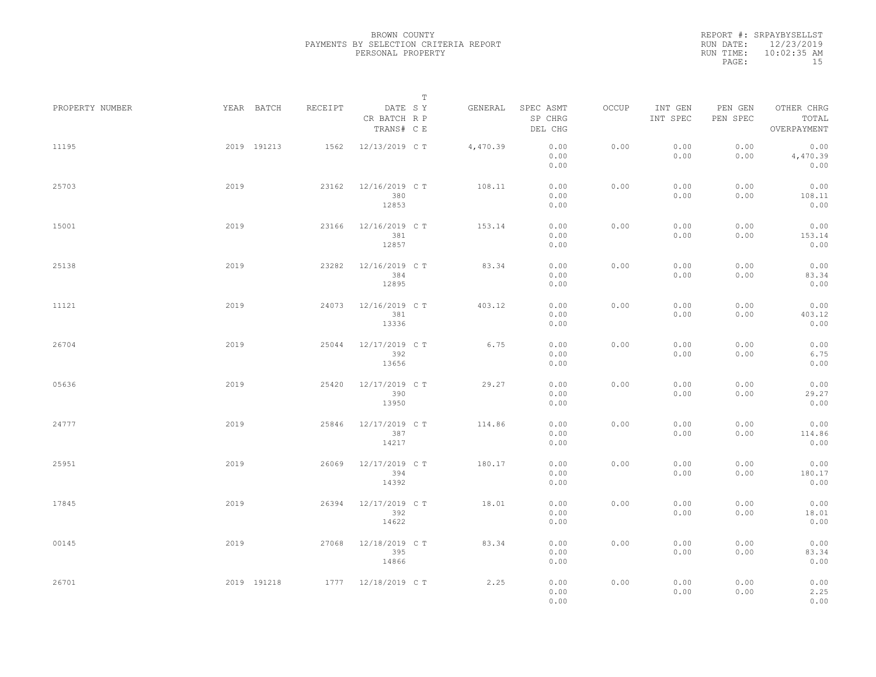|                 |      |             |         |                                       | T |          |                                 |       |                     |                     |                                    |  |
|-----------------|------|-------------|---------|---------------------------------------|---|----------|---------------------------------|-------|---------------------|---------------------|------------------------------------|--|
| PROPERTY NUMBER |      | YEAR BATCH  | RECEIPT | DATE SY<br>CR BATCH R P<br>TRANS# C E |   | GENERAL  | SPEC ASMT<br>SP CHRG<br>DEL CHG | OCCUP | INT GEN<br>INT SPEC | PEN GEN<br>PEN SPEC | OTHER CHRG<br>TOTAL<br>OVERPAYMENT |  |
| 11195           |      | 2019 191213 | 1562    | 12/13/2019 C T                        |   | 4,470.39 | 0.00<br>0.00<br>0.00            | 0.00  | 0.00<br>0.00        | 0.00<br>0.00        | 0.00<br>4,470.39<br>0.00           |  |
| 25703           | 2019 |             | 23162   | 12/16/2019 C T<br>380<br>12853        |   | 108.11   | 0.00<br>0.00<br>0.00            | 0.00  | 0.00<br>0.00        | 0.00<br>0.00        | 0.00<br>108.11<br>0.00             |  |
| 15001           | 2019 |             | 23166   | 12/16/2019 C T<br>381<br>12857        |   | 153.14   | 0.00<br>0.00<br>0.00            | 0.00  | 0.00<br>0.00        | 0.00<br>0.00        | 0.00<br>153.14<br>0.00             |  |
| 25138           | 2019 |             | 23282   | 12/16/2019 C T<br>384<br>12895        |   | 83.34    | 0.00<br>0.00<br>0.00            | 0.00  | 0.00<br>0.00        | 0.00<br>0.00        | 0.00<br>83.34<br>0.00              |  |
| 11121           | 2019 |             | 24073   | 12/16/2019 C T<br>381<br>13336        |   | 403.12   | 0.00<br>0.00<br>0.00            | 0.00  | 0.00<br>0.00        | 0.00<br>0.00        | 0.00<br>403.12<br>0.00             |  |
| 26704           | 2019 |             | 25044   | 12/17/2019 C T<br>392<br>13656        |   | 6.75     | 0.00<br>0.00<br>0.00            | 0.00  | 0.00<br>0.00        | 0.00<br>0.00        | 0.00<br>6.75<br>0.00               |  |
| 05636           | 2019 |             | 25420   | 12/17/2019 C T<br>390<br>13950        |   | 29.27    | 0.00<br>0.00<br>0.00            | 0.00  | 0.00<br>0.00        | 0.00<br>0.00        | 0.00<br>29.27<br>0.00              |  |
| 24777           | 2019 |             | 25846   | 12/17/2019 C T<br>387<br>14217        |   | 114.86   | 0.00<br>0.00<br>0.00            | 0.00  | 0.00<br>0.00        | 0.00<br>0.00        | 0.00<br>114.86<br>0.00             |  |
| 25951           | 2019 |             | 26069   | 12/17/2019 C T<br>394<br>14392        |   | 180.17   | 0.00<br>0.00<br>0.00            | 0.00  | 0.00<br>0.00        | 0.00<br>0.00        | 0.00<br>180.17<br>0.00             |  |
| 17845           | 2019 |             | 26394   | 12/17/2019 C T<br>392<br>14622        |   | 18.01    | 0.00<br>0.00<br>0.00            | 0.00  | 0.00<br>0.00        | 0.00<br>0.00        | 0.00<br>18.01<br>0.00              |  |
| 00145           | 2019 |             | 27068   | 12/18/2019 C T<br>395<br>14866        |   | 83.34    | 0.00<br>0.00<br>0.00            | 0.00  | 0.00<br>0.00        | 0.00<br>0.00        | 0.00<br>83.34<br>0.00              |  |
| 26701           |      | 2019 191218 |         | 1777 12/18/2019 CT                    |   | 2.25     | 0.00<br>0.00<br>0.00            | 0.00  | 0.00<br>0.00        | 0.00<br>0.00        | 0.00<br>2.25<br>0.00               |  |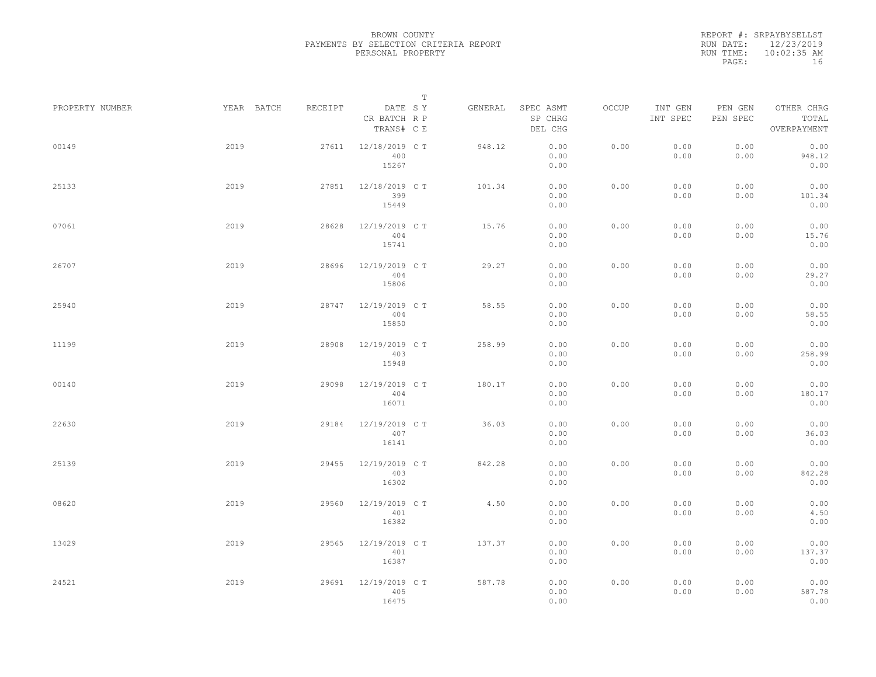|                 |            |         |                                       | $\mathbb T$ |         |                                 |       |                     |                     |                                    |  |
|-----------------|------------|---------|---------------------------------------|-------------|---------|---------------------------------|-------|---------------------|---------------------|------------------------------------|--|
| PROPERTY NUMBER | YEAR BATCH | RECEIPT | DATE SY<br>CR BATCH R P<br>TRANS# C E |             | GENERAL | SPEC ASMT<br>SP CHRG<br>DEL CHG | OCCUP | INT GEN<br>INT SPEC | PEN GEN<br>PEN SPEC | OTHER CHRG<br>TOTAL<br>OVERPAYMENT |  |
| 00149           | 2019       | 27611   | 12/18/2019 C T<br>400<br>15267        |             | 948.12  | 0.00<br>0.00<br>0.00            | 0.00  | 0.00<br>0.00        | 0.00<br>0.00        | 0.00<br>948.12<br>0.00             |  |
| 25133           | 2019       | 27851   | 12/18/2019 C T<br>399<br>15449        |             | 101.34  | 0.00<br>0.00<br>0.00            | 0.00  | 0.00<br>0.00        | 0.00<br>0.00        | 0.00<br>101.34<br>0.00             |  |
| 07061           | 2019       | 28628   | 12/19/2019 C T<br>404<br>15741        |             | 15.76   | 0.00<br>0.00<br>0.00            | 0.00  | 0.00<br>0.00        | 0.00<br>0.00        | 0.00<br>15.76<br>0.00              |  |
| 26707           | 2019       | 28696   | 12/19/2019 C T<br>404<br>15806        |             | 29.27   | 0.00<br>0.00<br>0.00            | 0.00  | 0.00<br>0.00        | 0.00<br>0.00        | 0.00<br>29.27<br>0.00              |  |
| 25940           | 2019       | 28747   | 12/19/2019 C T<br>404<br>15850        |             | 58.55   | 0.00<br>0.00<br>0.00            | 0.00  | 0.00<br>0.00        | 0.00<br>0.00        | 0.00<br>58.55<br>0.00              |  |
| 11199           | 2019       | 28908   | 12/19/2019 C T<br>403<br>15948        |             | 258.99  | 0.00<br>0.00<br>0.00            | 0.00  | 0.00<br>0.00        | 0.00<br>0.00        | 0.00<br>258.99<br>0.00             |  |
| 00140           | 2019       | 29098   | 12/19/2019 C T<br>404<br>16071        |             | 180.17  | 0.00<br>0.00<br>0.00            | 0.00  | 0.00<br>0.00        | 0.00<br>0.00        | 0.00<br>180.17<br>0.00             |  |
| 22630           | 2019       | 29184   | 12/19/2019 C T<br>407<br>16141        |             | 36.03   | 0.00<br>0.00<br>0.00            | 0.00  | 0.00<br>0.00        | 0.00<br>0.00        | 0.00<br>36.03<br>0.00              |  |
| 25139           | 2019       | 29455   | 12/19/2019 C T<br>403<br>16302        |             | 842.28  | 0.00<br>0.00<br>0.00            | 0.00  | 0.00<br>0.00        | 0.00<br>0.00        | 0.00<br>842.28<br>0.00             |  |
| 08620           | 2019       | 29560   | 12/19/2019 C T<br>401<br>16382        |             | 4.50    | 0.00<br>0.00<br>0.00            | 0.00  | 0.00<br>0.00        | 0.00<br>0.00        | 0.00<br>4.50<br>0.00               |  |
| 13429           | 2019       | 29565   | 12/19/2019 C T<br>401<br>16387        |             | 137.37  | 0.00<br>0.00<br>0.00            | 0.00  | 0.00<br>0.00        | 0.00<br>0.00        | 0.00<br>137.37<br>0.00             |  |
| 24521           | 2019       | 29691   | 12/19/2019 C T<br>405<br>16475        |             | 587.78  | 0.00<br>0.00<br>0.00            | 0.00  | 0.00<br>0.00        | 0.00<br>0.00        | 0.00<br>587.78<br>0.00             |  |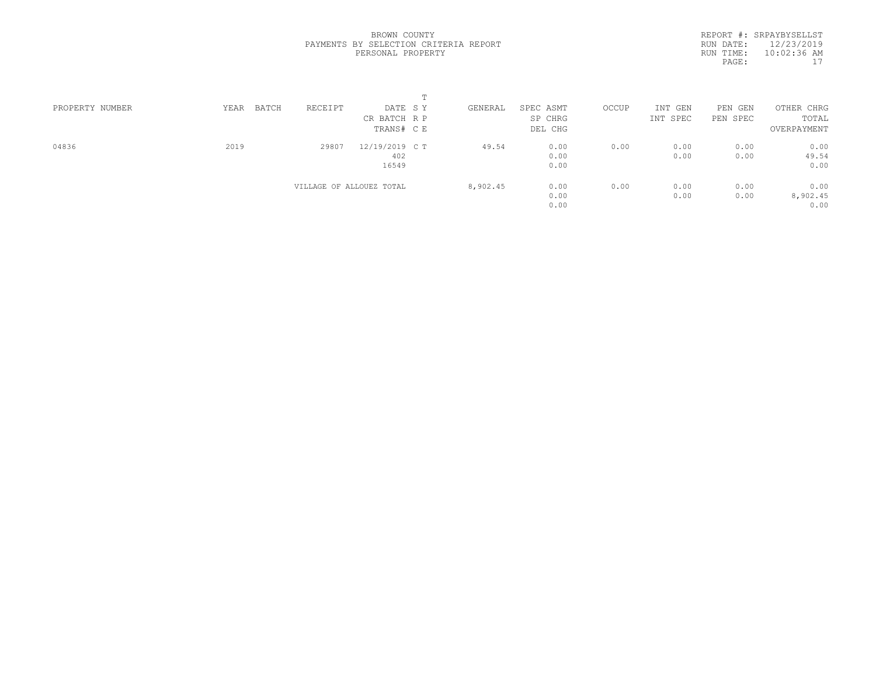|                 |               |                          | $\blacksquare$ |          |           |       |          |          |             |  |
|-----------------|---------------|--------------------------|----------------|----------|-----------|-------|----------|----------|-------------|--|
| PROPERTY NUMBER | BATCH<br>YEAR | RECEIPT                  | DATE SY        | GENERAL  | SPEC ASMT | OCCUP | INT GEN  | PEN GEN  | OTHER CHRG  |  |
|                 |               |                          | CR BATCH R P   |          | SP CHRG   |       | INT SPEC | PEN SPEC | TOTAL       |  |
|                 |               |                          | TRANS# C E     |          | DEL CHG   |       |          |          | OVERPAYMENT |  |
| 04836           | 2019          | 29807                    | 12/19/2019 C T | 49.54    | 0.00      | 0.00  | 0.00     | 0.00     | 0.00        |  |
|                 |               |                          | 402            |          | 0.00      |       | 0.00     | 0.00     | 49.54       |  |
|                 |               |                          | 16549          |          | 0.00      |       |          |          | 0.00        |  |
|                 |               | VILLAGE OF ALLOUEZ TOTAL |                | 8,902.45 | 0.00      | 0.00  | 0.00     | 0.00     | 0.00        |  |
|                 |               |                          |                |          | 0.00      |       | 0.00     | 0.00     | 8,902.45    |  |
|                 |               |                          |                |          | 0.00      |       |          |          | 0.00        |  |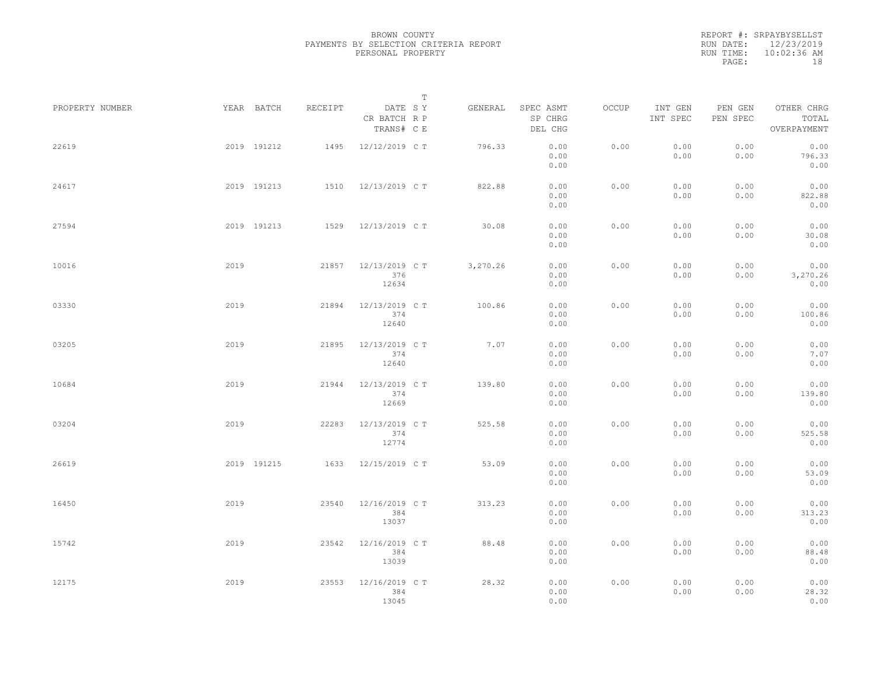|                 |      |             |         |                                         | $\mathbb T$ |          |                                 |       |                     |                     |                                    |  |
|-----------------|------|-------------|---------|-----------------------------------------|-------------|----------|---------------------------------|-------|---------------------|---------------------|------------------------------------|--|
| PROPERTY NUMBER |      | YEAR BATCH  | RECEIPT | DATE SY<br>CR BATCH R P<br>TRANS# $C$ E |             | GENERAL  | SPEC ASMT<br>SP CHRG<br>DEL CHG | OCCUP | INT GEN<br>INT SPEC | PEN GEN<br>PEN SPEC | OTHER CHRG<br>TOTAL<br>OVERPAYMENT |  |
| 22619           |      | 2019 191212 | 1495    | 12/12/2019 C T                          |             | 796.33   | 0.00<br>0.00<br>0.00            | 0.00  | 0.00<br>0.00        | 0.00<br>0.00        | 0.00<br>796.33<br>0.00             |  |
| 24617           |      | 2019 191213 |         | 1510 12/13/2019 CT                      |             | 822.88   | 0.00<br>0.00<br>0.00            | 0.00  | 0.00<br>0.00        | 0.00<br>0.00        | 0.00<br>822.88<br>0.00             |  |
| 27594           |      | 2019 191213 |         | 1529 12/13/2019 CT                      |             | 30.08    | 0.00<br>0.00<br>0.00            | 0.00  | 0.00<br>0.00        | 0.00<br>0.00        | 0.00<br>30.08<br>0.00              |  |
| 10016           | 2019 |             | 21857   | 12/13/2019 C T<br>376<br>12634          |             | 3,270.26 | 0.00<br>0.00<br>0.00            | 0.00  | 0.00<br>0.00        | 0.00<br>0.00        | 0.00<br>3,270.26<br>0.00           |  |
| 03330           | 2019 |             | 21894   | 12/13/2019 C T<br>374<br>12640          |             | 100.86   | 0.00<br>0.00<br>0.00            | 0.00  | 0.00<br>0.00        | 0.00<br>0.00        | 0.00<br>100.86<br>0.00             |  |
| 03205           | 2019 |             | 21895   | 12/13/2019 C T<br>374<br>12640          |             | 7.07     | 0.00<br>0.00<br>0.00            | 0.00  | 0.00<br>0.00        | 0.00<br>0.00        | 0.00<br>7.07<br>0.00               |  |
| 10684           | 2019 |             | 21944   | 12/13/2019 C T<br>374<br>12669          |             | 139.80   | 0.00<br>0.00<br>0.00            | 0.00  | 0.00<br>0.00        | 0.00<br>0.00        | 0.00<br>139.80<br>0.00             |  |
| 03204           | 2019 |             | 22283   | 12/13/2019 C T<br>374<br>12774          |             | 525.58   | 0.00<br>0.00<br>0.00            | 0.00  | 0.00<br>0.00        | 0.00<br>0.00        | 0.00<br>525.58<br>0.00             |  |
| 26619           |      | 2019 191215 | 1633    | 12/15/2019 C T                          |             | 53.09    | 0.00<br>0.00<br>0.00            | 0.00  | 0.00<br>0.00        | 0.00<br>0.00        | 0.00<br>53.09<br>0.00              |  |
| 16450           | 2019 |             | 23540   | 12/16/2019 C T<br>384<br>13037          |             | 313.23   | 0.00<br>0.00<br>0.00            | 0.00  | 0.00<br>0.00        | 0.00<br>0.00        | 0.00<br>313.23<br>0.00             |  |
| 15742           | 2019 |             | 23542   | 12/16/2019 C T<br>384<br>13039          |             | 88.48    | 0.00<br>0.00<br>0.00            | 0.00  | 0.00<br>0.00        | 0.00<br>0.00        | 0.00<br>88.48<br>0.00              |  |
| 12175           | 2019 |             | 23553   | 12/16/2019 C T<br>384<br>13045          |             | 28.32    | 0.00<br>0.00<br>0.00            | 0.00  | 0.00<br>0.00        | 0.00<br>0.00        | 0.00<br>28.32<br>0.00              |  |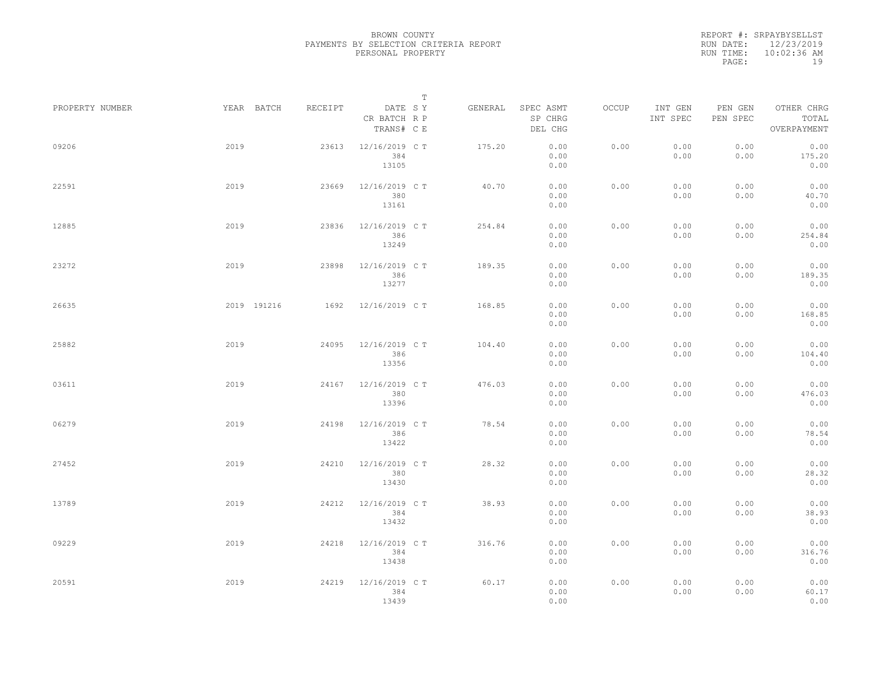|                 |      |             |         |                                       | $\mathbb T$ |         |                                 |       |                     |                     |                                    |  |
|-----------------|------|-------------|---------|---------------------------------------|-------------|---------|---------------------------------|-------|---------------------|---------------------|------------------------------------|--|
| PROPERTY NUMBER |      | YEAR BATCH  | RECEIPT | DATE SY<br>CR BATCH R P<br>TRANS# C E |             | GENERAL | SPEC ASMT<br>SP CHRG<br>DEL CHG | OCCUP | INT GEN<br>INT SPEC | PEN GEN<br>PEN SPEC | OTHER CHRG<br>TOTAL<br>OVERPAYMENT |  |
| 09206           | 2019 |             | 23613   | 12/16/2019 C T<br>384<br>13105        |             | 175.20  | 0.00<br>0.00<br>0.00            | 0.00  | 0.00<br>0.00        | 0.00<br>0.00        | 0.00<br>175.20<br>0.00             |  |
| 22591           | 2019 |             | 23669   | 12/16/2019 C T<br>380<br>13161        |             | 40.70   | 0.00<br>0.00<br>0.00            | 0.00  | 0.00<br>0.00        | 0.00<br>0.00        | 0.00<br>40.70<br>0.00              |  |
| 12885           | 2019 |             | 23836   | 12/16/2019 C T<br>386<br>13249        |             | 254.84  | 0.00<br>0.00<br>0.00            | 0.00  | 0.00<br>0.00        | 0.00<br>0.00        | 0.00<br>254.84<br>0.00             |  |
| 23272           | 2019 |             | 23898   | 12/16/2019 C T<br>386<br>13277        |             | 189.35  | 0.00<br>0.00<br>0.00            | 0.00  | 0.00<br>0.00        | 0.00<br>0.00        | 0.00<br>189.35<br>0.00             |  |
| 26635           |      | 2019 191216 | 1692    | 12/16/2019 C T                        |             | 168.85  | 0.00<br>0.00<br>0.00            | 0.00  | 0.00<br>0.00        | 0.00<br>0.00        | 0.00<br>168.85<br>0.00             |  |
| 25882           | 2019 |             | 24095   | 12/16/2019 C T<br>386<br>13356        |             | 104.40  | 0.00<br>0.00<br>0.00            | 0.00  | 0.00<br>0.00        | 0.00<br>0.00        | 0.00<br>104.40<br>0.00             |  |
| 03611           | 2019 |             | 24167   | 12/16/2019 C T<br>380<br>13396        |             | 476.03  | 0.00<br>0.00<br>0.00            | 0.00  | 0.00<br>0.00        | 0.00<br>0.00        | 0.00<br>476.03<br>0.00             |  |
| 06279           | 2019 |             | 24198   | 12/16/2019 C T<br>386<br>13422        |             | 78.54   | 0.00<br>0.00<br>0.00            | 0.00  | 0.00<br>0.00        | 0.00<br>0.00        | 0.00<br>78.54<br>0.00              |  |
| 27452           | 2019 |             | 24210   | 12/16/2019 C T<br>380<br>13430        |             | 28.32   | 0.00<br>0.00<br>0.00            | 0.00  | 0.00<br>0.00        | 0.00<br>0.00        | 0.00<br>28.32<br>0.00              |  |
| 13789           | 2019 |             | 24212   | 12/16/2019 C T<br>384<br>13432        |             | 38.93   | 0.00<br>0.00<br>0.00            | 0.00  | 0.00<br>0.00        | 0.00<br>0.00        | 0.00<br>38.93<br>0.00              |  |
| 09229           | 2019 |             | 24218   | 12/16/2019 C T<br>384<br>13438        |             | 316.76  | 0.00<br>0.00<br>0.00            | 0.00  | 0.00<br>0.00        | 0.00<br>0.00        | 0.00<br>316.76<br>0.00             |  |
| 20591           | 2019 |             | 24219   | 12/16/2019 C T<br>384<br>13439        |             | 60.17   | 0.00<br>0.00<br>0.00            | 0.00  | 0.00<br>0.00        | 0.00<br>0.00        | 0.00<br>60.17<br>0.00              |  |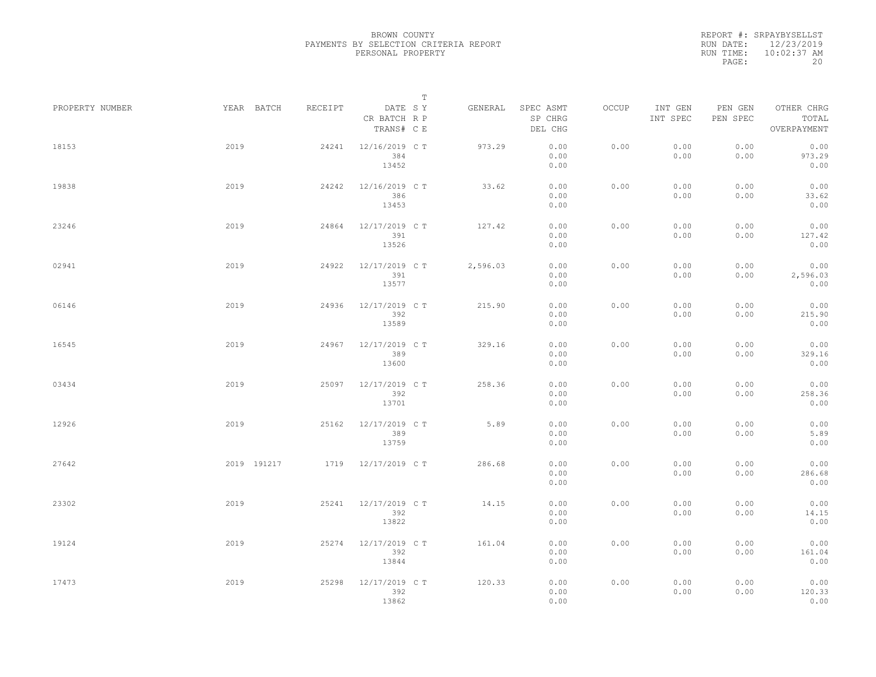|                 |      |             |         |                                       | T |          |                                 |       |                     |                     |                                    |  |
|-----------------|------|-------------|---------|---------------------------------------|---|----------|---------------------------------|-------|---------------------|---------------------|------------------------------------|--|
| PROPERTY NUMBER |      | YEAR BATCH  | RECEIPT | DATE SY<br>CR BATCH R P<br>TRANS# C E |   | GENERAL  | SPEC ASMT<br>SP CHRG<br>DEL CHG | OCCUP | INT GEN<br>INT SPEC | PEN GEN<br>PEN SPEC | OTHER CHRG<br>TOTAL<br>OVERPAYMENT |  |
| 18153           | 2019 |             | 24241   | 12/16/2019 C T<br>384<br>13452        |   | 973.29   | 0.00<br>0.00<br>0.00            | 0.00  | 0.00<br>0.00        | 0.00<br>0.00        | 0.00<br>973.29<br>0.00             |  |
| 19838           | 2019 |             | 24242   | 12/16/2019 C T<br>386<br>13453        |   | 33.62    | 0.00<br>0.00<br>0.00            | 0.00  | 0.00<br>0.00        | 0.00<br>0.00        | 0.00<br>33.62<br>0.00              |  |
| 23246           | 2019 |             | 24864   | 12/17/2019 C T<br>391<br>13526        |   | 127.42   | 0.00<br>0.00<br>0.00            | 0.00  | 0.00<br>0.00        | 0.00<br>0.00        | 0.00<br>127.42<br>0.00             |  |
| 02941           | 2019 |             | 24922   | 12/17/2019 C T<br>391<br>13577        |   | 2,596.03 | 0.00<br>0.00<br>0.00            | 0.00  | 0.00<br>0.00        | 0.00<br>0.00        | 0.00<br>2,596.03<br>0.00           |  |
| 06146           | 2019 |             | 24936   | 12/17/2019 C T<br>392<br>13589        |   | 215.90   | 0.00<br>0.00<br>0.00            | 0.00  | 0.00<br>0.00        | 0.00<br>0.00        | 0.00<br>215.90<br>0.00             |  |
| 16545           | 2019 |             | 24967   | 12/17/2019 C T<br>389<br>13600        |   | 329.16   | 0.00<br>0.00<br>0.00            | 0.00  | 0.00<br>0.00        | 0.00<br>0.00        | 0.00<br>329.16<br>0.00             |  |
| 03434           | 2019 |             | 25097   | 12/17/2019 C T<br>392<br>13701        |   | 258.36   | 0.00<br>0.00<br>0.00            | 0.00  | 0.00<br>0.00        | 0.00<br>0.00        | 0.00<br>258.36<br>0.00             |  |
| 12926           | 2019 |             | 25162   | 12/17/2019 C T<br>389<br>13759        |   | 5.89     | 0.00<br>0.00<br>0.00            | 0.00  | 0.00<br>0.00        | 0.00<br>0.00        | 0.00<br>5.89<br>0.00               |  |
| 27642           |      | 2019 191217 |         | 1719 12/17/2019 CT                    |   | 286.68   | 0.00<br>0.00<br>0.00            | 0.00  | 0.00<br>0.00        | 0.00<br>0.00        | 0.00<br>286.68<br>0.00             |  |
| 23302           | 2019 |             | 25241   | 12/17/2019 C T<br>392<br>13822        |   | 14.15    | 0.00<br>0.00<br>0.00            | 0.00  | 0.00<br>0.00        | 0.00<br>0.00        | 0.00<br>14.15<br>0.00              |  |
| 19124           | 2019 |             | 25274   | 12/17/2019 C T<br>392<br>13844        |   | 161.04   | 0.00<br>0.00<br>0.00            | 0.00  | 0.00<br>0.00        | 0.00<br>0.00        | 0.00<br>161.04<br>0.00             |  |
| 17473           | 2019 |             | 25298   | 12/17/2019 C T<br>392<br>13862        |   | 120.33   | 0.00<br>0.00<br>0.00            | 0.00  | 0.00<br>0.00        | 0.00<br>0.00        | 0.00<br>120.33<br>0.00             |  |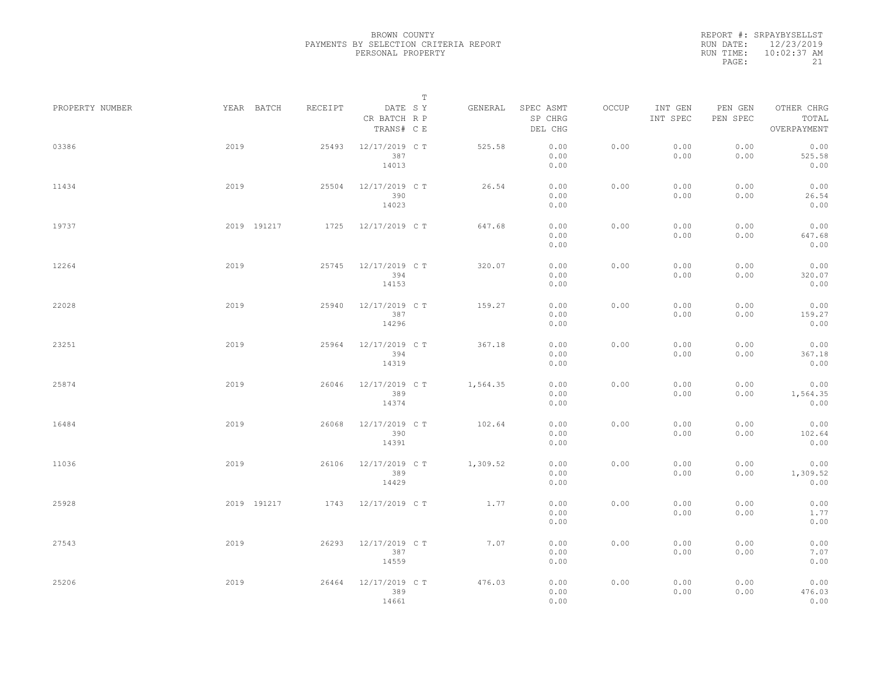|                 |      |             |         |                                       | $\mathbb T$ |          |                                 |       |                     |                     |                                    |  |
|-----------------|------|-------------|---------|---------------------------------------|-------------|----------|---------------------------------|-------|---------------------|---------------------|------------------------------------|--|
| PROPERTY NUMBER |      | YEAR BATCH  | RECEIPT | DATE SY<br>CR BATCH R P<br>TRANS# C E |             | GENERAL  | SPEC ASMT<br>SP CHRG<br>DEL CHG | OCCUP | INT GEN<br>INT SPEC | PEN GEN<br>PEN SPEC | OTHER CHRG<br>TOTAL<br>OVERPAYMENT |  |
| 03386           | 2019 |             | 25493   | 12/17/2019 C T<br>387<br>14013        |             | 525.58   | 0.00<br>0.00<br>0.00            | 0.00  | 0.00<br>0.00        | 0.00<br>0.00        | 0.00<br>525.58<br>0.00             |  |
| 11434           | 2019 |             | 25504   | 12/17/2019 C T<br>390<br>14023        |             | 26.54    | 0.00<br>0.00<br>0.00            | 0.00  | 0.00<br>0.00        | 0.00<br>0.00        | 0.00<br>26.54<br>0.00              |  |
| 19737           |      | 2019 191217 | 1725    | 12/17/2019 C T                        |             | 647.68   | 0.00<br>0.00<br>0.00            | 0.00  | 0.00<br>0.00        | 0.00<br>0.00        | 0.00<br>647.68<br>0.00             |  |
| 12264           | 2019 |             | 25745   | 12/17/2019 C T<br>394<br>14153        |             | 320.07   | 0.00<br>0.00<br>0.00            | 0.00  | 0.00<br>0.00        | 0.00<br>0.00        | 0.00<br>320.07<br>0.00             |  |
| 22028           | 2019 |             | 25940   | 12/17/2019 C T<br>387<br>14296        |             | 159.27   | 0.00<br>0.00<br>0.00            | 0.00  | 0.00<br>0.00        | 0.00<br>0.00        | 0.00<br>159.27<br>0.00             |  |
| 23251           | 2019 |             | 25964   | 12/17/2019 C T<br>394<br>14319        |             | 367.18   | 0.00<br>0.00<br>0.00            | 0.00  | 0.00<br>0.00        | 0.00<br>0.00        | 0.00<br>367.18<br>0.00             |  |
| 25874           | 2019 |             | 26046   | 12/17/2019 C T<br>389<br>14374        |             | 1,564.35 | 0.00<br>0.00<br>0.00            | 0.00  | 0.00<br>0.00        | 0.00<br>0.00        | 0.00<br>1,564.35<br>0.00           |  |
| 16484           | 2019 |             | 26068   | 12/17/2019 C T<br>390<br>14391        |             | 102.64   | 0.00<br>0.00<br>0.00            | 0.00  | 0.00<br>0.00        | 0.00<br>0.00        | 0.00<br>102.64<br>0.00             |  |
| 11036           | 2019 |             | 26106   | 12/17/2019 C T<br>389<br>14429        |             | 1,309.52 | 0.00<br>0.00<br>0.00            | 0.00  | 0.00<br>0.00        | 0.00<br>0.00        | 0.00<br>1,309.52<br>0.00           |  |
| 25928           |      | 2019 191217 |         | 1743 12/17/2019 CT                    |             | 1.77     | 0.00<br>0.00<br>0.00            | 0.00  | 0.00<br>0.00        | 0.00<br>0.00        | 0.00<br>1.77<br>0.00               |  |
| 27543           | 2019 |             | 26293   | 12/17/2019 C T<br>387<br>14559        |             | 7.07     | 0.00<br>0.00<br>0.00            | 0.00  | 0.00<br>0.00        | 0.00<br>0.00        | 0.00<br>7.07<br>0.00               |  |
| 25206           | 2019 |             | 26464   | 12/17/2019 C T<br>389<br>14661        |             | 476.03   | 0.00<br>0.00<br>0.00            | 0.00  | 0.00<br>0.00        | 0.00<br>0.00        | 0.00<br>476.03<br>0.00             |  |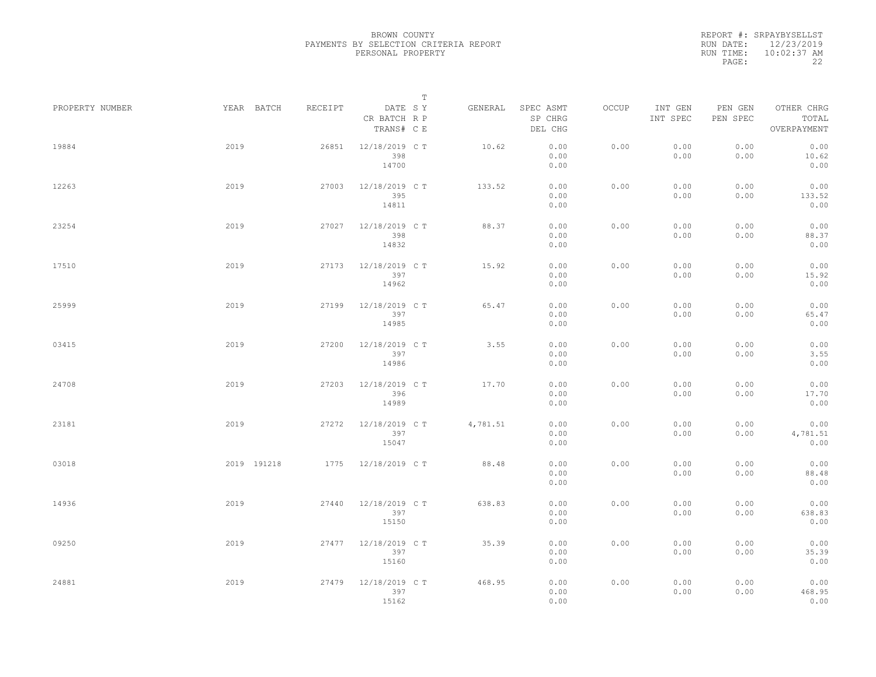|                 |             |         |                                       | $\mathbb T$ |                                 |       |                     |                     |                                    |
|-----------------|-------------|---------|---------------------------------------|-------------|---------------------------------|-------|---------------------|---------------------|------------------------------------|
| PROPERTY NUMBER | YEAR BATCH  | RECEIPT | DATE SY<br>CR BATCH R P<br>TRANS# C E | GENERAL     | SPEC ASMT<br>SP CHRG<br>DEL CHG | OCCUP | INT GEN<br>INT SPEC | PEN GEN<br>PEN SPEC | OTHER CHRG<br>TOTAL<br>OVERPAYMENT |
| 19884           | 2019        | 26851   | 12/18/2019 C T<br>398<br>14700        | 10.62       | 0.00<br>0.00<br>0.00            | 0.00  | 0.00<br>0.00        | 0.00<br>0.00        | 0.00<br>10.62<br>0.00              |
| 12263           | 2019        | 27003   | 12/18/2019 C T<br>395<br>14811        | 133.52      | 0.00<br>0.00<br>0.00            | 0.00  | 0.00<br>0.00        | 0.00<br>0.00        | 0.00<br>133.52<br>0.00             |
| 23254           | 2019        | 27027   | 12/18/2019 C T<br>398<br>14832        | 88.37       | 0.00<br>0.00<br>0.00            | 0.00  | 0.00<br>0.00        | 0.00<br>0.00        | 0.00<br>88.37<br>0.00              |
| 17510           | 2019        | 27173   | 12/18/2019 C T<br>397<br>14962        | 15.92       | 0.00<br>0.00<br>0.00            | 0.00  | 0.00<br>0.00        | 0.00<br>0.00        | 0.00<br>15.92<br>0.00              |
| 25999           | 2019        | 27199   | 12/18/2019 C T<br>397<br>14985        | 65.47       | 0.00<br>0.00<br>0.00            | 0.00  | 0.00<br>0.00        | 0.00<br>0.00        | 0.00<br>65.47<br>0.00              |
| 03415           | 2019        | 27200   | 12/18/2019 C T<br>397<br>14986        | 3.55        | 0.00<br>0.00<br>0.00            | 0.00  | 0.00<br>0.00        | 0.00<br>0.00        | 0.00<br>3.55<br>0.00               |
| 24708           | 2019        | 27203   | 12/18/2019 C T<br>396<br>14989        | 17.70       | 0.00<br>0.00<br>0.00            | 0.00  | 0.00<br>0.00        | 0.00<br>0.00        | 0.00<br>17.70<br>0.00              |
| 23181           | 2019        | 27272   | 12/18/2019 C T<br>397<br>15047        | 4,781.51    | 0.00<br>0.00<br>0.00            | 0.00  | 0.00<br>0.00        | 0.00<br>0.00        | 0.00<br>4,781.51<br>0.00           |
| 03018           | 2019 191218 | 1775    | 12/18/2019 C T                        | 88.48       | 0.00<br>0.00<br>0.00            | 0.00  | 0.00<br>0.00        | 0.00<br>0.00        | 0.00<br>88.48<br>0.00              |
| 14936           | 2019        | 27440   | 12/18/2019 C T<br>397<br>15150        | 638.83      | 0.00<br>0.00<br>0.00            | 0.00  | 0.00<br>0.00        | 0.00<br>0.00        | 0.00<br>638.83<br>0.00             |
| 09250           | 2019        | 27477   | 12/18/2019 C T<br>397<br>15160        | 35.39       | 0.00<br>0.00<br>0.00            | 0.00  | 0.00<br>0.00        | 0.00<br>0.00        | 0.00<br>35.39<br>0.00              |
| 24881           | 2019        | 27479   | 12/18/2019 C T<br>397<br>15162        | 468.95      | 0.00<br>0.00<br>0.00            | 0.00  | 0.00<br>0.00        | 0.00<br>0.00        | 0.00<br>468.95<br>0.00             |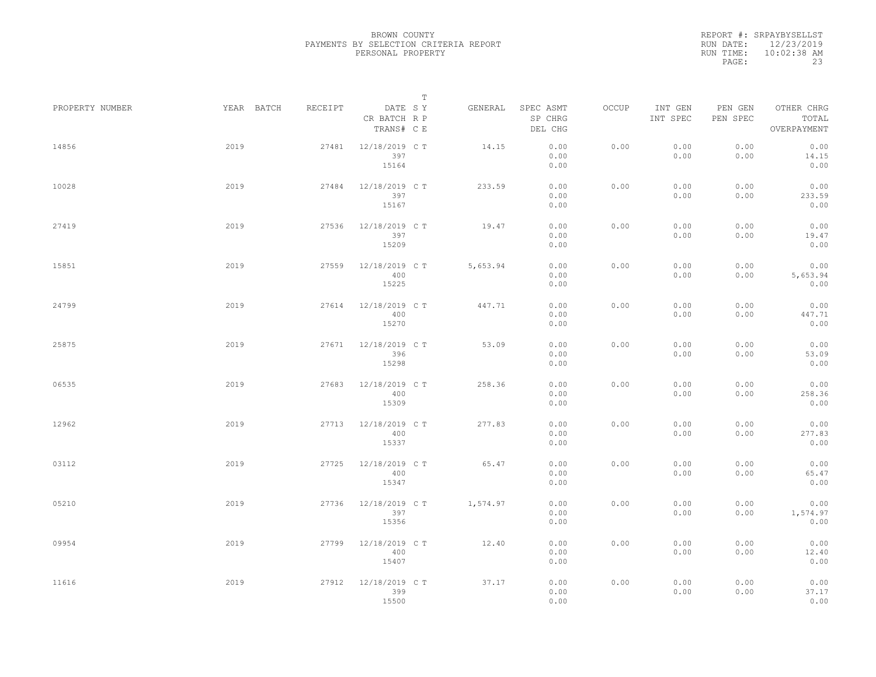|                 |            |         |                                       | $\mathbb T$ |          |                                 |       |                     |                     |                                    |  |
|-----------------|------------|---------|---------------------------------------|-------------|----------|---------------------------------|-------|---------------------|---------------------|------------------------------------|--|
| PROPERTY NUMBER | YEAR BATCH | RECEIPT | DATE SY<br>CR BATCH R P<br>TRANS# C E |             | GENERAL  | SPEC ASMT<br>SP CHRG<br>DEL CHG | OCCUP | INT GEN<br>INT SPEC | PEN GEN<br>PEN SPEC | OTHER CHRG<br>TOTAL<br>OVERPAYMENT |  |
| 14856           | 2019       | 27481   | 12/18/2019 C T<br>397<br>15164        |             | 14.15    | 0.00<br>0.00<br>0.00            | 0.00  | 0.00<br>0.00        | 0.00<br>0.00        | 0.00<br>14.15<br>0.00              |  |
| 10028           | 2019       | 27484   | 12/18/2019 C T<br>397<br>15167        |             | 233.59   | 0.00<br>0.00<br>0.00            | 0.00  | 0.00<br>0.00        | 0.00<br>0.00        | 0.00<br>233.59<br>0.00             |  |
| 27419           | 2019       | 27536   | 12/18/2019 C T<br>397<br>15209        |             | 19.47    | 0.00<br>0.00<br>0.00            | 0.00  | 0.00<br>0.00        | 0.00<br>0.00        | 0.00<br>19.47<br>0.00              |  |
| 15851           | 2019       | 27559   | 12/18/2019 C T<br>400<br>15225        |             | 5,653.94 | 0.00<br>0.00<br>0.00            | 0.00  | 0.00<br>0.00        | 0.00<br>0.00        | 0.00<br>5,653.94<br>0.00           |  |
| 24799           | 2019       | 27614   | 12/18/2019 C T<br>400<br>15270        |             | 447.71   | 0.00<br>0.00<br>0.00            | 0.00  | 0.00<br>0.00        | 0.00<br>0.00        | 0.00<br>447.71<br>0.00             |  |
| 25875           | 2019       | 27671   | 12/18/2019 C T<br>396<br>15298        |             | 53.09    | 0.00<br>0.00<br>0.00            | 0.00  | 0.00<br>0.00        | 0.00<br>0.00        | 0.00<br>53.09<br>0.00              |  |
| 06535           | 2019       | 27683   | 12/18/2019 C T<br>400<br>15309        |             | 258.36   | 0.00<br>0.00<br>0.00            | 0.00  | 0.00<br>0.00        | 0.00<br>0.00        | 0.00<br>258.36<br>0.00             |  |
| 12962           | 2019       | 27713   | 12/18/2019 C T<br>400<br>15337        |             | 277.83   | 0.00<br>0.00<br>0.00            | 0.00  | 0.00<br>0.00        | 0.00<br>0.00        | 0.00<br>277.83<br>0.00             |  |
| 03112           | 2019       | 27725   | 12/18/2019 C T<br>400<br>15347        |             | 65.47    | 0.00<br>0.00<br>0.00            | 0.00  | 0.00<br>0.00        | 0.00<br>0.00        | 0.00<br>65.47<br>0.00              |  |
| 05210           | 2019       | 27736   | 12/18/2019 C T<br>397<br>15356        |             | 1,574.97 | 0.00<br>0.00<br>0.00            | 0.00  | 0.00<br>0.00        | 0.00<br>0.00        | 0.00<br>1,574.97<br>0.00           |  |
| 09954           | 2019       | 27799   | 12/18/2019 C T<br>400<br>15407        |             | 12.40    | 0.00<br>0.00<br>0.00            | 0.00  | 0.00<br>0.00        | 0.00<br>0.00        | 0.00<br>12.40<br>0.00              |  |
| 11616           | 2019       | 27912   | 12/18/2019 C T<br>399<br>15500        |             | 37.17    | 0.00<br>0.00<br>0.00            | 0.00  | 0.00<br>0.00        | 0.00<br>0.00        | 0.00<br>37.17<br>0.00              |  |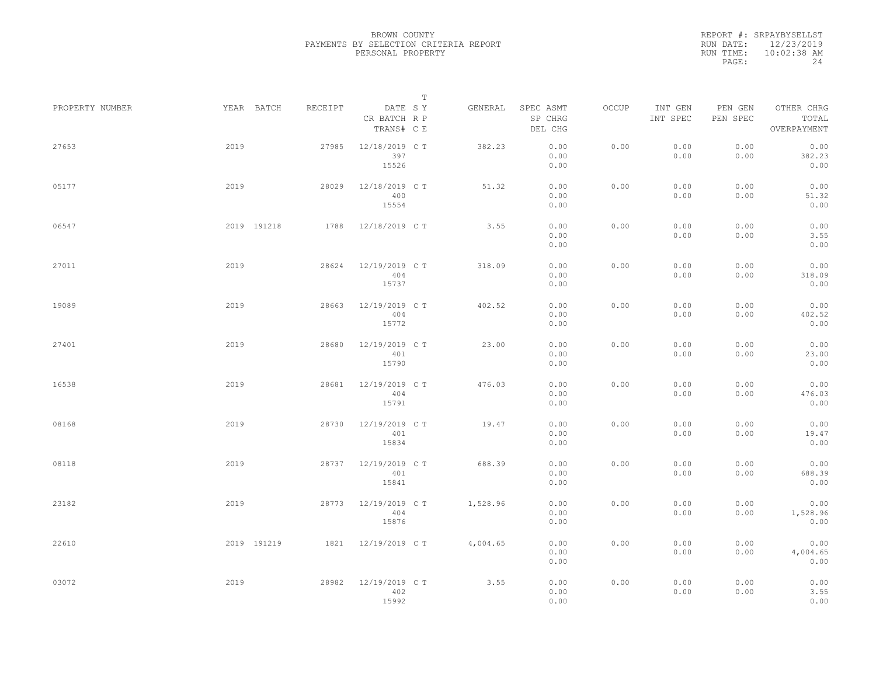|                 |             |         |                                       | $\mathbb T$ |          |                                 |       |                     |                     |                                    |
|-----------------|-------------|---------|---------------------------------------|-------------|----------|---------------------------------|-------|---------------------|---------------------|------------------------------------|
| PROPERTY NUMBER | YEAR BATCH  | RECEIPT | DATE SY<br>CR BATCH R P<br>TRANS# C E |             | GENERAL  | SPEC ASMT<br>SP CHRG<br>DEL CHG | OCCUP | INT GEN<br>INT SPEC | PEN GEN<br>PEN SPEC | OTHER CHRG<br>TOTAL<br>OVERPAYMENT |
| 27653           | 2019        | 27985   | 12/18/2019 C T<br>397<br>15526        |             | 382.23   | 0.00<br>0.00<br>0.00            | 0.00  | 0.00<br>0.00        | 0.00<br>0.00        | 0.00<br>382.23<br>0.00             |
| 05177           | 2019        | 28029   | 12/18/2019 C T<br>400<br>15554        |             | 51.32    | 0.00<br>0.00<br>0.00            | 0.00  | 0.00<br>0.00        | 0.00<br>0.00        | 0.00<br>51.32<br>0.00              |
| 06547           | 2019 191218 | 1788    | 12/18/2019 C T                        |             | 3.55     | 0.00<br>0.00<br>0.00            | 0.00  | 0.00<br>0.00        | 0.00<br>0.00        | 0.00<br>3.55<br>0.00               |
| 27011           | 2019        | 28624   | 12/19/2019 C T<br>404<br>15737        |             | 318.09   | 0.00<br>0.00<br>0.00            | 0.00  | 0.00<br>0.00        | 0.00<br>0.00        | 0.00<br>318.09<br>0.00             |
| 19089           | 2019        | 28663   | 12/19/2019 C T<br>404<br>15772        |             | 402.52   | 0.00<br>0.00<br>0.00            | 0.00  | 0.00<br>0.00        | 0.00<br>0.00        | 0.00<br>402.52<br>0.00             |
| 27401           | 2019        | 28680   | 12/19/2019 C T<br>401<br>15790        |             | 23.00    | 0.00<br>0.00<br>0.00            | 0.00  | 0.00<br>0.00        | 0.00<br>0.00        | 0.00<br>23.00<br>0.00              |
| 16538           | 2019        | 28681   | 12/19/2019 C T<br>404<br>15791        |             | 476.03   | 0.00<br>0.00<br>0.00            | 0.00  | 0.00<br>0.00        | 0.00<br>0.00        | 0.00<br>476.03<br>0.00             |
| 08168           | 2019        | 28730   | 12/19/2019 C T<br>401<br>15834        |             | 19.47    | 0.00<br>0.00<br>0.00            | 0.00  | 0.00<br>0.00        | 0.00<br>0.00        | 0.00<br>19.47<br>0.00              |
| 08118           | 2019        | 28737   | 12/19/2019 C T<br>401<br>15841        |             | 688.39   | 0.00<br>0.00<br>0.00            | 0.00  | 0.00<br>0.00        | 0.00<br>0.00        | 0.00<br>688.39<br>0.00             |
| 23182           | 2019        | 28773   | 12/19/2019 C T<br>404<br>15876        |             | 1,528.96 | 0.00<br>0.00<br>0.00            | 0.00  | 0.00<br>0.00        | 0.00<br>0.00        | 0.00<br>1,528.96<br>0.00           |
| 22610           | 2019 191219 | 1821    | 12/19/2019 C T                        |             | 4,004.65 | 0.00<br>0.00<br>0.00            | 0.00  | 0.00<br>0.00        | 0.00<br>0.00        | 0.00<br>4,004.65<br>0.00           |
| 03072           | 2019        | 28982   | 12/19/2019 C T<br>402<br>15992        |             | 3.55     | 0.00<br>0.00<br>0.00            | 0.00  | 0.00<br>0.00        | 0.00<br>0.00        | 0.00<br>3.55<br>0.00               |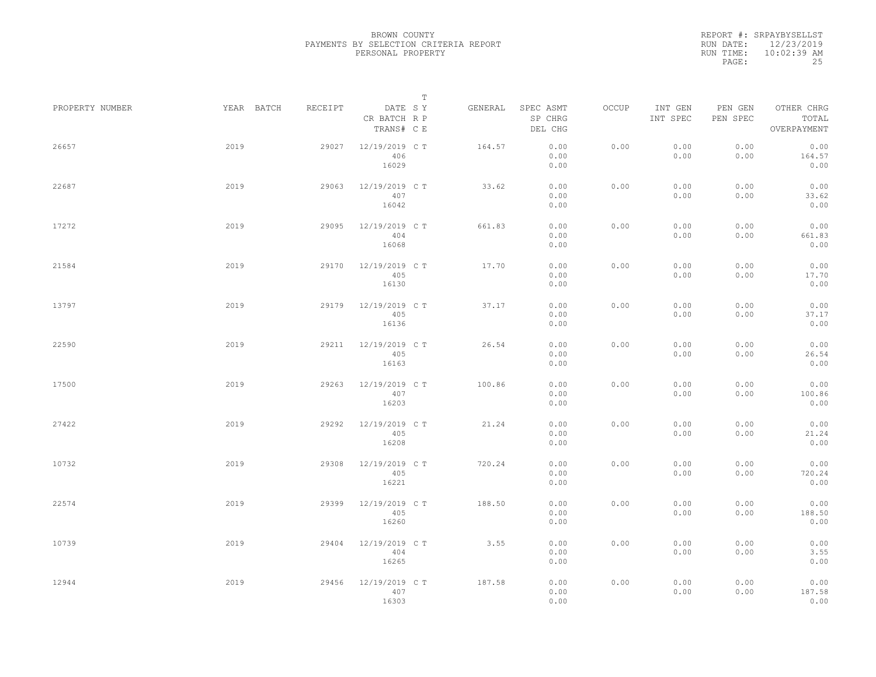|                 |            |         |                                       | $\mathbb T$ |         |                                 |       |                     |                     |                                    |  |
|-----------------|------------|---------|---------------------------------------|-------------|---------|---------------------------------|-------|---------------------|---------------------|------------------------------------|--|
| PROPERTY NUMBER | YEAR BATCH | RECEIPT | DATE SY<br>CR BATCH R P<br>TRANS# C E |             | GENERAL | SPEC ASMT<br>SP CHRG<br>DEL CHG | OCCUP | INT GEN<br>INT SPEC | PEN GEN<br>PEN SPEC | OTHER CHRG<br>TOTAL<br>OVERPAYMENT |  |
| 26657           | 2019       | 29027   | 12/19/2019 C T<br>406<br>16029        |             | 164.57  | 0.00<br>0.00<br>0.00            | 0.00  | 0.00<br>0.00        | 0.00<br>0.00        | 0.00<br>164.57<br>0.00             |  |
| 22687           | 2019       | 29063   | 12/19/2019 C T<br>407<br>16042        |             | 33.62   | 0.00<br>0.00<br>0.00            | 0.00  | 0.00<br>0.00        | 0.00<br>0.00        | 0.00<br>33.62<br>0.00              |  |
| 17272           | 2019       | 29095   | 12/19/2019 C T<br>404<br>16068        |             | 661.83  | 0.00<br>0.00<br>0.00            | 0.00  | 0.00<br>0.00        | 0.00<br>0.00        | 0.00<br>661.83<br>0.00             |  |
| 21584           | 2019       | 29170   | 12/19/2019 C T<br>405<br>16130        |             | 17.70   | 0.00<br>0.00<br>0.00            | 0.00  | 0.00<br>0.00        | 0.00<br>0.00        | 0.00<br>17.70<br>0.00              |  |
| 13797           | 2019       | 29179   | 12/19/2019 C T<br>405<br>16136        |             | 37.17   | 0.00<br>0.00<br>0.00            | 0.00  | 0.00<br>0.00        | 0.00<br>0.00        | 0.00<br>37.17<br>0.00              |  |
| 22590           | 2019       | 29211   | 12/19/2019 C T<br>405<br>16163        |             | 26.54   | 0.00<br>0.00<br>0.00            | 0.00  | 0.00<br>0.00        | 0.00<br>0.00        | 0.00<br>26.54<br>0.00              |  |
| 17500           | 2019       | 29263   | 12/19/2019 C T<br>407<br>16203        |             | 100.86  | 0.00<br>0.00<br>0.00            | 0.00  | 0.00<br>0.00        | 0.00<br>0.00        | 0.00<br>100.86<br>0.00             |  |
| 27422           | 2019       | 29292   | 12/19/2019 C T<br>405<br>16208        |             | 21.24   | 0.00<br>0.00<br>0.00            | 0.00  | 0.00<br>0.00        | 0.00<br>0.00        | 0.00<br>21.24<br>0.00              |  |
| 10732           | 2019       | 29308   | 12/19/2019 C T<br>405<br>16221        |             | 720.24  | 0.00<br>0.00<br>0.00            | 0.00  | 0.00<br>0.00        | 0.00<br>0.00        | 0.00<br>720.24<br>0.00             |  |
| 22574           | 2019       | 29399   | 12/19/2019 C T<br>405<br>16260        |             | 188.50  | 0.00<br>0.00<br>0.00            | 0.00  | 0.00<br>0.00        | 0.00<br>0.00        | 0.00<br>188.50<br>0.00             |  |
| 10739           | 2019       | 29404   | 12/19/2019 C T<br>404<br>16265        |             | 3.55    | 0.00<br>0.00<br>0.00            | 0.00  | 0.00<br>0.00        | 0.00<br>0.00        | 0.00<br>3.55<br>0.00               |  |
| 12944           | 2019       | 29456   | 12/19/2019 C T<br>407<br>16303        |             | 187.58  | 0.00<br>0.00<br>0.00            | 0.00  | 0.00<br>0.00        | 0.00<br>0.00        | 0.00<br>187.58<br>0.00             |  |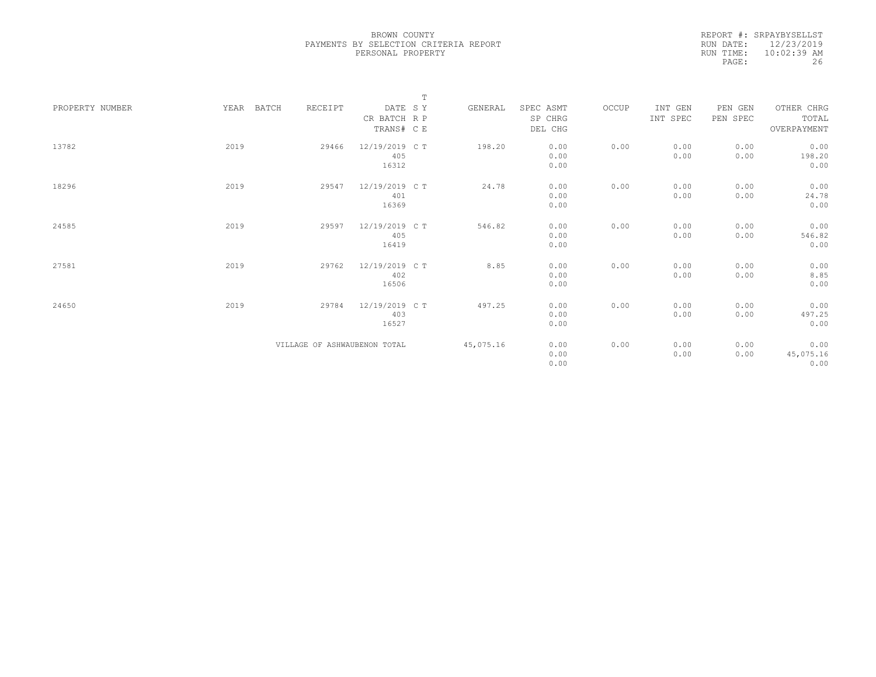|                 |               |                              | $\mathbb T$    |           |           |       |          |          |             |  |
|-----------------|---------------|------------------------------|----------------|-----------|-----------|-------|----------|----------|-------------|--|
| PROPERTY NUMBER | BATCH<br>YEAR | RECEIPT                      | DATE SY        | GENERAL   | SPEC ASMT | OCCUP | INT GEN  | PEN GEN  | OTHER CHRG  |  |
|                 |               |                              | CR BATCH R P   |           | SP CHRG   |       | INT SPEC | PEN SPEC | TOTAL       |  |
|                 |               |                              | TRANS# C E     |           | DEL CHG   |       |          |          | OVERPAYMENT |  |
|                 |               |                              |                |           |           |       |          |          |             |  |
| 13782           | 2019          | 29466                        | 12/19/2019 C T | 198.20    | 0.00      | 0.00  | 0.00     | 0.00     | 0.00        |  |
|                 |               |                              | 405            |           | 0.00      |       | 0.00     | 0.00     | 198.20      |  |
|                 |               |                              | 16312          |           | 0.00      |       |          |          | 0.00        |  |
|                 |               |                              |                |           |           |       |          |          |             |  |
| 18296           | 2019          | 29547                        | 12/19/2019 C T | 24.78     | 0.00      | 0.00  | 0.00     | 0.00     | 0.00        |  |
|                 |               |                              | 401            |           | 0.00      |       | 0.00     | 0.00     | 24.78       |  |
|                 |               |                              | 16369          |           | 0.00      |       |          |          | 0.00        |  |
|                 |               |                              |                |           |           |       |          |          |             |  |
| 24585           | 2019          | 29597                        | 12/19/2019 C T | 546.82    | 0.00      | 0.00  | 0.00     | 0.00     | 0.00        |  |
|                 |               |                              | 405            |           | 0.00      |       | 0.00     | 0.00     | 546.82      |  |
|                 |               |                              | 16419          |           | 0.00      |       |          |          | 0.00        |  |
|                 |               |                              |                |           |           |       |          |          |             |  |
| 27581           | 2019          | 29762                        | 12/19/2019 C T | 8.85      | 0.00      | 0.00  | 0.00     | 0.00     | 0.00        |  |
|                 |               |                              | 402            |           | 0.00      |       | 0.00     | 0.00     | 8.85        |  |
|                 |               |                              | 16506          |           | 0.00      |       |          |          | 0.00        |  |
|                 |               |                              |                |           |           |       |          |          |             |  |
| 24650           | 2019          | 29784                        | 12/19/2019 C T | 497.25    | 0.00      | 0.00  | 0.00     | 0.00     | 0.00        |  |
|                 |               |                              | 403            |           | 0.00      |       | 0.00     | 0.00     | 497.25      |  |
|                 |               |                              | 16527          |           | 0.00      |       |          |          | 0.00        |  |
|                 |               |                              |                |           |           |       |          |          |             |  |
|                 |               | VILLAGE OF ASHWAUBENON TOTAL |                | 45,075.16 | 0.00      | 0.00  | 0.00     | 0.00     | 0.00        |  |
|                 |               |                              |                |           | 0.00      |       | 0.00     | 0.00     | 45,075.16   |  |
|                 |               |                              |                |           | 0.00      |       |          |          | 0.00        |  |
|                 |               |                              |                |           |           |       |          |          |             |  |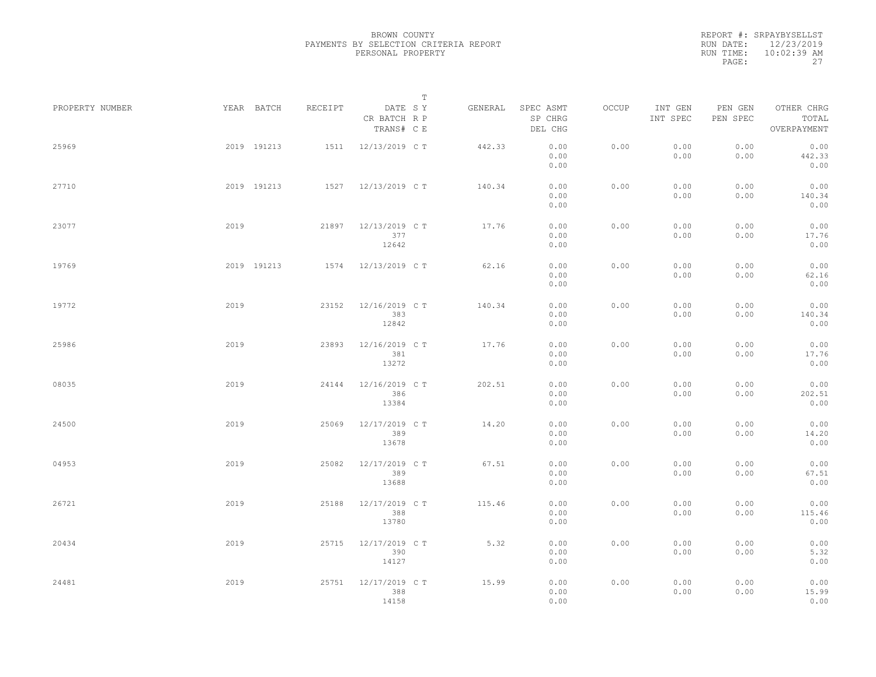|                 |      |             |         |                                       | $\mathbb T$ |         |                                 |       |                     |                     |                                    |  |
|-----------------|------|-------------|---------|---------------------------------------|-------------|---------|---------------------------------|-------|---------------------|---------------------|------------------------------------|--|
| PROPERTY NUMBER |      | YEAR BATCH  | RECEIPT | DATE SY<br>CR BATCH R P<br>TRANS# C E |             | GENERAL | SPEC ASMT<br>SP CHRG<br>DEL CHG | OCCUP | INT GEN<br>INT SPEC | PEN GEN<br>PEN SPEC | OTHER CHRG<br>TOTAL<br>OVERPAYMENT |  |
| 25969           |      | 2019 191213 | 1511    | 12/13/2019 C T                        |             | 442.33  | 0.00<br>0.00<br>0.00            | 0.00  | 0.00<br>0.00        | 0.00<br>0.00        | 0.00<br>442.33<br>0.00             |  |
| 27710           |      | 2019 191213 |         | 1527 12/13/2019 CT                    |             | 140.34  | 0.00<br>0.00<br>0.00            | 0.00  | 0.00<br>0.00        | 0.00<br>0.00        | 0.00<br>140.34<br>0.00             |  |
| 23077           | 2019 |             | 21897   | 12/13/2019 C T<br>377<br>12642        |             | 17.76   | 0.00<br>0.00<br>0.00            | 0.00  | 0.00<br>0.00        | 0.00<br>0.00        | 0.00<br>17.76<br>0.00              |  |
| 19769           |      | 2019 191213 | 1574    | 12/13/2019 C T                        |             | 62.16   | 0.00<br>0.00<br>0.00            | 0.00  | 0.00<br>0.00        | 0.00<br>0.00        | 0.00<br>62.16<br>0.00              |  |
| 19772           | 2019 |             | 23152   | 12/16/2019 C T<br>383<br>12842        |             | 140.34  | 0.00<br>0.00<br>0.00            | 0.00  | 0.00<br>0.00        | 0.00<br>0.00        | 0.00<br>140.34<br>0.00             |  |
| 25986           | 2019 |             | 23893   | 12/16/2019 C T<br>381<br>13272        |             | 17.76   | 0.00<br>0.00<br>0.00            | 0.00  | 0.00<br>0.00        | 0.00<br>0.00        | 0.00<br>17.76<br>0.00              |  |
| 08035           | 2019 |             | 24144   | 12/16/2019 C T<br>386<br>13384        |             | 202.51  | 0.00<br>0.00<br>0.00            | 0.00  | 0.00<br>0.00        | 0.00<br>0.00        | 0.00<br>202.51<br>0.00             |  |
| 24500           | 2019 |             | 25069   | 12/17/2019 C T<br>389<br>13678        |             | 14.20   | 0.00<br>0.00<br>0.00            | 0.00  | 0.00<br>0.00        | 0.00<br>0.00        | 0.00<br>14.20<br>0.00              |  |
| 04953           | 2019 |             | 25082   | 12/17/2019 C T<br>389<br>13688        |             | 67.51   | 0.00<br>0.00<br>0.00            | 0.00  | 0.00<br>0.00        | 0.00<br>0.00        | 0.00<br>67.51<br>0.00              |  |
| 26721           | 2019 |             | 25188   | 12/17/2019 C T<br>388<br>13780        |             | 115.46  | 0.00<br>0.00<br>0.00            | 0.00  | 0.00<br>0.00        | 0.00<br>0.00        | 0.00<br>115.46<br>0.00             |  |
| 20434           | 2019 |             | 25715   | 12/17/2019 C T<br>390<br>14127        |             | 5.32    | 0.00<br>0.00<br>0.00            | 0.00  | 0.00<br>0.00        | 0.00<br>0.00        | 0.00<br>5.32<br>0.00               |  |
| 24481           | 2019 |             | 25751   | 12/17/2019 C T<br>388<br>14158        |             | 15.99   | 0.00<br>0.00<br>0.00            | 0.00  | 0.00<br>0.00        | 0.00<br>0.00        | 0.00<br>15.99<br>0.00              |  |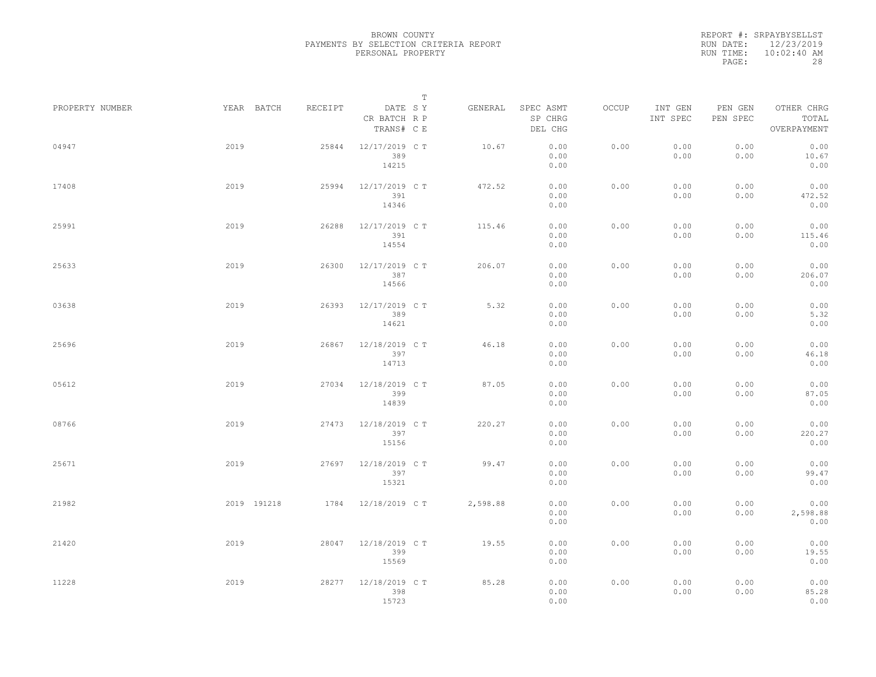|                 |             |         |                                       | $\mathbb T$ |          |                                 |       |                     |                     |                                    |  |
|-----------------|-------------|---------|---------------------------------------|-------------|----------|---------------------------------|-------|---------------------|---------------------|------------------------------------|--|
| PROPERTY NUMBER | YEAR BATCH  | RECEIPT | DATE SY<br>CR BATCH R P<br>TRANS# C E |             | GENERAL  | SPEC ASMT<br>SP CHRG<br>DEL CHG | OCCUP | INT GEN<br>INT SPEC | PEN GEN<br>PEN SPEC | OTHER CHRG<br>TOTAL<br>OVERPAYMENT |  |
| 04947           | 2019        | 25844   | 12/17/2019 C T<br>389<br>14215        |             | 10.67    | 0.00<br>0.00<br>0.00            | 0.00  | 0.00<br>0.00        | 0.00<br>0.00        | 0.00<br>10.67<br>0.00              |  |
| 17408           | 2019        | 25994   | 12/17/2019 C T<br>391<br>14346        |             | 472.52   | 0.00<br>0.00<br>0.00            | 0.00  | 0.00<br>0.00        | 0.00<br>0.00        | 0.00<br>472.52<br>0.00             |  |
| 25991           | 2019        | 26288   | 12/17/2019 C T<br>391<br>14554        |             | 115.46   | 0.00<br>0.00<br>0.00            | 0.00  | 0.00<br>0.00        | 0.00<br>0.00        | 0.00<br>115.46<br>0.00             |  |
| 25633           | 2019        | 26300   | 12/17/2019 C T<br>387<br>14566        |             | 206.07   | 0.00<br>0.00<br>0.00            | 0.00  | 0.00<br>0.00        | 0.00<br>0.00        | 0.00<br>206.07<br>0.00             |  |
| 03638           | 2019        | 26393   | 12/17/2019 C T<br>389<br>14621        |             | 5.32     | 0.00<br>0.00<br>0.00            | 0.00  | 0.00<br>0.00        | 0.00<br>0.00        | 0.00<br>5.32<br>0.00               |  |
| 25696           | 2019        | 26867   | 12/18/2019 C T<br>397<br>14713        |             | 46.18    | 0.00<br>0.00<br>0.00            | 0.00  | 0.00<br>0.00        | 0.00<br>0.00        | 0.00<br>46.18<br>0.00              |  |
| 05612           | 2019        | 27034   | 12/18/2019 C T<br>399<br>14839        |             | 87.05    | 0.00<br>0.00<br>0.00            | 0.00  | 0.00<br>0.00        | 0.00<br>0.00        | 0.00<br>87.05<br>0.00              |  |
| 08766           | 2019        | 27473   | 12/18/2019 C T<br>397<br>15156        |             | 220.27   | 0.00<br>0.00<br>0.00            | 0.00  | 0.00<br>0.00        | 0.00<br>0.00        | 0.00<br>220.27<br>0.00             |  |
| 25671           | 2019        | 27697   | 12/18/2019 C T<br>397<br>15321        |             | 99.47    | 0.00<br>0.00<br>0.00            | 0.00  | 0.00<br>0.00        | 0.00<br>0.00        | 0.00<br>99.47<br>0.00              |  |
| 21982           | 2019 191218 |         | 1784 12/18/2019 CT                    |             | 2,598.88 | 0.00<br>0.00<br>0.00            | 0.00  | 0.00<br>0.00        | 0.00<br>0.00        | 0.00<br>2,598.88<br>0.00           |  |
| 21420           | 2019        | 28047   | 12/18/2019 C T<br>399<br>15569        |             | 19.55    | 0.00<br>0.00<br>0.00            | 0.00  | 0.00<br>0.00        | 0.00<br>0.00        | 0.00<br>19.55<br>0.00              |  |
| 11228           | 2019        | 28277   | 12/18/2019 C T<br>398<br>15723        |             | 85.28    | 0.00<br>0.00<br>0.00            | 0.00  | 0.00<br>0.00        | 0.00<br>0.00        | 0.00<br>85.28<br>0.00              |  |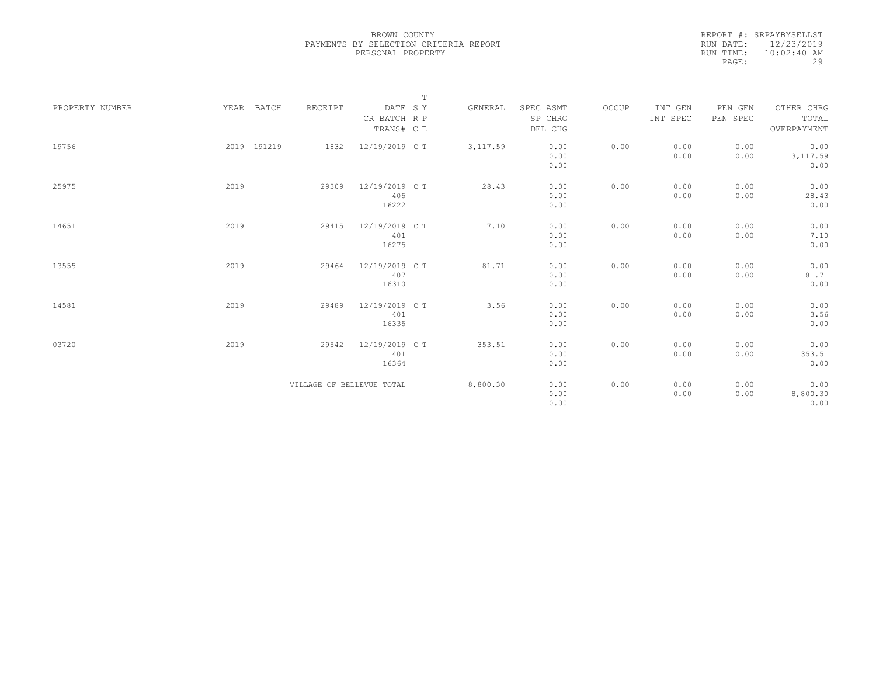|                 |             |                           |                                       | $\mathbb T$ |           |                                 |       |                     |                     |                                    |
|-----------------|-------------|---------------------------|---------------------------------------|-------------|-----------|---------------------------------|-------|---------------------|---------------------|------------------------------------|
| PROPERTY NUMBER | YEAR BATCH  | RECEIPT                   | DATE SY<br>CR BATCH R P<br>TRANS# C E |             | GENERAL   | SPEC ASMT<br>SP CHRG<br>DEL CHG | OCCUP | INT GEN<br>INT SPEC | PEN GEN<br>PEN SPEC | OTHER CHRG<br>TOTAL<br>OVERPAYMENT |
| 19756           | 2019 191219 | 1832                      | 12/19/2019 C T                        |             | 3, 117.59 | 0.00<br>0.00<br>0.00            | 0.00  | 0.00<br>0.00        | 0.00<br>0.00        | 0.00<br>3,117.59<br>0.00           |
| 25975           | 2019        | 29309                     | 12/19/2019 C T<br>405<br>16222        |             | 28.43     | 0.00<br>0.00<br>0.00            | 0.00  | 0.00<br>0.00        | 0.00<br>0.00        | 0.00<br>28.43<br>0.00              |
| 14651           | 2019        | 29415                     | 12/19/2019 C T<br>401<br>16275        |             | 7.10      | 0.00<br>0.00<br>0.00            | 0.00  | 0.00<br>0.00        | 0.00<br>0.00        | 0.00<br>7.10<br>0.00               |
| 13555           | 2019        | 29464                     | 12/19/2019 C T<br>407<br>16310        |             | 81.71     | 0.00<br>0.00<br>0.00            | 0.00  | 0.00<br>0.00        | 0.00<br>0.00        | 0.00<br>81.71<br>0.00              |
| 14581           | 2019        | 29489                     | 12/19/2019 C T<br>401<br>16335        |             | 3.56      | 0.00<br>0.00<br>0.00            | 0.00  | 0.00<br>0.00        | 0.00<br>0.00        | 0.00<br>3.56<br>0.00               |
| 03720           | 2019        | 29542                     | 12/19/2019 C T<br>401<br>16364        |             | 353.51    | 0.00<br>0.00<br>0.00            | 0.00  | 0.00<br>0.00        | 0.00<br>0.00        | 0.00<br>353.51<br>0.00             |
|                 |             | VILLAGE OF BELLEVUE TOTAL |                                       |             | 8,800.30  | 0.00<br>0.00<br>0.00            | 0.00  | 0.00<br>0.00        | 0.00<br>0.00        | 0.00<br>8,800.30<br>0.00           |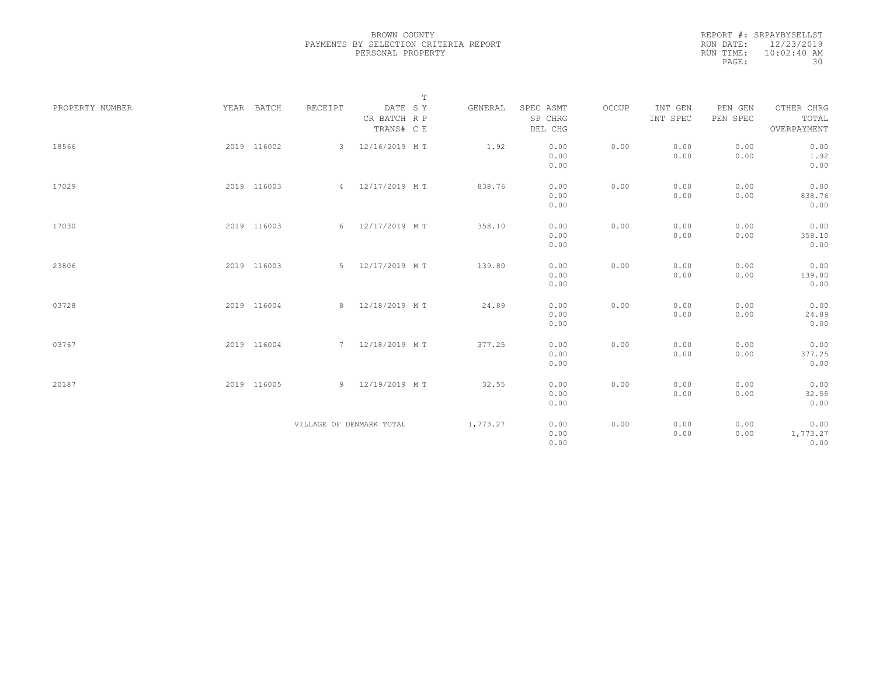|           | REPORT #: SRPAYBYSELLST |
|-----------|-------------------------|
|           | RUN DATE: 12/23/2019    |
| RUN TIME: | $10:02:40$ AM           |
| PAGE:     | 30                      |

|                 |             |                          |                         | $\mathbb T$ |          |                      |       |                     |                     |                     |
|-----------------|-------------|--------------------------|-------------------------|-------------|----------|----------------------|-------|---------------------|---------------------|---------------------|
| PROPERTY NUMBER | YEAR BATCH  | RECEIPT                  | DATE SY<br>CR BATCH R P |             | GENERAL  | SPEC ASMT<br>SP CHRG | OCCUP | INT GEN<br>INT SPEC | PEN GEN<br>PEN SPEC | OTHER CHRG<br>TOTAL |
|                 |             |                          | TRANS# C E              |             |          | DEL CHG              |       |                     |                     | OVERPAYMENT         |
| 18566           | 2019 116002 | 3                        | 12/16/2019 MT           |             | 1.92     | 0.00                 | 0.00  | 0.00                | 0.00                | 0.00                |
|                 |             |                          |                         |             |          | 0.00                 |       | 0.00                | 0.00                | 1.92                |
|                 |             |                          |                         |             |          | 0.00                 |       |                     |                     | 0.00                |
| 17029           | 2019 116003 |                          | 4 12/17/2019 MT         |             | 838.76   | 0.00                 | 0.00  | 0.00                | 0.00                | 0.00                |
|                 |             |                          |                         |             |          | 0.00                 |       | 0.00                | 0.00                | 838.76              |
|                 |             |                          |                         |             |          | 0.00                 |       |                     |                     | 0.00                |
| 17030           | 2019 116003 |                          | 6 12/17/2019 MT         |             | 358.10   | 0.00                 | 0.00  | 0.00                | 0.00                | 0.00                |
|                 |             |                          |                         |             |          | 0.00                 |       | 0.00                | 0.00                | 358.10              |
|                 |             |                          |                         |             |          | 0.00                 |       |                     |                     | 0.00                |
| 23806           | 2019 116003 |                          | 5 12/17/2019 MT         |             | 139.80   | 0.00                 | 0.00  | 0.00                | 0.00                | 0.00                |
|                 |             |                          |                         |             |          | 0.00                 |       | 0.00                | 0.00                | 139.80              |
|                 |             |                          |                         |             |          | 0.00                 |       |                     |                     | 0.00                |
| 03728           | 2019 116004 |                          | 8 12/18/2019 MT         |             | 24.89    | 0.00                 | 0.00  | 0.00                | 0.00                | 0.00                |
|                 |             |                          |                         |             |          | 0.00                 |       | 0.00                | 0.00                | 24.89               |
|                 |             |                          |                         |             |          | 0.00                 |       |                     |                     | 0.00                |
| 03767           | 2019 116004 |                          | 7 12/18/2019 MT         |             | 377.25   | 0.00                 | 0.00  | 0.00                | 0.00                | 0.00                |
|                 |             |                          |                         |             |          | 0.00                 |       | 0.00                | 0.00                | 377.25              |
|                 |             |                          |                         |             |          | 0.00                 |       |                     |                     | 0.00                |
| 20187           | 2019 116005 |                          | 9 12/19/2019 MT         |             | 32.55    | 0.00                 | 0.00  | 0.00                | 0.00                | 0.00                |
|                 |             |                          |                         |             |          | 0.00                 |       | 0.00                | 0.00                | 32.55               |
|                 |             |                          |                         |             |          | 0.00                 |       |                     |                     | 0.00                |
|                 |             | VILLAGE OF DENMARK TOTAL |                         |             | 1,773.27 | 0.00                 | 0.00  | 0.00                | 0.00                | 0.00                |
|                 |             |                          |                         |             |          | 0.00                 |       | 0.00                | 0.00                | 1,773.27            |
|                 |             |                          |                         |             |          | 0.00                 |       |                     |                     | 0.00                |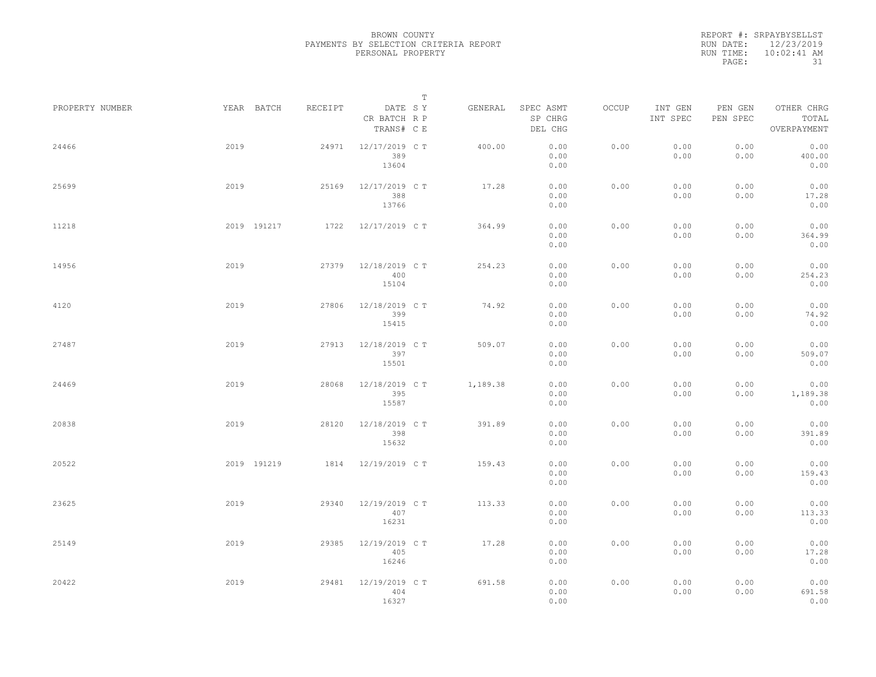|                 |      |             |         |                                       | $\mathbb T$ |          |                                 |       |                     |                     |                                    |  |
|-----------------|------|-------------|---------|---------------------------------------|-------------|----------|---------------------------------|-------|---------------------|---------------------|------------------------------------|--|
| PROPERTY NUMBER |      | YEAR BATCH  | RECEIPT | DATE SY<br>CR BATCH R P<br>TRANS# C E |             | GENERAL  | SPEC ASMT<br>SP CHRG<br>DEL CHG | OCCUP | INT GEN<br>INT SPEC | PEN GEN<br>PEN SPEC | OTHER CHRG<br>TOTAL<br>OVERPAYMENT |  |
| 24466           | 2019 |             | 24971   | 12/17/2019 C T<br>389<br>13604        |             | 400.00   | 0.00<br>0.00<br>0.00            | 0.00  | 0.00<br>0.00        | 0.00<br>0.00        | 0.00<br>400.00<br>0.00             |  |
| 25699           | 2019 |             | 25169   | 12/17/2019 C T<br>388<br>13766        |             | 17.28    | 0.00<br>0.00<br>0.00            | 0.00  | 0.00<br>0.00        | 0.00<br>0.00        | 0.00<br>17.28<br>0.00              |  |
| 11218           |      | 2019 191217 | 1722    | 12/17/2019 C T                        |             | 364.99   | 0.00<br>0.00<br>0.00            | 0.00  | 0.00<br>0.00        | 0.00<br>0.00        | 0.00<br>364.99<br>0.00             |  |
| 14956           | 2019 |             | 27379   | 12/18/2019 C T<br>400<br>15104        |             | 254.23   | 0.00<br>0.00<br>0.00            | 0.00  | 0.00<br>0.00        | 0.00<br>0.00        | 0.00<br>254.23<br>0.00             |  |
| 4120            | 2019 |             | 27806   | 12/18/2019 C T<br>399<br>15415        |             | 74.92    | 0.00<br>0.00<br>0.00            | 0.00  | 0.00<br>0.00        | 0.00<br>0.00        | 0.00<br>74.92<br>0.00              |  |
| 27487           | 2019 |             | 27913   | 12/18/2019 C T<br>397<br>15501        |             | 509.07   | 0.00<br>0.00<br>0.00            | 0.00  | 0.00<br>0.00        | 0.00<br>0.00        | 0.00<br>509.07<br>0.00             |  |
| 24469           | 2019 |             | 28068   | 12/18/2019 C T<br>395<br>15587        |             | 1,189.38 | 0.00<br>0.00<br>0.00            | 0.00  | 0.00<br>0.00        | 0.00<br>0.00        | 0.00<br>1,189.38<br>0.00           |  |
| 20838           | 2019 |             | 28120   | 12/18/2019 C T<br>398<br>15632        |             | 391.89   | 0.00<br>0.00<br>0.00            | 0.00  | 0.00<br>0.00        | 0.00<br>0.00        | 0.00<br>391.89<br>0.00             |  |
| 20522           |      | 2019 191219 | 1814    | 12/19/2019 C T                        |             | 159.43   | 0.00<br>0.00<br>0.00            | 0.00  | 0.00<br>0.00        | 0.00<br>0.00        | 0.00<br>159.43<br>0.00             |  |
| 23625           | 2019 |             | 29340   | 12/19/2019 C T<br>407<br>16231        |             | 113.33   | 0.00<br>0.00<br>0.00            | 0.00  | 0.00<br>0.00        | 0.00<br>0.00        | 0.00<br>113.33<br>0.00             |  |
| 25149           | 2019 |             | 29385   | 12/19/2019 C T<br>405<br>16246        |             | 17.28    | 0.00<br>0.00<br>0.00            | 0.00  | 0.00<br>0.00        | 0.00<br>0.00        | 0.00<br>17.28<br>0.00              |  |
| 20422           | 2019 |             | 29481   | 12/19/2019 C T<br>404<br>16327        |             | 691.58   | 0.00<br>0.00<br>0.00            | 0.00  | 0.00<br>0.00        | 0.00<br>0.00        | 0.00<br>691.58<br>0.00             |  |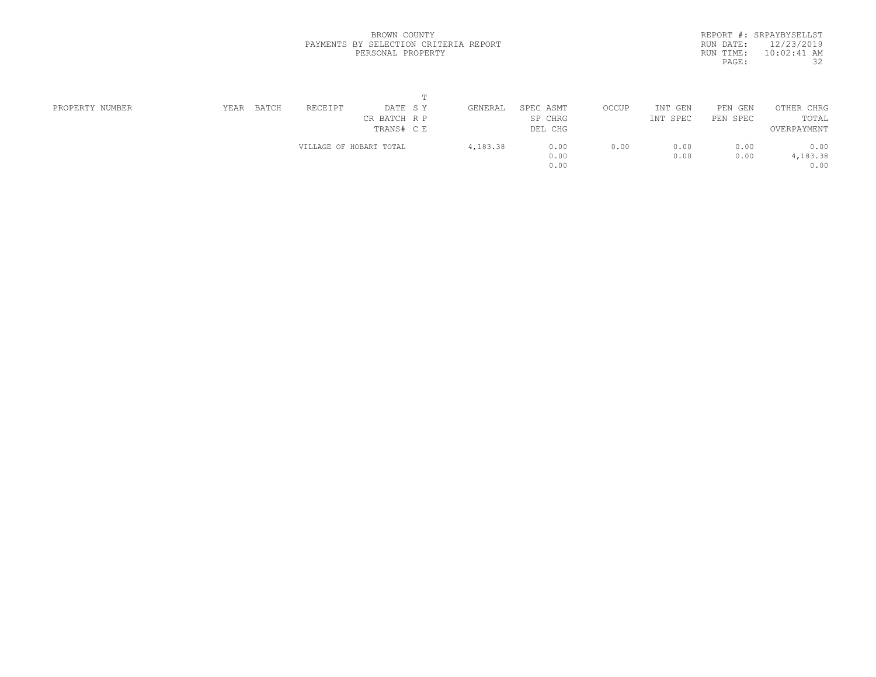|           | REPORT #: SRPAYBYSELLST |
|-----------|-------------------------|
|           | RUN DATE: 12/23/2019    |
| RUN TIME: | $10:02:41$ AM           |
| PAGE:     | 32                      |
|           |                         |

| PROPERTY NUMBER | BATCH<br>YEAR | RECEIPT                 | DATE SY      | GENERAL  | SPEC ASMT | OCCUP | INT<br>GEN | PEN GEN  | OTHER CHRG  |  |
|-----------------|---------------|-------------------------|--------------|----------|-----------|-------|------------|----------|-------------|--|
|                 |               |                         | CR BATCH R P |          | SP CHRG   |       | INT SPEC   | PEN SPEC | TOTAL       |  |
|                 |               |                         | TRANS# C E   |          | DEL CHG   |       |            |          | OVERPAYMENT |  |
|                 |               | VILLAGE OF HOBART TOTAL |              | 4,183.38 | 0.00      | 0.00  | 0.00       | 0.00     | 0.00        |  |
|                 |               |                         |              |          | 0.00      |       | 0.00       | 0.00     | 4,183.38    |  |
|                 |               |                         |              |          | 0.00      |       |            |          | 0.00        |  |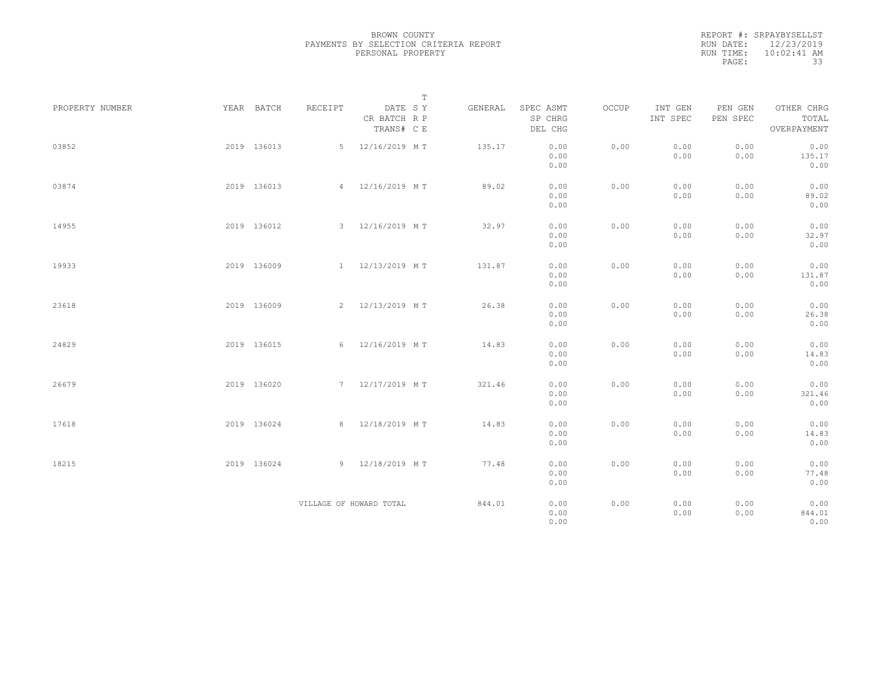| REPORT #: SRPAYBYSELLST    |
|----------------------------|
| RUN DATE: 12/23/2019       |
| $10:02:41$ AM<br>RUN TIME: |
| 33<br>PAGE:                |

|                 |             |         | $\mathbb T$                           |         |                                 |       |                     |                     |                                    |  |
|-----------------|-------------|---------|---------------------------------------|---------|---------------------------------|-------|---------------------|---------------------|------------------------------------|--|
| PROPERTY NUMBER | YEAR BATCH  | RECEIPT | DATE SY<br>CR BATCH R P<br>TRANS# C E | GENERAL | SPEC ASMT<br>SP CHRG<br>DEL CHG | OCCUP | INT GEN<br>INT SPEC | PEN GEN<br>PEN SPEC | OTHER CHRG<br>TOTAL<br>OVERPAYMENT |  |
| 03852           | 2019 136013 | 5       | 12/16/2019 MT                         | 135.17  | 0.00<br>0.00<br>0.00            | 0.00  | 0.00<br>0.00        | 0.00<br>0.00        | 0.00<br>135.17<br>0.00             |  |
| 03874           | 2019 136013 |         | 4 12/16/2019 MT                       | 89.02   | 0.00<br>0.00<br>0.00            | 0.00  | 0.00<br>0.00        | 0.00<br>0.00        | 0.00<br>89.02<br>0.00              |  |
| 14955           | 2019 136012 |         | 3 12/16/2019 MT                       | 32.97   | 0.00<br>0.00<br>0.00            | 0.00  | 0.00<br>0.00        | 0.00<br>0.00        | 0.00<br>32.97<br>0.00              |  |
| 19933           | 2019 136009 |         | 1 12/13/2019 MT                       | 131.87  | 0.00<br>0.00<br>0.00            | 0.00  | 0.00<br>0.00        | 0.00<br>0.00        | 0.00<br>131.87<br>0.00             |  |
| 23618           | 2019 136009 |         | 2 12/13/2019 MT                       | 26.38   | 0.00<br>0.00<br>0.00            | 0.00  | 0.00<br>0.00        | 0.00<br>0.00        | 0.00<br>26.38<br>0.00              |  |
| 24829           | 2019 136015 |         | 6 12/16/2019 MT                       | 14.83   | 0.00<br>0.00<br>0.00            | 0.00  | 0.00<br>0.00        | 0.00<br>0.00        | 0.00<br>14.83<br>0.00              |  |
| 26679           | 2019 136020 |         | 7 12/17/2019 MT                       | 321.46  | 0.00<br>0.00<br>0.00            | 0.00  | 0.00<br>0.00        | 0.00<br>0.00        | 0.00<br>321.46<br>0.00             |  |
| 17618           | 2019 136024 |         | 8 12/18/2019 MT                       | 14.83   | 0.00<br>0.00<br>0.00            | 0.00  | 0.00<br>0.00        | 0.00<br>0.00        | 0.00<br>14.83<br>0.00              |  |
| 18215           | 2019 136024 |         | 9 12/18/2019 MT                       | 77.48   | 0.00<br>0.00<br>0.00            | 0.00  | 0.00<br>0.00        | 0.00<br>0.00        | 0.00<br>77.48<br>0.00              |  |
|                 |             |         | VILLAGE OF HOWARD TOTAL               | 844.01  | 0.00<br>0.00<br>0.00            | 0.00  | 0.00<br>0.00        | 0.00<br>0.00        | 0.00<br>844.01<br>0.00             |  |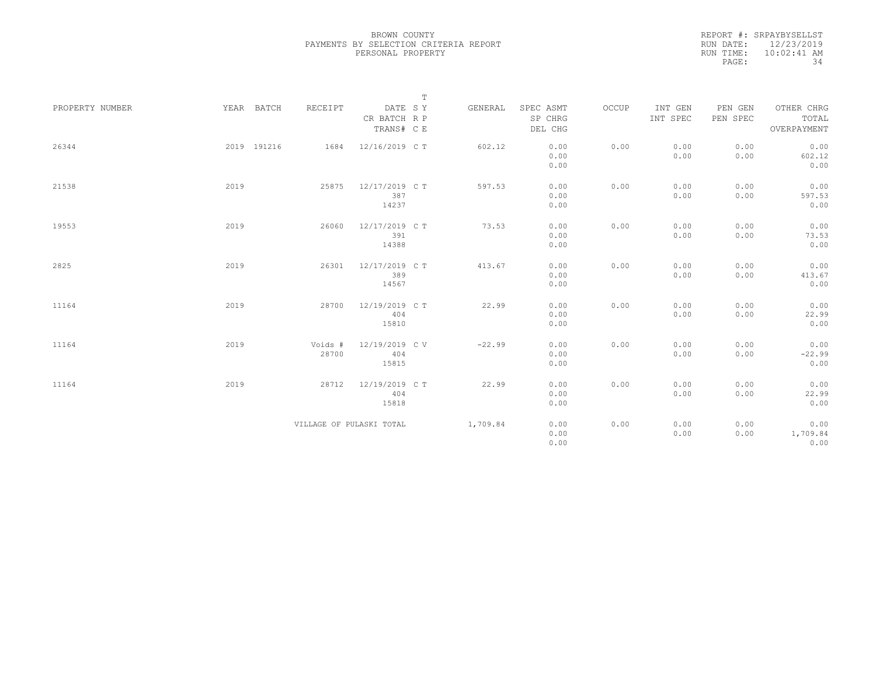|                 |             |                          |                                | $\mathbb T$ |          |                      |       |                     |                     |                          |
|-----------------|-------------|--------------------------|--------------------------------|-------------|----------|----------------------|-------|---------------------|---------------------|--------------------------|
| PROPERTY NUMBER | YEAR BATCH  | RECEIPT                  | DATE SY<br>CR BATCH R P        |             | GENERAL  | SPEC ASMT<br>SP CHRG | OCCUP | INT GEN<br>INT SPEC | PEN GEN<br>PEN SPEC | OTHER CHRG<br>TOTAL      |
|                 |             |                          | TRANS# C E                     |             |          | DEL CHG              |       |                     |                     | OVERPAYMENT              |
| 26344           | 2019 191216 | 1684                     | 12/16/2019 C T                 |             | 602.12   | 0.00<br>0.00<br>0.00 | 0.00  | 0.00<br>0.00        | 0.00<br>0.00        | 0.00<br>602.12<br>0.00   |
| 21538           | 2019        | 25875                    | 12/17/2019 C T<br>387<br>14237 |             | 597.53   | 0.00<br>0.00<br>0.00 | 0.00  | 0.00<br>0.00        | 0.00<br>0.00        | 0.00<br>597.53<br>0.00   |
| 19553           | 2019        | 26060                    | 12/17/2019 C T<br>391<br>14388 |             | 73.53    | 0.00<br>0.00<br>0.00 | 0.00  | 0.00<br>0.00        | 0.00<br>0.00        | 0.00<br>73.53<br>0.00    |
| 2825            | 2019        | 26301                    | 12/17/2019 C T<br>389<br>14567 |             | 413.67   | 0.00<br>0.00<br>0.00 | 0.00  | 0.00<br>0.00        | 0.00<br>0.00        | 0.00<br>413.67<br>0.00   |
| 11164           | 2019        | 28700                    | 12/19/2019 C T<br>404<br>15810 |             | 22.99    | 0.00<br>0.00<br>0.00 | 0.00  | 0.00<br>0.00        | 0.00<br>0.00        | 0.00<br>22.99<br>0.00    |
| 11164           | 2019        | Voids #<br>28700         | 12/19/2019 C V<br>404<br>15815 |             | $-22.99$ | 0.00<br>0.00<br>0.00 | 0.00  | 0.00<br>0.00        | 0.00<br>0.00        | 0.00<br>$-22.99$<br>0.00 |
| 11164           | 2019        | 28712                    | 12/19/2019 C T<br>404<br>15818 |             | 22.99    | 0.00<br>0.00<br>0.00 | 0.00  | 0.00<br>0.00        | 0.00<br>0.00        | 0.00<br>22.99<br>0.00    |
|                 |             | VILLAGE OF PULASKI TOTAL |                                |             | 1,709.84 | 0.00<br>0.00<br>0.00 | 0.00  | 0.00<br>0.00        | 0.00<br>0.00        | 0.00<br>1,709.84<br>0.00 |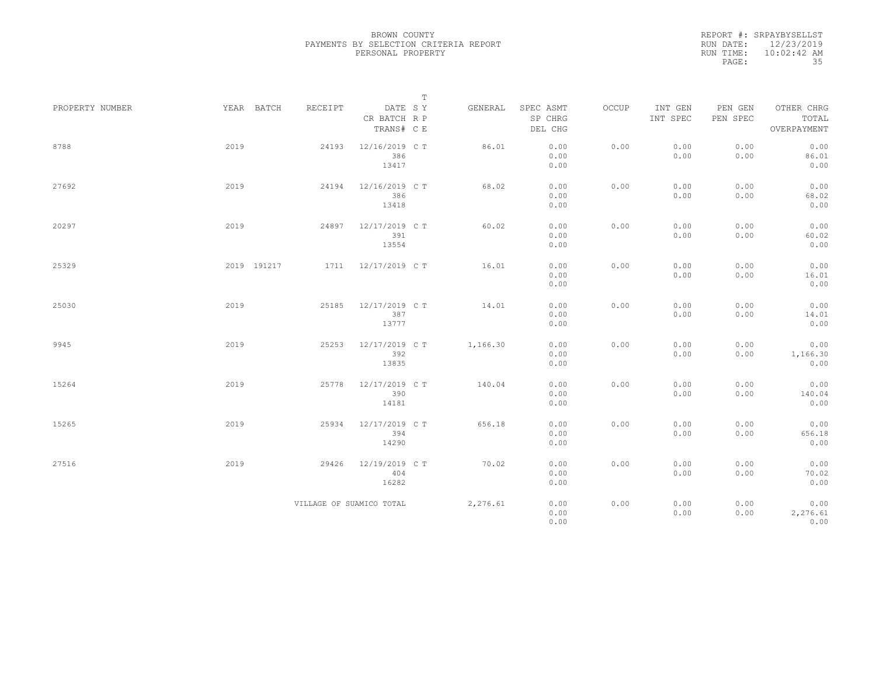|                 |             |                          | $\mathbb T$                           |          |                                 |       |                     |                     |                                    |
|-----------------|-------------|--------------------------|---------------------------------------|----------|---------------------------------|-------|---------------------|---------------------|------------------------------------|
| PROPERTY NUMBER | YEAR BATCH  | RECEIPT                  | DATE SY<br>CR BATCH R P<br>TRANS# C E | GENERAL  | SPEC ASMT<br>SP CHRG<br>DEL CHG | OCCUP | INT GEN<br>INT SPEC | PEN GEN<br>PEN SPEC | OTHER CHRG<br>TOTAL<br>OVERPAYMENT |
| 8788            | 2019        | 24193                    | 12/16/2019 C T<br>386<br>13417        | 86.01    | 0.00<br>0.00<br>0.00            | 0.00  | 0.00<br>0.00        | 0.00<br>0.00        | 0.00<br>86.01<br>0.00              |
| 27692           | 2019        | 24194                    | 12/16/2019 C T<br>386<br>13418        | 68.02    | 0.00<br>0.00<br>0.00            | 0.00  | 0.00<br>0.00        | 0.00<br>0.00        | 0.00<br>68.02<br>0.00              |
| 20297           | 2019        | 24897                    | 12/17/2019 C T<br>391<br>13554        | 60.02    | 0.00<br>0.00<br>0.00            | 0.00  | 0.00<br>0.00        | 0.00<br>0.00        | 0.00<br>60.02<br>0.00              |
| 25329           | 2019 191217 | 1711                     | 12/17/2019 C T                        | 16.01    | 0.00<br>0.00<br>0.00            | 0.00  | 0.00<br>0.00        | 0.00<br>0.00        | 0.00<br>16.01<br>0.00              |
| 25030           | 2019        | 25185                    | 12/17/2019 C T<br>387<br>13777        | 14.01    | 0.00<br>0.00<br>0.00            | 0.00  | 0.00<br>0.00        | 0.00<br>0.00        | 0.00<br>14.01<br>0.00              |
| 9945            | 2019        | 25253                    | 12/17/2019 C T<br>392<br>13835        | 1,166.30 | 0.00<br>0.00<br>0.00            | 0.00  | 0.00<br>0.00        | 0.00<br>0.00        | 0.00<br>1,166.30<br>0.00           |
| 15264           | 2019        | 25778                    | 12/17/2019 C T<br>390<br>14181        | 140.04   | 0.00<br>0.00<br>0.00            | 0.00  | 0.00<br>0.00        | 0.00<br>0.00        | 0.00<br>140.04<br>0.00             |
| 15265           | 2019        | 25934                    | 12/17/2019 C T<br>394<br>14290        | 656.18   | 0.00<br>0.00<br>0.00            | 0.00  | 0.00<br>0.00        | 0.00<br>0.00        | 0.00<br>656.18<br>0.00             |
| 27516           | 2019        | 29426                    | 12/19/2019 C T<br>404<br>16282        | 70.02    | 0.00<br>0.00<br>0.00            | 0.00  | 0.00<br>0.00        | 0.00<br>0.00        | 0.00<br>70.02<br>0.00              |
|                 |             | VILLAGE OF SUAMICO TOTAL |                                       | 2,276.61 | 0.00<br>0.00<br>0.00            | 0.00  | 0.00<br>0.00        | 0.00<br>0.00        | 0.00<br>2,276.61<br>0.00           |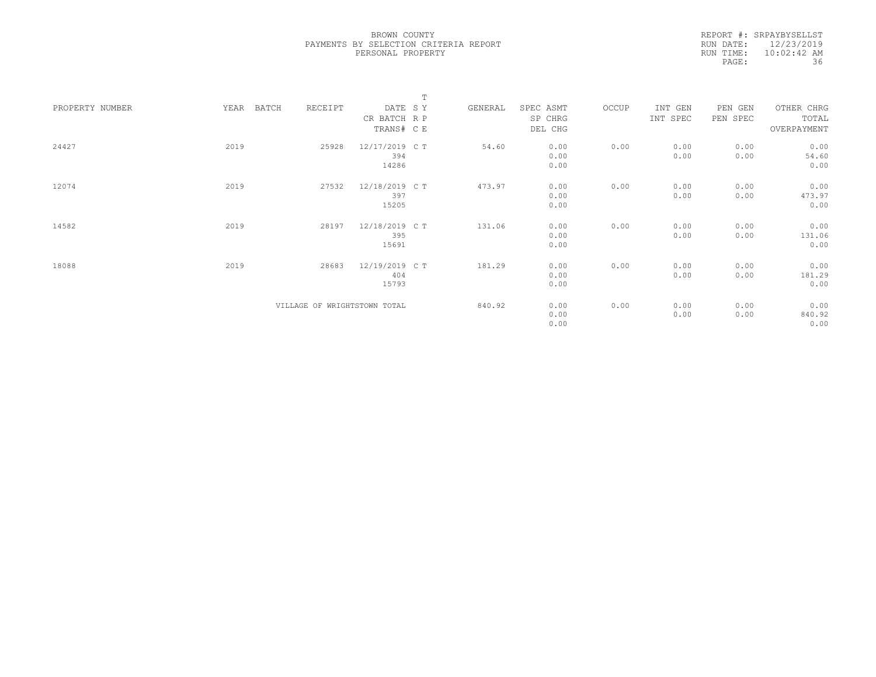|                 |      |       |         |                              | $\mathbb T$ |         |           |       |          |          |             |  |
|-----------------|------|-------|---------|------------------------------|-------------|---------|-----------|-------|----------|----------|-------------|--|
| PROPERTY NUMBER | YEAR | BATCH | RECEIPT | DATE SY                      |             | GENERAL | SPEC ASMT | OCCUP | INT GEN  | PEN GEN  | OTHER CHRG  |  |
|                 |      |       |         | CR BATCH R P                 |             |         | SP CHRG   |       | INT SPEC | PEN SPEC | TOTAL       |  |
|                 |      |       |         | TRANS# C E                   |             |         | DEL CHG   |       |          |          | OVERPAYMENT |  |
|                 |      |       |         |                              |             |         |           |       |          |          |             |  |
| 24427           | 2019 |       | 25928   | 12/17/2019 C T               |             | 54.60   | 0.00      | 0.00  | 0.00     | 0.00     | 0.00        |  |
|                 |      |       |         | 394                          |             |         | 0.00      |       | 0.00     | 0.00     | 54.60       |  |
|                 |      |       |         | 14286                        |             |         | 0.00      |       |          |          | 0.00        |  |
|                 |      |       |         |                              |             |         |           |       |          |          |             |  |
| 12074           | 2019 |       | 27532   | 12/18/2019 C T               |             | 473.97  | 0.00      | 0.00  | 0.00     | 0.00     | 0.00        |  |
|                 |      |       |         | 397                          |             |         | 0.00      |       | 0.00     | 0.00     | 473.97      |  |
|                 |      |       |         | 15205                        |             |         | 0.00      |       |          |          | 0.00        |  |
| 14582           | 2019 |       | 28197   | 12/18/2019 C T               |             | 131.06  | 0.00      | 0.00  | 0.00     | 0.00     | 0.00        |  |
|                 |      |       |         | 395                          |             |         | 0.00      |       | 0.00     | 0.00     | 131.06      |  |
|                 |      |       |         | 15691                        |             |         | 0.00      |       |          |          | 0.00        |  |
|                 |      |       |         |                              |             |         |           |       |          |          |             |  |
| 18088           | 2019 |       | 28683   | 12/19/2019 C T               |             | 181.29  | 0.00      | 0.00  | 0.00     | 0.00     | 0.00        |  |
|                 |      |       |         | 404                          |             |         | 0.00      |       | 0.00     | 0.00     | 181.29      |  |
|                 |      |       |         | 15793                        |             |         | 0.00      |       |          |          | 0.00        |  |
|                 |      |       |         |                              |             |         |           |       |          |          |             |  |
|                 |      |       |         | VILLAGE OF WRIGHTSTOWN TOTAL |             | 840.92  | 0.00      | 0.00  | 0.00     | 0.00     | 0.00        |  |
|                 |      |       |         |                              |             |         | 0.00      |       | 0.00     | 0.00     | 840.92      |  |
|                 |      |       |         |                              |             |         | 0.00      |       |          |          | 0.00        |  |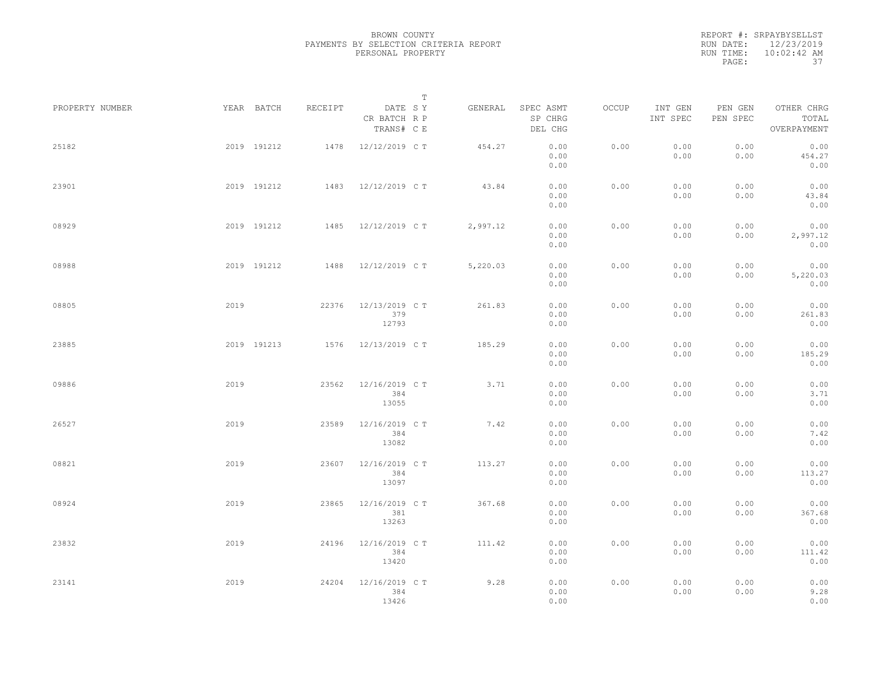|                 |      |             |         |                                       | T |          |                                 |       |                     |                     |                                    |  |
|-----------------|------|-------------|---------|---------------------------------------|---|----------|---------------------------------|-------|---------------------|---------------------|------------------------------------|--|
| PROPERTY NUMBER |      | YEAR BATCH  | RECEIPT | DATE SY<br>CR BATCH R P<br>TRANS# C E |   | GENERAL  | SPEC ASMT<br>SP CHRG<br>DEL CHG | OCCUP | INT GEN<br>INT SPEC | PEN GEN<br>PEN SPEC | OTHER CHRG<br>TOTAL<br>OVERPAYMENT |  |
| 25182           |      | 2019 191212 | 1478    | 12/12/2019 C T                        |   | 454.27   | 0.00<br>0.00<br>0.00            | 0.00  | 0.00<br>0.00        | 0.00<br>0.00        | 0.00<br>454.27<br>0.00             |  |
| 23901           |      | 2019 191212 |         | 1483 12/12/2019 CT                    |   | 43.84    | 0.00<br>0.00<br>0.00            | 0.00  | 0.00<br>0.00        | 0.00<br>0.00        | 0.00<br>43.84<br>0.00              |  |
| 08929           |      | 2019 191212 |         | 1485 12/12/2019 CT                    |   | 2,997.12 | 0.00<br>0.00<br>0.00            | 0.00  | 0.00<br>0.00        | 0.00<br>0.00        | 0.00<br>2,997.12<br>0.00           |  |
| 08988           |      | 2019 191212 | 1488    | 12/12/2019 C T                        |   | 5,220.03 | 0.00<br>0.00<br>0.00            | 0.00  | 0.00<br>0.00        | 0.00<br>0.00        | 0.00<br>5,220.03<br>0.00           |  |
| 08805           | 2019 |             | 22376   | 12/13/2019 C T<br>379<br>12793        |   | 261.83   | 0.00<br>0.00<br>0.00            | 0.00  | 0.00<br>0.00        | 0.00<br>0.00        | 0.00<br>261.83<br>0.00             |  |
| 23885           |      | 2019 191213 | 1576    | 12/13/2019 C T                        |   | 185.29   | 0.00<br>0.00<br>0.00            | 0.00  | 0.00<br>0.00        | 0.00<br>0.00        | 0.00<br>185.29<br>0.00             |  |
| 09886           | 2019 |             | 23562   | 12/16/2019 C T<br>384<br>13055        |   | 3.71     | 0.00<br>0.00<br>0.00            | 0.00  | 0.00<br>0.00        | 0.00<br>0.00        | 0.00<br>3.71<br>0.00               |  |
| 26527           | 2019 |             | 23589   | 12/16/2019 C T<br>384<br>13082        |   | 7.42     | 0.00<br>0.00<br>0.00            | 0.00  | 0.00<br>0.00        | 0.00<br>0.00        | 0.00<br>7.42<br>0.00               |  |
| 08821           | 2019 |             | 23607   | 12/16/2019 C T<br>384<br>13097        |   | 113.27   | 0.00<br>0.00<br>0.00            | 0.00  | 0.00<br>0.00        | 0.00<br>0.00        | 0.00<br>113.27<br>0.00             |  |
| 08924           | 2019 |             | 23865   | 12/16/2019 C T<br>381<br>13263        |   | 367.68   | 0.00<br>0.00<br>0.00            | 0.00  | 0.00<br>0.00        | 0.00<br>0.00        | 0.00<br>367.68<br>0.00             |  |
| 23832           | 2019 |             | 24196   | 12/16/2019 C T<br>384<br>13420        |   | 111.42   | 0.00<br>0.00<br>0.00            | 0.00  | 0.00<br>0.00        | 0.00<br>0.00        | 0.00<br>111.42<br>0.00             |  |
| 23141           | 2019 |             | 24204   | 12/16/2019 C T<br>384<br>13426        |   | 9.28     | 0.00<br>0.00<br>0.00            | 0.00  | 0.00<br>0.00        | 0.00<br>0.00        | 0.00<br>9.28<br>0.00               |  |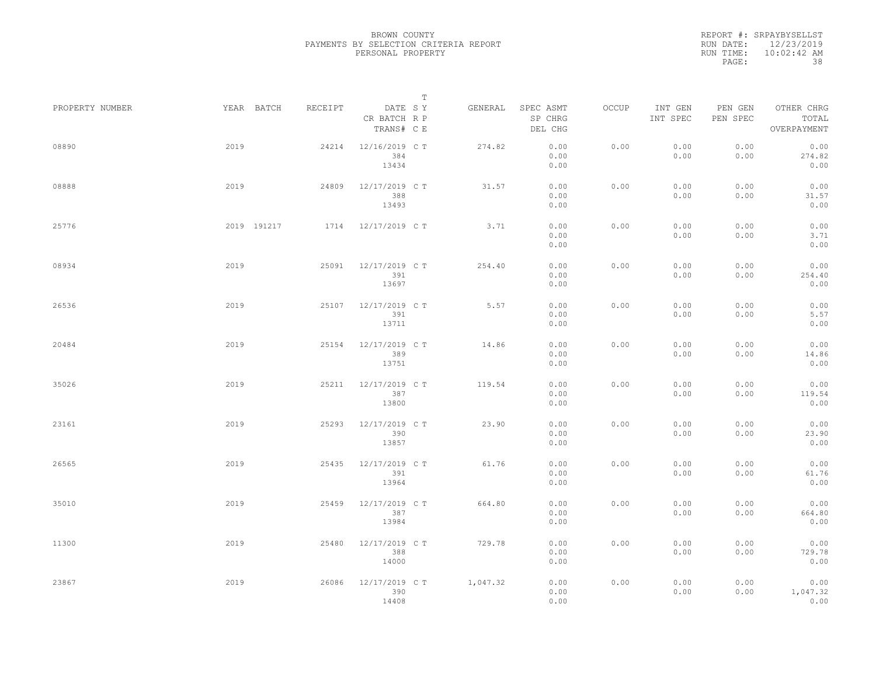|                 |             |         |                                       | $\mathbb T$ |          |                                 |       |                     |                     |                                    |  |
|-----------------|-------------|---------|---------------------------------------|-------------|----------|---------------------------------|-------|---------------------|---------------------|------------------------------------|--|
| PROPERTY NUMBER | YEAR BATCH  | RECEIPT | DATE SY<br>CR BATCH R P<br>TRANS# C E |             | GENERAL  | SPEC ASMT<br>SP CHRG<br>DEL CHG | OCCUP | INT GEN<br>INT SPEC | PEN GEN<br>PEN SPEC | OTHER CHRG<br>TOTAL<br>OVERPAYMENT |  |
| 08890           | 2019        | 24214   | 12/16/2019 C T<br>384<br>13434        |             | 274.82   | 0.00<br>0.00<br>0.00            | 0.00  | 0.00<br>0.00        | 0.00<br>0.00        | 0.00<br>274.82<br>0.00             |  |
| 08888           | 2019        | 24809   | 12/17/2019 C T<br>388<br>13493        |             | 31.57    | 0.00<br>0.00<br>0.00            | 0.00  | 0.00<br>0.00        | 0.00<br>0.00        | 0.00<br>31.57<br>0.00              |  |
| 25776           | 2019 191217 |         | 1714 12/17/2019 CT                    |             | 3.71     | 0.00<br>0.00<br>0.00            | 0.00  | 0.00<br>0.00        | 0.00<br>0.00        | 0.00<br>3.71<br>0.00               |  |
| 08934           | 2019        | 25091   | 12/17/2019 C T<br>391<br>13697        |             | 254.40   | 0.00<br>0.00<br>0.00            | 0.00  | 0.00<br>0.00        | 0.00<br>0.00        | 0.00<br>254.40<br>0.00             |  |
| 26536           | 2019        | 25107   | 12/17/2019 C T<br>391<br>13711        |             | 5.57     | 0.00<br>0.00<br>0.00            | 0.00  | 0.00<br>0.00        | 0.00<br>0.00        | 0.00<br>5.57<br>0.00               |  |
| 20484           | 2019        | 25154   | 12/17/2019 C T<br>389<br>13751        |             | 14.86    | 0.00<br>0.00<br>0.00            | 0.00  | 0.00<br>0.00        | 0.00<br>0.00        | 0.00<br>14.86<br>0.00              |  |
| 35026           | 2019        | 25211   | 12/17/2019 C T<br>387<br>13800        |             | 119.54   | 0.00<br>0.00<br>0.00            | 0.00  | 0.00<br>0.00        | 0.00<br>0.00        | 0.00<br>119.54<br>0.00             |  |
| 23161           | 2019        | 25293   | 12/17/2019 C T<br>390<br>13857        |             | 23.90    | 0.00<br>0.00<br>0.00            | 0.00  | 0.00<br>0.00        | 0.00<br>0.00        | 0.00<br>23.90<br>0.00              |  |
| 26565           | 2019        | 25435   | 12/17/2019 C T<br>391<br>13964        |             | 61.76    | 0.00<br>0.00<br>0.00            | 0.00  | 0.00<br>0.00        | 0.00<br>0.00        | 0.00<br>61.76<br>0.00              |  |
| 35010           | 2019        | 25459   | 12/17/2019 C T<br>387<br>13984        |             | 664.80   | 0.00<br>0.00<br>0.00            | 0.00  | 0.00<br>0.00        | 0.00<br>0.00        | 0.00<br>664.80<br>0.00             |  |
| 11300           | 2019        | 25480   | 12/17/2019 C T<br>388<br>14000        |             | 729.78   | 0.00<br>0.00<br>0.00            | 0.00  | 0.00<br>0.00        | 0.00<br>0.00        | 0.00<br>729.78<br>0.00             |  |
| 23867           | 2019        | 26086   | 12/17/2019 C T<br>390<br>14408        |             | 1,047.32 | 0.00<br>0.00<br>0.00            | 0.00  | 0.00<br>0.00        | 0.00<br>0.00        | 0.00<br>1,047.32<br>0.00           |  |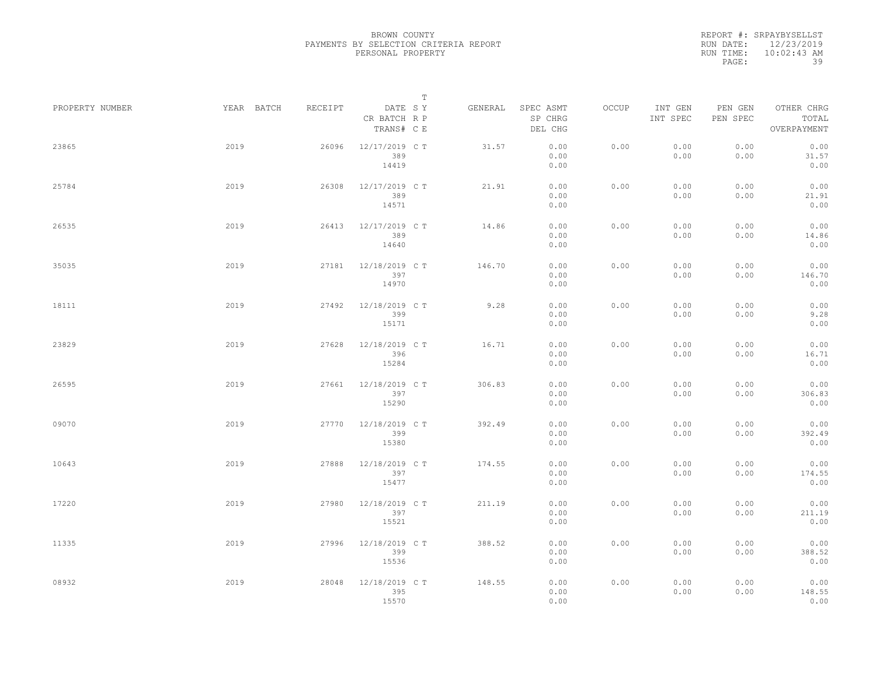|                 |            |         | $\mathbb T$                           |         |                                 |       |                     |                     |                                    |
|-----------------|------------|---------|---------------------------------------|---------|---------------------------------|-------|---------------------|---------------------|------------------------------------|
| PROPERTY NUMBER | YEAR BATCH | RECEIPT | DATE SY<br>CR BATCH R P<br>TRANS# C E | GENERAL | SPEC ASMT<br>SP CHRG<br>DEL CHG | OCCUP | INT GEN<br>INT SPEC | PEN GEN<br>PEN SPEC | OTHER CHRG<br>TOTAL<br>OVERPAYMENT |
| 23865           | 2019       | 26096   | 12/17/2019 C T<br>389<br>14419        | 31.57   | 0.00<br>0.00<br>0.00            | 0.00  | 0.00<br>0.00        | 0.00<br>0.00        | 0.00<br>31.57<br>0.00              |
| 25784           | 2019       | 26308   | 12/17/2019 C T<br>389<br>14571        | 21.91   | 0.00<br>0.00<br>0.00            | 0.00  | 0.00<br>0.00        | 0.00<br>0.00        | 0.00<br>21.91<br>0.00              |
| 26535           | 2019       | 26413   | 12/17/2019 C T<br>389<br>14640        | 14.86   | 0.00<br>0.00<br>0.00            | 0.00  | 0.00<br>0.00        | 0.00<br>0.00        | 0.00<br>14.86<br>0.00              |
| 35035           | 2019       | 27181   | 12/18/2019 C T<br>397<br>14970        | 146.70  | 0.00<br>0.00<br>0.00            | 0.00  | 0.00<br>0.00        | 0.00<br>0.00        | 0.00<br>146.70<br>0.00             |
| 18111           | 2019       | 27492   | 12/18/2019 C T<br>399<br>15171        | 9.28    | 0.00<br>0.00<br>0.00            | 0.00  | 0.00<br>0.00        | 0.00<br>0.00        | 0.00<br>9.28<br>0.00               |
| 23829           | 2019       | 27628   | 12/18/2019 C T<br>396<br>15284        | 16.71   | 0.00<br>0.00<br>0.00            | 0.00  | 0.00<br>0.00        | 0.00<br>0.00        | 0.00<br>16.71<br>0.00              |
| 26595           | 2019       | 27661   | 12/18/2019 C T<br>397<br>15290        | 306.83  | 0.00<br>0.00<br>0.00            | 0.00  | 0.00<br>0.00        | 0.00<br>0.00        | 0.00<br>306.83<br>0.00             |
| 09070           | 2019       | 27770   | 12/18/2019 C T<br>399<br>15380        | 392.49  | 0.00<br>0.00<br>0.00            | 0.00  | 0.00<br>0.00        | 0.00<br>0.00        | 0.00<br>392.49<br>0.00             |
| 10643           | 2019       | 27888   | 12/18/2019 C T<br>397<br>15477        | 174.55  | 0.00<br>0.00<br>0.00            | 0.00  | 0.00<br>0.00        | 0.00<br>0.00        | 0.00<br>174.55<br>0.00             |
| 17220           | 2019       | 27980   | 12/18/2019 C T<br>397<br>15521        | 211.19  | 0.00<br>0.00<br>0.00            | 0.00  | 0.00<br>0.00        | 0.00<br>0.00        | 0.00<br>211.19<br>0.00             |
| 11335           | 2019       | 27996   | 12/18/2019 C T<br>399<br>15536        | 388.52  | 0.00<br>0.00<br>0.00            | 0.00  | 0.00<br>0.00        | 0.00<br>0.00        | 0.00<br>388.52<br>0.00             |
| 08932           | 2019       | 28048   | 12/18/2019 C T<br>395<br>15570        | 148.55  | 0.00<br>0.00<br>0.00            | 0.00  | 0.00<br>0.00        | 0.00<br>0.00        | 0.00<br>148.55<br>0.00             |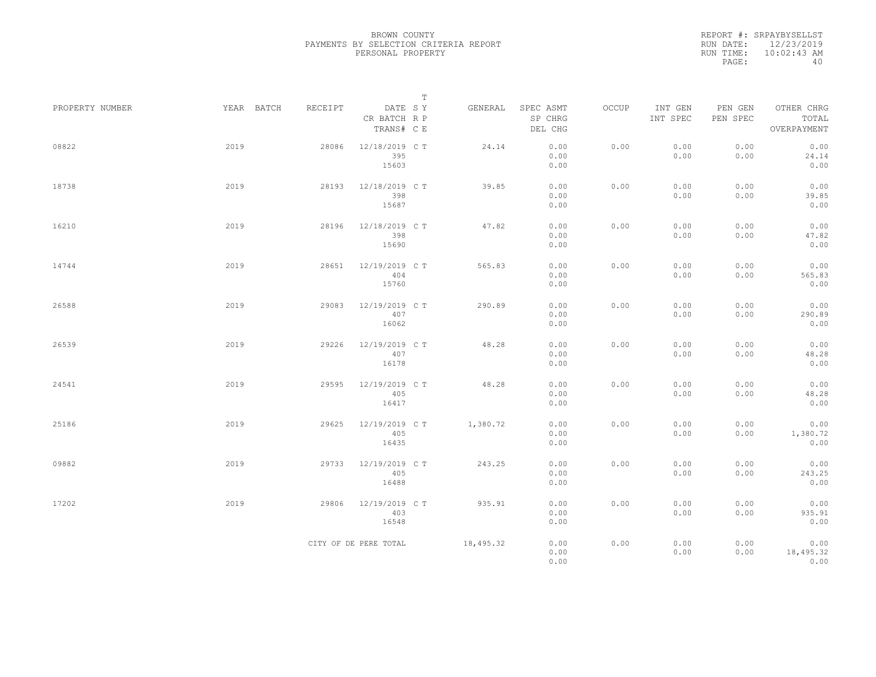|                 |            |         |                                       | $\mathbb T$ |           |                                 |       |                     |                     |                                    |
|-----------------|------------|---------|---------------------------------------|-------------|-----------|---------------------------------|-------|---------------------|---------------------|------------------------------------|
| PROPERTY NUMBER | YEAR BATCH | RECEIPT | DATE SY<br>CR BATCH R P<br>TRANS# C E |             | GENERAL   | SPEC ASMT<br>SP CHRG<br>DEL CHG | OCCUP | INT GEN<br>INT SPEC | PEN GEN<br>PEN SPEC | OTHER CHRG<br>TOTAL<br>OVERPAYMENT |
| 08822           | 2019       | 28086   | 12/18/2019 C T<br>395<br>15603        |             | 24.14     | 0.00<br>0.00<br>0.00            | 0.00  | 0.00<br>0.00        | 0.00<br>0.00        | 0.00<br>24.14<br>0.00              |
| 18738           | 2019       | 28193   | 12/18/2019 C T<br>398<br>15687        |             | 39.85     | 0.00<br>0.00<br>0.00            | 0.00  | 0.00<br>0.00        | 0.00<br>0.00        | 0.00<br>39.85<br>0.00              |
| 16210           | 2019       | 28196   | 12/18/2019 C T<br>398<br>15690        |             | 47.82     | 0.00<br>0.00<br>0.00            | 0.00  | 0.00<br>0.00        | 0.00<br>0.00        | 0.00<br>47.82<br>0.00              |
| 14744           | 2019       | 28651   | 12/19/2019 C T<br>404<br>15760        |             | 565.83    | 0.00<br>0.00<br>0.00            | 0.00  | 0.00<br>0.00        | 0.00<br>0.00        | 0.00<br>565.83<br>0.00             |
| 26588           | 2019       | 29083   | 12/19/2019 C T<br>407<br>16062        |             | 290.89    | 0.00<br>0.00<br>0.00            | 0.00  | 0.00<br>0.00        | 0.00<br>0.00        | 0.00<br>290.89<br>0.00             |
| 26539           | 2019       | 29226   | 12/19/2019 C T<br>407<br>16178        |             | 48.28     | 0.00<br>0.00<br>0.00            | 0.00  | 0.00<br>0.00        | 0.00<br>0.00        | 0.00<br>48.28<br>0.00              |
| 24541           | 2019       | 29595   | 12/19/2019 C T<br>405<br>16417        |             | 48.28     | 0.00<br>0.00<br>0.00            | 0.00  | 0.00<br>0.00        | 0.00<br>0.00        | 0.00<br>48.28<br>0.00              |
| 25186           | 2019       | 29625   | 12/19/2019 C T<br>405<br>16435        |             | 1,380.72  | 0.00<br>0.00<br>0.00            | 0.00  | 0.00<br>0.00        | 0.00<br>0.00        | 0.00<br>1,380.72<br>0.00           |
| 09882           | 2019       | 29733   | 12/19/2019 C T<br>405<br>16488        |             | 243.25    | 0.00<br>0.00<br>0.00            | 0.00  | 0.00<br>0.00        | 0.00<br>0.00        | 0.00<br>243.25<br>0.00             |
| 17202           | 2019       | 29806   | 12/19/2019 C T<br>403<br>16548        |             | 935.91    | 0.00<br>0.00<br>0.00            | 0.00  | 0.00<br>0.00        | 0.00<br>0.00        | 0.00<br>935.91<br>0.00             |
|                 |            |         | CITY OF DE PERE TOTAL                 |             | 18,495.32 | 0.00<br>0.00<br>0.00            | 0.00  | 0.00<br>0.00        | 0.00<br>0.00        | 0.00<br>18,495.32<br>0.00          |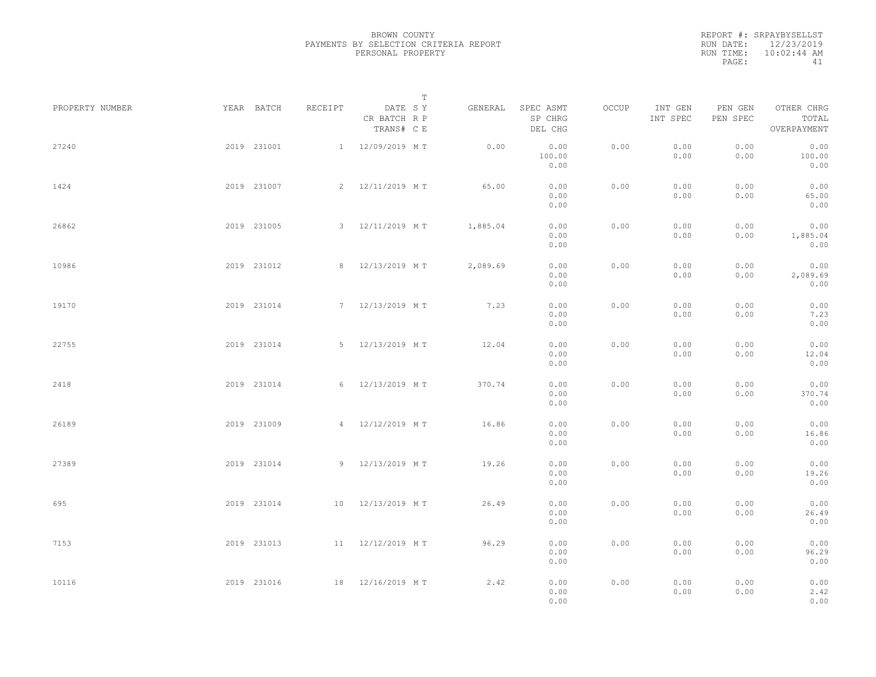|           | REPORT #: SRPAYBYSELLST |
|-----------|-------------------------|
|           | RUN DATE: 12/23/2019    |
| RUN TIME: | $10:02:44$ AM           |
| PAGE:     | 41                      |

|                 |             |             |         |                                       | $\mathbb T$ |          |                                 |       |                     |                     |                                    |  |
|-----------------|-------------|-------------|---------|---------------------------------------|-------------|----------|---------------------------------|-------|---------------------|---------------------|------------------------------------|--|
| PROPERTY NUMBER |             | YEAR BATCH  | RECEIPT | DATE SY<br>CR BATCH R P<br>TRANS# C E |             | GENERAL  | SPEC ASMT<br>SP CHRG<br>DEL CHG | OCCUP | INT GEN<br>INT SPEC | PEN GEN<br>PEN SPEC | OTHER CHRG<br>TOTAL<br>OVERPAYMENT |  |
| 27240           |             | 2019 231001 |         | 1 12/09/2019 MT                       |             | 0.00     | 0.00<br>100.00<br>0.00          | 0.00  | 0.00<br>0.00        | 0.00<br>0.00        | 0.00<br>100.00<br>0.00             |  |
| 1424            |             | 2019 231007 |         | 2 12/11/2019 MT                       |             | 65.00    | 0.00<br>0.00<br>0.00            | 0.00  | 0.00<br>0.00        | 0.00<br>0.00        | 0.00<br>65.00<br>0.00              |  |
| 26862           |             | 2019 231005 |         | 3 12/11/2019 MT                       |             | 1,885.04 | 0.00<br>0.00<br>0.00            | 0.00  | 0.00<br>0.00        | 0.00<br>0.00        | 0.00<br>1,885.04<br>0.00           |  |
| 10986           |             | 2019 231012 |         | 8 12/13/2019 MT                       |             | 2,089.69 | 0.00<br>0.00<br>0.00            | 0.00  | 0.00<br>0.00        | 0.00<br>0.00        | 0.00<br>2,089.69<br>0.00           |  |
| 19170           |             | 2019 231014 |         | 7 12/13/2019 MT                       |             | 7.23     | 0.00<br>0.00<br>0.00            | 0.00  | 0.00<br>0.00        | 0.00<br>0.00        | 0.00<br>7.23<br>0.00               |  |
| 22755           |             | 2019 231014 |         | 5 12/13/2019 MT                       |             | 12.04    | 0.00<br>0.00<br>0.00            | 0.00  | 0.00<br>0.00        | 0.00<br>0.00        | 0.00<br>12.04<br>0.00              |  |
| 2418            |             | 2019 231014 |         | 6 12/13/2019 MT                       |             | 370.74   | 0.00<br>0.00<br>0.00            | 0.00  | 0.00<br>0.00        | 0.00<br>0.00        | 0.00<br>370.74<br>0.00             |  |
| 26189           |             | 2019 231009 |         | 4 12/12/2019 MT                       |             | 16.86    | 0.00<br>0.00<br>0.00            | 0.00  | 0.00<br>0.00        | 0.00<br>0.00        | 0.00<br>16.86<br>0.00              |  |
| 27389           |             | 2019 231014 |         | 9 12/13/2019 MT                       |             | 19.26    | 0.00<br>0.00<br>0.00            | 0.00  | 0.00<br>0.00        | 0.00<br>0.00        | 0.00<br>19.26<br>0.00              |  |
| 695             |             | 2019 231014 |         | 10 12/13/2019 MT                      |             | 26.49    | 0.00<br>0.00<br>0.00            | 0.00  | 0.00<br>0.00        | 0.00<br>0.00        | 0.00<br>26.49<br>0.00              |  |
| 7153            |             | 2019 231013 |         | 11 12/12/2019 MT                      |             | 96.29    | 0.00<br>0.00<br>0.00            | 0.00  | 0.00<br>0.00        | 0.00<br>0.00        | 0.00<br>96.29<br>0.00              |  |
| 10116           | 2019 231016 |             |         | 18 12/16/2019 MT                      |             | 2.42     | 0.00<br>0.00<br>0.00            | 0.00  | 0.00<br>0.00        | 0.00<br>0.00        | 0.00<br>2.42<br>0.00               |  |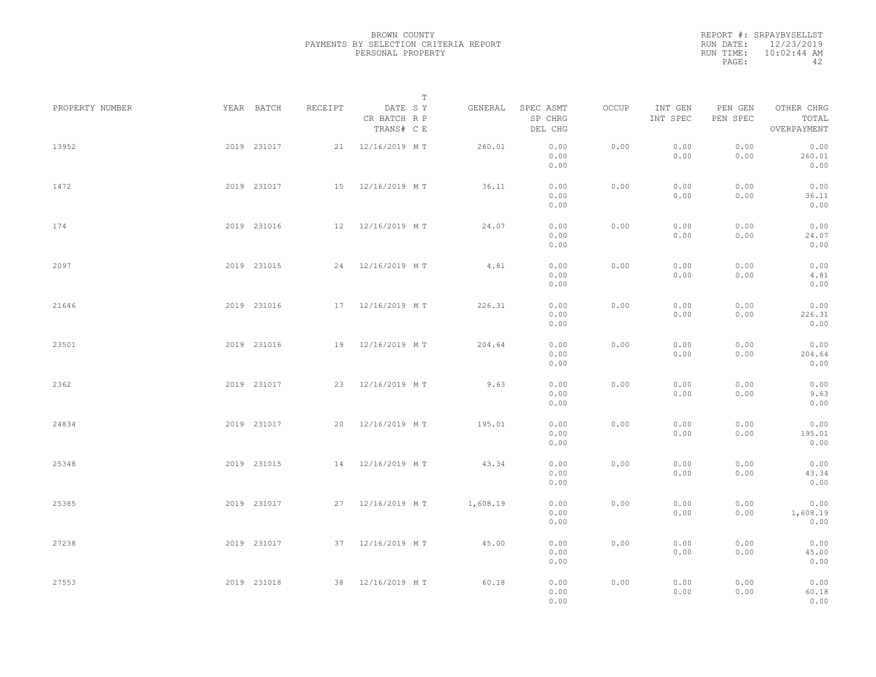|           | REPORT #: SRPAYBYSELLST |
|-----------|-------------------------|
|           | RUN DATE: 12/23/2019    |
| RUN TIME: | $10:02:44$ AM           |
| PAGE:     | ΔΩ                      |

|                 |             |             |         |                                       | $\mathbb T$ |                                 |       |                     |                     |                                    |  |
|-----------------|-------------|-------------|---------|---------------------------------------|-------------|---------------------------------|-------|---------------------|---------------------|------------------------------------|--|
| PROPERTY NUMBER |             | YEAR BATCH  | RECEIPT | DATE SY<br>CR BATCH R P<br>TRANS# C E | GENERAL     | SPEC ASMT<br>SP CHRG<br>DEL CHG | OCCUP | INT GEN<br>INT SPEC | PEN GEN<br>PEN SPEC | OTHER CHRG<br>TOTAL<br>OVERPAYMENT |  |
| 13952           |             | 2019 231017 |         | 21 12/16/2019 MT                      | 260.01      | 0.00<br>0.00<br>0.00            | 0.00  | 0.00<br>0.00        | 0.00<br>0.00        | 0.00<br>260.01<br>0.00             |  |
| 1472            |             | 2019 231017 |         | 15 12/16/2019 MT                      | 36.11       | 0.00<br>0.00<br>0.00            | 0.00  | 0.00<br>0.00        | 0.00<br>0.00        | 0.00<br>36.11<br>0.00              |  |
| 174             |             | 2019 231016 |         | 12 12/16/2019 MT                      | 24.07       | 0.00<br>0.00<br>0.00            | 0.00  | 0.00<br>0.00        | 0.00<br>0.00        | 0.00<br>24.07<br>0.00              |  |
| 2097            |             | 2019 231015 |         | 24 12/16/2019 MT                      | 4.81        | 0.00<br>0.00<br>0.00            | 0.00  | 0.00<br>0.00        | 0.00<br>0.00        | 0.00<br>4.81<br>0.00               |  |
| 21646           |             | 2019 231016 |         | 17 12/16/2019 MT                      | 226.31      | 0.00<br>0.00<br>0.00            | 0.00  | 0.00<br>0.00        | 0.00<br>0.00        | 0.00<br>226.31<br>0.00             |  |
| 23501           |             | 2019 231016 |         | 19 12/16/2019 MT                      | 204.64      | 0.00<br>0.00<br>0.00            | 0.00  | 0.00<br>0.00        | 0.00<br>0.00        | 0.00<br>204.64<br>0.00             |  |
| 2362            |             | 2019 231017 |         | 23 12/16/2019 MT                      | 9.63        | 0.00<br>0.00<br>0.00            | 0.00  | 0.00<br>0.00        | 0.00<br>0.00        | 0.00<br>9.63<br>0.00               |  |
| 24834           |             | 2019 231017 |         | 20 12/16/2019 MT                      | 195.01      | 0.00<br>0.00<br>0.00            | 0.00  | 0.00<br>0.00        | 0.00<br>0.00        | 0.00<br>195.01<br>0.00             |  |
| 25348           |             | 2019 231015 |         | 14 12/16/2019 MT                      | 43.34       | 0.00<br>0.00<br>0.00            | 0.00  | 0.00<br>0.00        | 0.00<br>0.00        | 0.00<br>43.34<br>0.00              |  |
| 25385           |             | 2019 231017 |         | 27 12/16/2019 MT                      | 1,608.19    | 0.00<br>0.00<br>0.00            | 0.00  | 0.00<br>0.00        | 0.00<br>0.00        | 0.00<br>1,608.19<br>0.00           |  |
| 27238           |             | 2019 231017 |         | 37 12/16/2019 MT                      | 45.00       | 0.00<br>0.00<br>0.00            | 0.00  | 0.00<br>0.00        | 0.00<br>0.00        | 0.00<br>45.00<br>0.00              |  |
| 27553           | 2019 231018 |             |         | 38 12/16/2019 MT                      | 60.18       | 0.00<br>0.00<br>0.00            | 0.00  | 0.00<br>0.00        | 0.00<br>0.00        | 0.00<br>60.18<br>0.00              |  |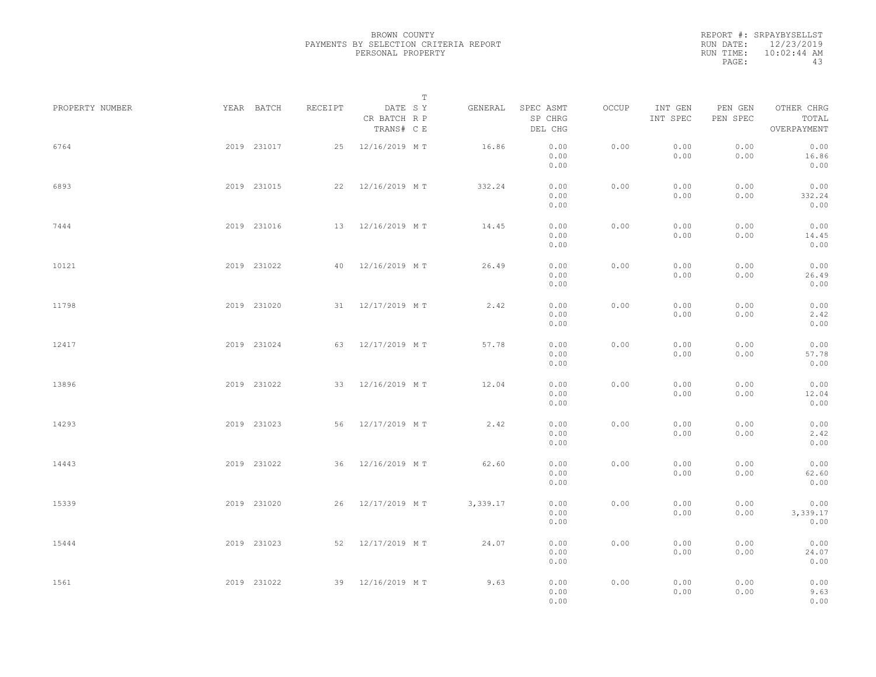|           | REPORT #: SRPAYBYSELLST |
|-----------|-------------------------|
| RUN DATE: | 12/23/2019              |
| RUN TIME: | $10:02:44$ AM           |
| PAGE:     | 43                      |

| PROPERTY NUMBER |             | YEAR BATCH  | RECEIPT | DATE SY                    | $\mathbb T$ | GENERAL  | SPEC ASMT            | OCCUP | INT GEN      | PEN GEN      | OTHER CHRG               |  |
|-----------------|-------------|-------------|---------|----------------------------|-------------|----------|----------------------|-------|--------------|--------------|--------------------------|--|
|                 |             |             |         | CR BATCH R P<br>TRANS# C E |             |          | SP CHRG<br>DEL CHG   |       | INT SPEC     | PEN SPEC     | TOTAL<br>OVERPAYMENT     |  |
| 6764            |             | 2019 231017 |         | 25 12/16/2019 MT           |             | 16.86    | 0.00<br>0.00<br>0.00 | 0.00  | 0.00<br>0.00 | 0.00<br>0.00 | 0.00<br>16.86<br>0.00    |  |
| 6893            |             | 2019 231015 |         | 22 12/16/2019 MT           |             | 332.24   | 0.00<br>0.00<br>0.00 | 0.00  | 0.00<br>0.00 | 0.00<br>0.00 | 0.00<br>332.24<br>0.00   |  |
| 7444            |             | 2019 231016 |         | 13 12/16/2019 MT           |             | 14.45    | 0.00<br>0.00<br>0.00 | 0.00  | 0.00<br>0.00 | 0.00<br>0.00 | 0.00<br>14.45<br>0.00    |  |
| 10121           |             | 2019 231022 |         | 40 12/16/2019 MT           |             | 26.49    | 0.00<br>0.00<br>0.00 | 0.00  | 0.00<br>0.00 | 0.00<br>0.00 | 0.00<br>26.49<br>0.00    |  |
| 11798           |             | 2019 231020 |         | 31 12/17/2019 MT           |             | 2.42     | 0.00<br>0.00<br>0.00 | 0.00  | 0.00<br>0.00 | 0.00<br>0.00 | 0.00<br>2.42<br>0.00     |  |
| 12417           |             | 2019 231024 |         | 63 12/17/2019 MT           |             | 57.78    | 0.00<br>0.00<br>0.00 | 0.00  | 0.00<br>0.00 | 0.00<br>0.00 | 0.00<br>57.78<br>0.00    |  |
| 13896           |             | 2019 231022 |         | 33 12/16/2019 MT           |             | 12.04    | 0.00<br>0.00<br>0.00 | 0.00  | 0.00<br>0.00 | 0.00<br>0.00 | 0.00<br>12.04<br>0.00    |  |
| 14293           |             | 2019 231023 |         | 56 12/17/2019 MT           |             | 2.42     | 0.00<br>0.00<br>0.00 | 0.00  | 0.00<br>0.00 | 0.00<br>0.00 | 0.00<br>2.42<br>0.00     |  |
| 14443           |             | 2019 231022 |         | 36 12/16/2019 MT           |             | 62.60    | 0.00<br>0.00<br>0.00 | 0.00  | 0.00<br>0.00 | 0.00<br>0.00 | 0.00<br>62.60<br>0.00    |  |
| 15339           |             | 2019 231020 |         | 26 12/17/2019 MT           |             | 3,339.17 | 0.00<br>0.00<br>0.00 | 0.00  | 0.00<br>0.00 | 0.00<br>0.00 | 0.00<br>3,339.17<br>0.00 |  |
| 15444           |             | 2019 231023 |         | 52 12/17/2019 MT           |             | 24.07    | 0.00<br>0.00<br>0.00 | 0.00  | 0.00<br>0.00 | 0.00<br>0.00 | 0.00<br>24.07<br>0.00    |  |
| 1561            | 2019 231022 |             |         | 39 12/16/2019 MT           |             | 9.63     | 0.00<br>0.00<br>0.00 | 0.00  | 0.00<br>0.00 | 0.00<br>0.00 | 0.00<br>9.63<br>0.00     |  |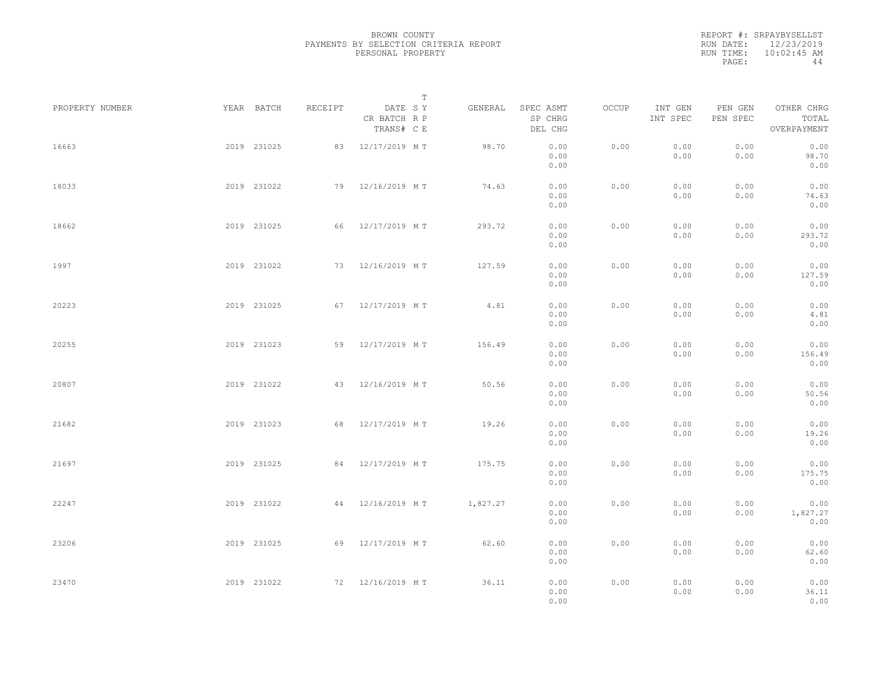|           | REPORT #: SRPAYBYSELLST |
|-----------|-------------------------|
| RUN DATE: | 12/23/2019              |
| RUN TIME: | $10:02:45$ AM           |
| PAGE:     | 44                      |

|                 |             |             |         | $\mathbb T$                           |          |                                 |       |                     |                     |                                    |  |
|-----------------|-------------|-------------|---------|---------------------------------------|----------|---------------------------------|-------|---------------------|---------------------|------------------------------------|--|
| PROPERTY NUMBER | YEAR BATCH  |             | RECEIPT | DATE SY<br>CR BATCH R P<br>TRANS# C E | GENERAL  | SPEC ASMT<br>SP CHRG<br>DEL CHG | OCCUP | INT GEN<br>INT SPEC | PEN GEN<br>PEN SPEC | OTHER CHRG<br>TOTAL<br>OVERPAYMENT |  |
| 16663           |             | 2019 231025 |         | 83 12/17/2019 MT                      | 98.70    | 0.00<br>0.00<br>0.00            | 0.00  | 0.00<br>0.00        | 0.00<br>0.00        | 0.00<br>98.70<br>0.00              |  |
| 18033           |             | 2019 231022 |         | 79 12/16/2019 MT                      | 74.63    | 0.00<br>0.00<br>0.00            | 0.00  | 0.00<br>0.00        | 0.00<br>0.00        | 0.00<br>74.63<br>0.00              |  |
| 18662           |             | 2019 231025 | 66      | 12/17/2019 MT                         | 293.72   | 0.00<br>0.00<br>0.00            | 0.00  | 0.00<br>0.00        | 0.00<br>0.00        | 0.00<br>293.72<br>0.00             |  |
| 1997            |             | 2019 231022 |         | 73 12/16/2019 MT                      | 127.59   | 0.00<br>0.00<br>0.00            | 0.00  | 0.00<br>0.00        | 0.00<br>0.00        | 0.00<br>127.59<br>0.00             |  |
| 20223           |             | 2019 231025 |         | 67 12/17/2019 MT                      | 4.81     | 0.00<br>0.00<br>0.00            | 0.00  | 0.00<br>0.00        | 0.00<br>0.00        | 0.00<br>4.81<br>0.00               |  |
| 20255           |             | 2019 231023 |         | 59 12/17/2019 MT                      | 156.49   | 0.00<br>0.00<br>0.00            | 0.00  | 0.00<br>0.00        | 0.00<br>0.00        | 0.00<br>156.49<br>0.00             |  |
| 20807           |             | 2019 231022 | 43      | 12/16/2019 MT                         | 50.56    | 0.00<br>0.00<br>0.00            | 0.00  | 0.00<br>0.00        | 0.00<br>0.00        | 0.00<br>50.56<br>0.00              |  |
| 21682           |             | 2019 231023 | 68      | 12/17/2019 MT                         | 19.26    | 0.00<br>0.00<br>0.00            | 0.00  | 0.00<br>0.00        | 0.00<br>0.00        | 0.00<br>19.26<br>0.00              |  |
| 21697           |             | 2019 231025 | 84      | 12/17/2019 MT                         | 175.75   | 0.00<br>0.00<br>0.00            | 0.00  | 0.00<br>0.00        | 0.00<br>0.00        | 0.00<br>175.75<br>0.00             |  |
| 22247           |             | 2019 231022 |         | 44 12/16/2019 MT                      | 1,827.27 | 0.00<br>0.00<br>0.00            | 0.00  | 0.00<br>0.00        | 0.00<br>0.00        | 0.00<br>1,827.27<br>0.00           |  |
| 23206           |             | 2019 231025 |         | 69 12/17/2019 MT                      | 62.60    | 0.00<br>0.00<br>0.00            | 0.00  | 0.00<br>0.00        | 0.00<br>0.00        | 0.00<br>62.60<br>0.00              |  |
| 23470           | 2019 231022 |             |         | 72 12/16/2019 MT                      | 36.11    | 0.00<br>0.00<br>0.00            | 0.00  | 0.00<br>0.00        | 0.00<br>0.00        | 0.00<br>36.11<br>0.00              |  |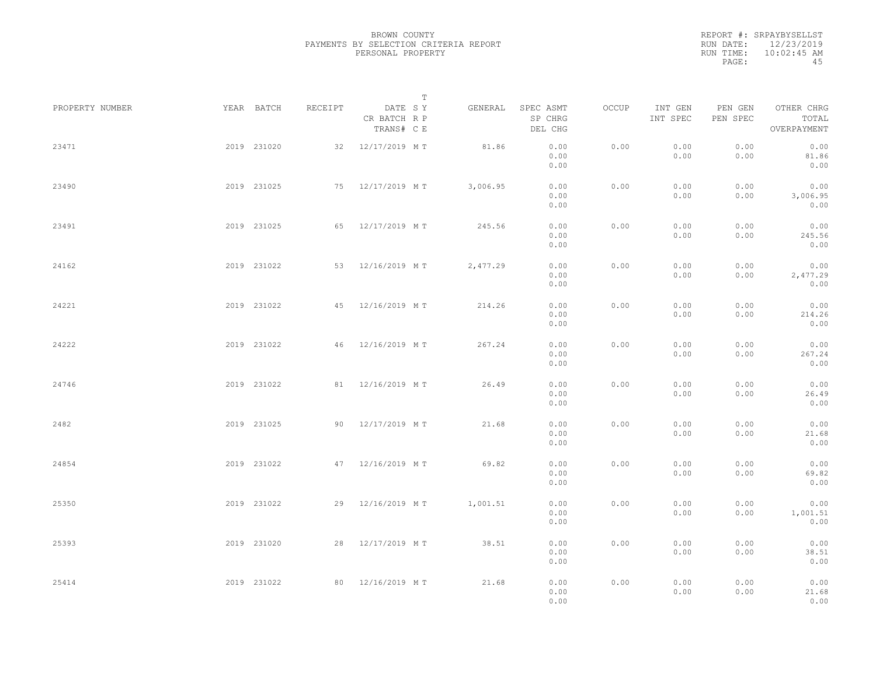|           | REPORT #: SRPAYBYSELLST |
|-----------|-------------------------|
|           | RUN DATE: 12/23/2019    |
| RUN TIME: | $10:02:45$ AM           |
| PAGE:     | 45                      |

|                 |             |             |         |                                       | $\mathbb T$ |          |                                 |       |                     |                     |                                    |  |
|-----------------|-------------|-------------|---------|---------------------------------------|-------------|----------|---------------------------------|-------|---------------------|---------------------|------------------------------------|--|
| PROPERTY NUMBER |             | YEAR BATCH  | RECEIPT | DATE SY<br>CR BATCH R P<br>TRANS# C E |             | GENERAL  | SPEC ASMT<br>SP CHRG<br>DEL CHG | OCCUP | INT GEN<br>INT SPEC | PEN GEN<br>PEN SPEC | OTHER CHRG<br>TOTAL<br>OVERPAYMENT |  |
| 23471           |             | 2019 231020 |         | 32 12/17/2019 MT                      |             | 81.86    | 0.00<br>0.00<br>0.00            | 0.00  | 0.00<br>0.00        | 0.00<br>0.00        | 0.00<br>81.86<br>0.00              |  |
| 23490           |             | 2019 231025 |         | 75 12/17/2019 MT                      |             | 3,006.95 | 0.00<br>0.00<br>0.00            | 0.00  | 0.00<br>0.00        | 0.00<br>0.00        | 0.00<br>3,006.95<br>0.00           |  |
| 23491           |             | 2019 231025 | 65      | 12/17/2019 MT                         |             | 245.56   | 0.00<br>0.00<br>0.00            | 0.00  | 0.00<br>0.00        | 0.00<br>0.00        | 0.00<br>245.56<br>0.00             |  |
| 24162           |             | 2019 231022 |         | 53 12/16/2019 MT                      |             | 2,477.29 | 0.00<br>0.00<br>0.00            | 0.00  | 0.00<br>0.00        | 0.00<br>0.00        | 0.00<br>2,477.29<br>0.00           |  |
| 24221           |             | 2019 231022 |         | 45 12/16/2019 MT                      |             | 214.26   | 0.00<br>0.00<br>0.00            | 0.00  | 0.00<br>0.00        | 0.00<br>0.00        | 0.00<br>214.26<br>0.00             |  |
| 24222           |             | 2019 231022 |         | 46 12/16/2019 MT                      |             | 267.24   | 0.00<br>0.00<br>0.00            | 0.00  | 0.00<br>0.00        | 0.00<br>0.00        | 0.00<br>267.24<br>0.00             |  |
| 24746           |             | 2019 231022 |         | 81 12/16/2019 MT                      |             | 26.49    | 0.00<br>0.00<br>0.00            | 0.00  | 0.00<br>0.00        | 0.00<br>0.00        | 0.00<br>26.49<br>0.00              |  |
| 2482            |             | 2019 231025 |         | 90 12/17/2019 MT                      |             | 21.68    | 0.00<br>0.00<br>0.00            | 0.00  | 0.00<br>0.00        | 0.00<br>0.00        | 0.00<br>21.68<br>0.00              |  |
| 24854           |             | 2019 231022 | 47      | 12/16/2019 MT                         |             | 69.82    | 0.00<br>0.00<br>0.00            | 0.00  | 0.00<br>0.00        | 0.00<br>0.00        | 0.00<br>69.82<br>0.00              |  |
| 25350           |             | 2019 231022 |         | 29 12/16/2019 MT                      |             | 1,001.51 | 0.00<br>0.00<br>0.00            | 0.00  | 0.00<br>0.00        | 0.00<br>0.00        | 0.00<br>1,001.51<br>0.00           |  |
| 25393           |             | 2019 231020 |         | 28 12/17/2019 MT                      |             | 38.51    | 0.00<br>0.00<br>0.00            | 0.00  | 0.00<br>0.00        | 0.00<br>0.00        | 0.00<br>38.51<br>0.00              |  |
| 25414           | 2019 231022 |             |         | 80 12/16/2019 MT                      |             | 21.68    | 0.00<br>0.00<br>0.00            | 0.00  | 0.00<br>0.00        | 0.00<br>0.00        | 0.00<br>21.68<br>0.00              |  |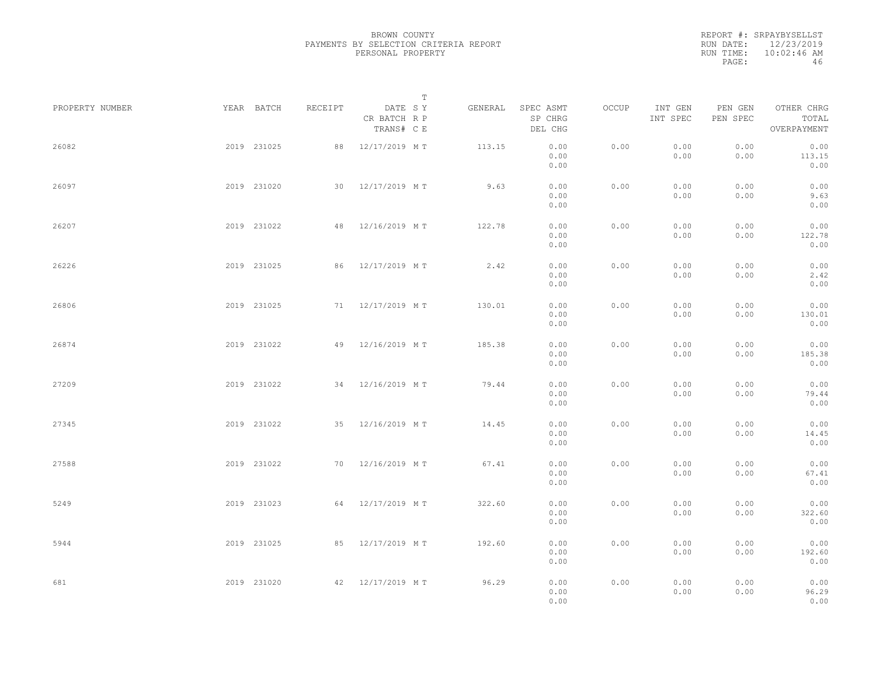|           | REPORT #: SRPAYBYSELLST |
|-----------|-------------------------|
| RUN DATE: | 12/23/2019              |
| RUN TIME: | $10:02:46$ AM           |
| PAGE:     | 46                      |

|                 |             |             |         |                                       | T       |                                 |       |                     |                     |                                    |  |
|-----------------|-------------|-------------|---------|---------------------------------------|---------|---------------------------------|-------|---------------------|---------------------|------------------------------------|--|
| PROPERTY NUMBER |             | YEAR BATCH  | RECEIPT | DATE SY<br>CR BATCH R P<br>TRANS# C E | GENERAL | SPEC ASMT<br>SP CHRG<br>DEL CHG | OCCUP | INT GEN<br>INT SPEC | PEN GEN<br>PEN SPEC | OTHER CHRG<br>TOTAL<br>OVERPAYMENT |  |
| 26082           |             | 2019 231025 | 88      | 12/17/2019 MT                         | 113.15  | 0.00<br>0.00<br>0.00            | 0.00  | 0.00<br>0.00        | 0.00<br>0.00        | 0.00<br>113.15<br>0.00             |  |
| 26097           |             | 2019 231020 |         | 30 12/17/2019 MT                      | 9.63    | 0.00<br>0.00<br>0.00            | 0.00  | 0.00<br>0.00        | 0.00<br>0.00        | 0.00<br>9.63<br>0.00               |  |
| 26207           |             | 2019 231022 | 48      | 12/16/2019 MT                         | 122.78  | 0.00<br>0.00<br>0.00            | 0.00  | 0.00<br>0.00        | 0.00<br>0.00        | 0.00<br>122.78<br>0.00             |  |
| 26226           |             | 2019 231025 | 86      | 12/17/2019 MT                         | 2.42    | 0.00<br>0.00<br>0.00            | 0.00  | 0.00<br>0.00        | 0.00<br>0.00        | 0.00<br>2.42<br>0.00               |  |
| 26806           |             | 2019 231025 |         | 71 12/17/2019 MT                      | 130.01  | 0.00<br>0.00<br>0.00            | 0.00  | 0.00<br>0.00        | 0.00<br>0.00        | 0.00<br>130.01<br>0.00             |  |
| 26874           |             | 2019 231022 | 49      | 12/16/2019 MT                         | 185.38  | 0.00<br>0.00<br>0.00            | 0.00  | 0.00<br>0.00        | 0.00<br>0.00        | 0.00<br>185.38<br>0.00             |  |
| 27209           |             | 2019 231022 |         | 34 12/16/2019 MT                      | 79.44   | 0.00<br>0.00<br>0.00            | 0.00  | 0.00<br>0.00        | 0.00<br>0.00        | 0.00<br>79.44<br>0.00              |  |
| 27345           |             | 2019 231022 |         | 35 12/16/2019 MT                      | 14.45   | 0.00<br>0.00<br>0.00            | 0.00  | 0.00<br>0.00        | 0.00<br>0.00        | 0.00<br>14.45<br>0.00              |  |
| 27588           |             | 2019 231022 |         | 70 12/16/2019 MT                      | 67.41   | 0.00<br>0.00<br>0.00            | 0.00  | 0.00<br>0.00        | 0.00<br>0.00        | 0.00<br>67.41<br>0.00              |  |
| 5249            |             | 2019 231023 |         | 64 12/17/2019 MT                      | 322.60  | 0.00<br>0.00<br>0.00            | 0.00  | 0.00<br>0.00        | 0.00<br>0.00        | 0.00<br>322.60<br>0.00             |  |
| 5944            |             | 2019 231025 |         | 85 12/17/2019 MT                      | 192.60  | 0.00<br>0.00<br>0.00            | 0.00  | 0.00<br>0.00        | 0.00<br>0.00        | 0.00<br>192.60<br>0.00             |  |
| 681             | 2019 231020 |             |         | 42 12/17/2019 MT                      | 96.29   | 0.00<br>0.00<br>0.00            | 0.00  | 0.00<br>0.00        | 0.00<br>0.00        | 0.00<br>96.29<br>0.00              |  |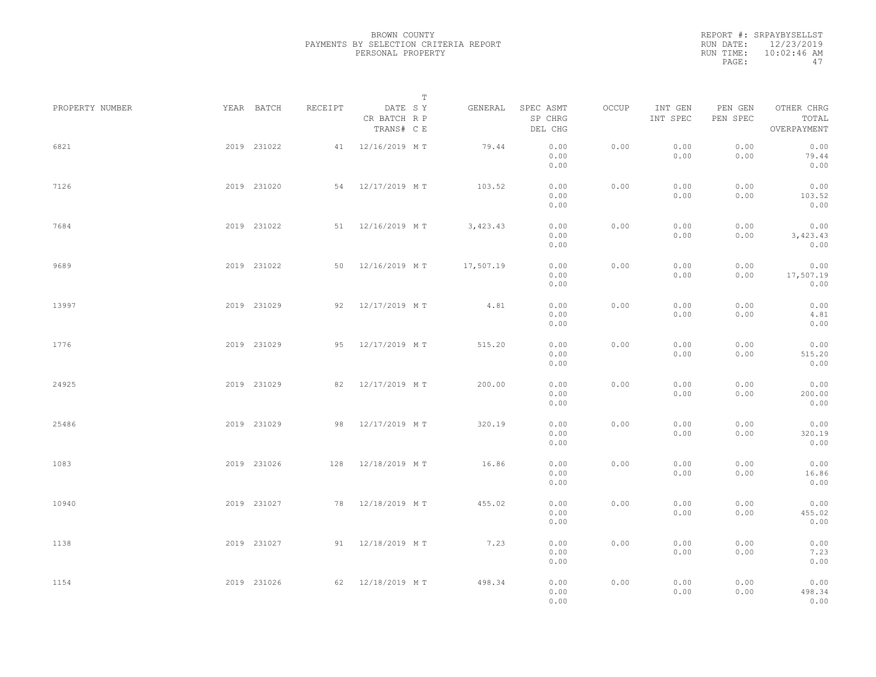|           | REPORT #: SRPAYBYSELLST |
|-----------|-------------------------|
| RUN DATE: | 12/23/2019              |
| RUN TIME: | $10:02:46$ AM           |
| PAGE:     | 47                      |

|                 |             |         |                                       | $\mathbb T$ |           |                                 |       |                     |                     |                                    |  |
|-----------------|-------------|---------|---------------------------------------|-------------|-----------|---------------------------------|-------|---------------------|---------------------|------------------------------------|--|
| PROPERTY NUMBER | YEAR BATCH  | RECEIPT | DATE SY<br>CR BATCH R P<br>TRANS# C E |             | GENERAL   | SPEC ASMT<br>SP CHRG<br>DEL CHG | OCCUP | INT GEN<br>INT SPEC | PEN GEN<br>PEN SPEC | OTHER CHRG<br>TOTAL<br>OVERPAYMENT |  |
| 6821            | 2019 231022 |         | 41 12/16/2019 MT                      |             | 79.44     | 0.00<br>0.00<br>0.00            | 0.00  | 0.00<br>0.00        | 0.00<br>0.00        | 0.00<br>79.44<br>0.00              |  |
| 7126            | 2019 231020 |         | 54 12/17/2019 MT                      |             | 103.52    | 0.00<br>0.00<br>0.00            | 0.00  | 0.00<br>0.00        | 0.00<br>0.00        | 0.00<br>103.52<br>0.00             |  |
| 7684            | 2019 231022 |         | 51 12/16/2019 MT                      |             | 3,423.43  | 0.00<br>0.00<br>0.00            | 0.00  | 0.00<br>0.00        | 0.00<br>0.00        | 0.00<br>3,423.43<br>0.00           |  |
| 9689            | 2019 231022 | 50      | 12/16/2019 MT                         |             | 17,507.19 | 0.00<br>0.00<br>0.00            | 0.00  | 0.00<br>0.00        | 0.00<br>0.00        | 0.00<br>17,507.19<br>0.00          |  |
| 13997           | 2019 231029 | 92      | 12/17/2019 MT                         |             | 4.81      | 0.00<br>0.00<br>0.00            | 0.00  | 0.00<br>0.00        | 0.00<br>0.00        | 0.00<br>4.81<br>0.00               |  |
| 1776            | 2019 231029 | 95      | 12/17/2019 MT                         |             | 515.20    | 0.00<br>0.00<br>0.00            | 0.00  | 0.00<br>0.00        | 0.00<br>0.00        | 0.00<br>515.20<br>0.00             |  |
| 24925           | 2019 231029 | 82      | 12/17/2019 MT                         |             | 200.00    | 0.00<br>0.00<br>0.00            | 0.00  | 0.00<br>0.00        | 0.00<br>0.00        | 0.00<br>200.00<br>0.00             |  |
| 25486           | 2019 231029 | 98      | 12/17/2019 MT                         |             | 320.19    | 0.00<br>0.00<br>0.00            | 0.00  | 0.00<br>0.00        | 0.00<br>0.00        | 0.00<br>320.19<br>0.00             |  |
| 1083            | 2019 231026 |         | 128 12/18/2019 MT                     |             | 16.86     | 0.00<br>0.00<br>0.00            | 0.00  | 0.00<br>0.00        | 0.00<br>0.00        | 0.00<br>16.86<br>0.00              |  |
| 10940           | 2019 231027 |         | 78 12/18/2019 MT                      |             | 455.02    | 0.00<br>0.00<br>0.00            | 0.00  | 0.00<br>0.00        | 0.00<br>0.00        | 0.00<br>455.02<br>0.00             |  |
| 1138            | 2019 231027 |         | 91 12/18/2019 MT                      |             | 7.23      | 0.00<br>0.00<br>0.00            | 0.00  | 0.00<br>0.00        | 0.00<br>0.00        | 0.00<br>7.23<br>0.00               |  |
| 1154            | 2019 231026 |         | 62 12/18/2019 M T                     |             | 498.34    | 0.00<br>0.00<br>0.00            | 0.00  | 0.00<br>0.00        | 0.00<br>0.00        | 0.00<br>498.34<br>0.00             |  |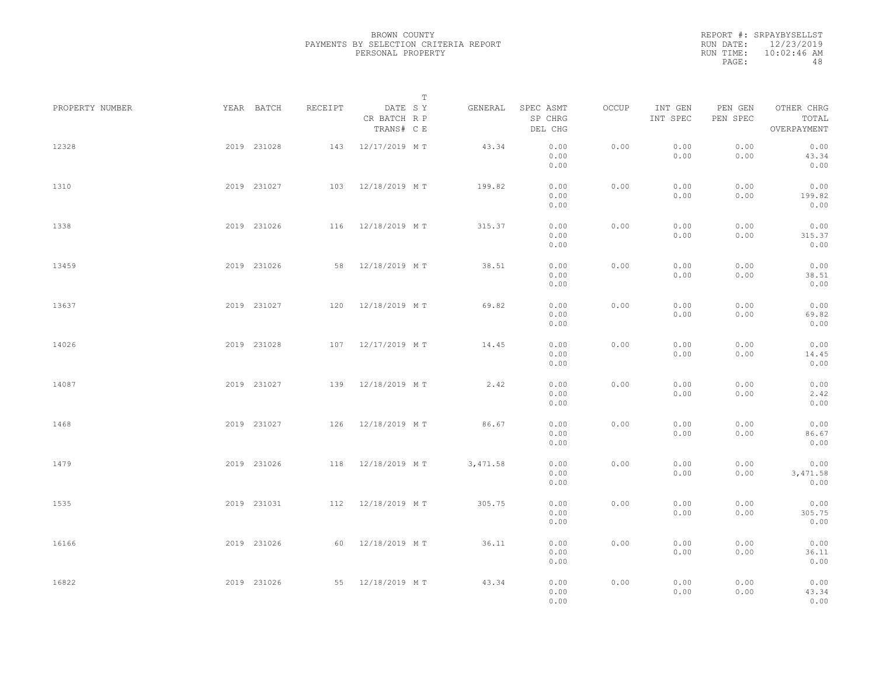REPORT #: SRPAYBYSELLST RUN DATE: 12/23/2019 RUN TIME: 10:02:46 AM PAGE: 48

|                 |             |             |         | $\mathbb T$                           |          |                                 |       |                     |                     |                                    |  |
|-----------------|-------------|-------------|---------|---------------------------------------|----------|---------------------------------|-------|---------------------|---------------------|------------------------------------|--|
| PROPERTY NUMBER |             | YEAR BATCH  | RECEIPT | DATE SY<br>CR BATCH R P<br>TRANS# C E | GENERAL  | SPEC ASMT<br>SP CHRG<br>DEL CHG | OCCUP | INT GEN<br>INT SPEC | PEN GEN<br>PEN SPEC | OTHER CHRG<br>TOTAL<br>OVERPAYMENT |  |
| 12328           |             | 2019 231028 | 143     | 12/17/2019 MT                         | 43.34    | 0.00<br>0.00<br>0.00            | 0.00  | 0.00<br>0.00        | 0.00<br>0.00        | 0.00<br>43.34<br>0.00              |  |
| 1310            |             | 2019 231027 |         | 103 12/18/2019 MT                     | 199.82   | 0.00<br>0.00<br>0.00            | 0.00  | 0.00<br>0.00        | 0.00<br>0.00        | 0.00<br>199.82<br>0.00             |  |
| 1338            |             | 2019 231026 |         | 116 12/18/2019 MT                     | 315.37   | 0.00<br>0.00<br>0.00            | 0.00  | 0.00<br>0.00        | 0.00<br>0.00        | 0.00<br>315.37<br>0.00             |  |
| 13459           |             | 2019 231026 |         | 58 12/18/2019 MT                      | 38.51    | 0.00<br>0.00<br>0.00            | 0.00  | 0.00<br>0.00        | 0.00<br>0.00        | 0.00<br>38.51<br>0.00              |  |
| 13637           |             | 2019 231027 |         | 120 12/18/2019 MT                     | 69.82    | 0.00<br>0.00<br>0.00            | 0.00  | 0.00<br>0.00        | 0.00<br>0.00        | 0.00<br>69.82<br>0.00              |  |
| 14026           |             | 2019 231028 | 107     | 12/17/2019 MT                         | 14.45    | 0.00<br>0.00<br>0.00            | 0.00  | 0.00<br>0.00        | 0.00<br>0.00        | 0.00<br>14.45<br>0.00              |  |
| 14087           |             | 2019 231027 | 139     | 12/18/2019 MT                         | 2.42     | 0.00<br>0.00<br>0.00            | 0.00  | 0.00<br>0.00        | 0.00<br>0.00        | 0.00<br>2.42<br>0.00               |  |
| 1468            |             | 2019 231027 |         | 126 12/18/2019 MT                     | 86.67    | 0.00<br>0.00<br>0.00            | 0.00  | 0.00<br>0.00        | 0.00<br>0.00        | 0.00<br>86.67<br>0.00              |  |
| 1479            |             | 2019 231026 |         | 118 12/18/2019 MT                     | 3,471.58 | 0.00<br>0.00<br>0.00            | 0.00  | 0.00<br>0.00        | 0.00<br>0.00        | 0.00<br>3,471.58<br>0.00           |  |
| 1535            |             | 2019 231031 |         | 112 12/18/2019 MT                     | 305.75   | 0.00<br>0.00<br>0.00            | 0.00  | 0.00<br>0.00        | 0.00<br>0.00        | 0.00<br>305.75<br>0.00             |  |
| 16166           |             | 2019 231026 |         | 60 12/18/2019 MT                      | 36.11    | 0.00<br>0.00<br>0.00            | 0.00  | 0.00<br>0.00        | 0.00<br>0.00        | 0.00<br>36.11<br>0.00              |  |
| 16822           | 2019 231026 |             |         | 55 12/18/2019 MT                      | 43.34    | 0.00<br>0.00<br>0.00            | 0.00  | 0.00<br>0.00        | 0.00<br>0.00        | 0.00<br>43.34<br>0.00              |  |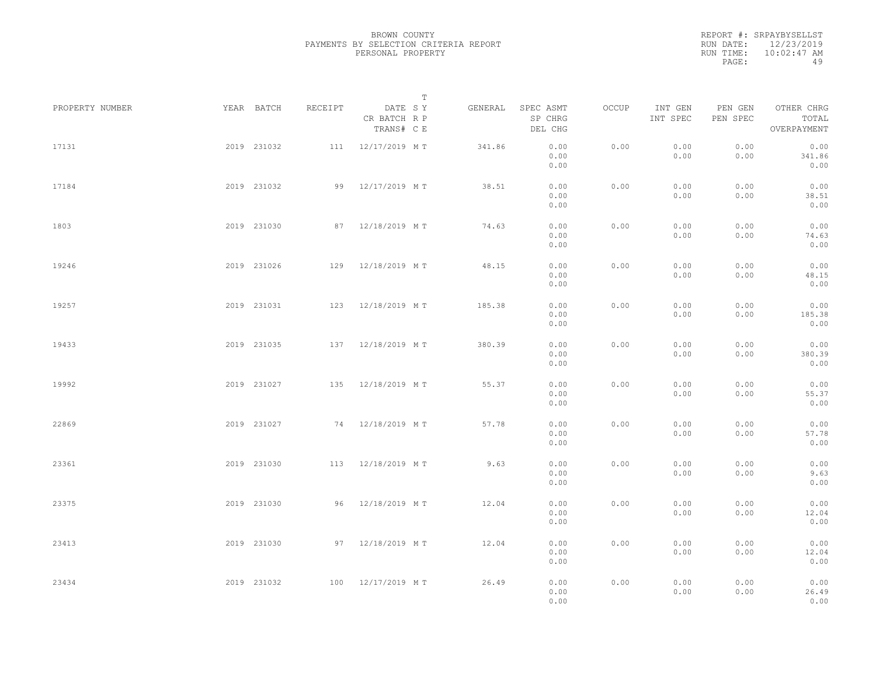|           | REPORT #: SRPAYBYSELLST |
|-----------|-------------------------|
| RUN DATE: | 12/23/2019              |
| RUN TIME: | $10:02:47$ AM           |
| PAGE:     | 49                      |

|                 |             |             |         | $\mathbb T$                           |         |                                 |       |                     |                     |                                    |  |
|-----------------|-------------|-------------|---------|---------------------------------------|---------|---------------------------------|-------|---------------------|---------------------|------------------------------------|--|
| PROPERTY NUMBER |             | YEAR BATCH  | RECEIPT | DATE SY<br>CR BATCH R P<br>TRANS# C E | GENERAL | SPEC ASMT<br>SP CHRG<br>DEL CHG | OCCUP | INT GEN<br>INT SPEC | PEN GEN<br>PEN SPEC | OTHER CHRG<br>TOTAL<br>OVERPAYMENT |  |
| 17131           |             | 2019 231032 |         | 111 12/17/2019 MT                     | 341.86  | 0.00<br>0.00<br>0.00            | 0.00  | 0.00<br>0.00        | 0.00<br>0.00        | 0.00<br>341.86<br>0.00             |  |
| 17184           |             | 2019 231032 |         | 99 12/17/2019 MT                      | 38.51   | 0.00<br>0.00<br>0.00            | 0.00  | 0.00<br>0.00        | 0.00<br>0.00        | 0.00<br>38.51<br>0.00              |  |
| 1803            |             | 2019 231030 |         | 87 12/18/2019 MT                      | 74.63   | 0.00<br>0.00<br>0.00            | 0.00  | 0.00<br>0.00        | 0.00<br>0.00        | 0.00<br>74.63<br>0.00              |  |
| 19246           |             | 2019 231026 |         | 129 12/18/2019 MT                     | 48.15   | 0.00<br>0.00<br>0.00            | 0.00  | 0.00<br>0.00        | 0.00<br>0.00        | 0.00<br>48.15<br>0.00              |  |
| 19257           |             | 2019 231031 |         | 123 12/18/2019 MT                     | 185.38  | 0.00<br>0.00<br>0.00            | 0.00  | 0.00<br>0.00        | 0.00<br>0.00        | 0.00<br>185.38<br>0.00             |  |
| 19433           |             | 2019 231035 |         | 137 12/18/2019 MT                     | 380.39  | 0.00<br>0.00<br>0.00            | 0.00  | 0.00<br>0.00        | 0.00<br>0.00        | 0.00<br>380.39<br>0.00             |  |
| 19992           |             | 2019 231027 | 135     | 12/18/2019 MT                         | 55.37   | 0.00<br>0.00<br>0.00            | 0.00  | 0.00<br>0.00        | 0.00<br>0.00        | 0.00<br>55.37<br>0.00              |  |
| 22869           |             | 2019 231027 |         | 74 12/18/2019 MT                      | 57.78   | 0.00<br>0.00<br>0.00            | 0.00  | 0.00<br>0.00        | 0.00<br>0.00        | 0.00<br>57.78<br>0.00              |  |
| 23361           |             | 2019 231030 |         | 113 12/18/2019 MT                     | 9.63    | 0.00<br>0.00<br>0.00            | 0.00  | 0.00<br>0.00        | 0.00<br>0.00        | 0.00<br>9.63<br>0.00               |  |
| 23375           |             | 2019 231030 |         | 96 12/18/2019 MT                      | 12.04   | 0.00<br>0.00<br>0.00            | 0.00  | 0.00<br>0.00        | 0.00<br>0.00        | 0.00<br>12.04<br>0.00              |  |
| 23413           |             | 2019 231030 |         | 97 12/18/2019 MT                      | 12.04   | 0.00<br>0.00<br>0.00            | 0.00  | 0.00<br>0.00        | 0.00<br>0.00        | 0.00<br>12.04<br>0.00              |  |
| 23434           | 2019 231032 |             |         | 100 12/17/2019 MT                     | 26.49   | 0.00<br>0.00<br>0.00            | 0.00  | 0.00<br>0.00        | 0.00<br>0.00        | 0.00<br>26.49<br>0.00              |  |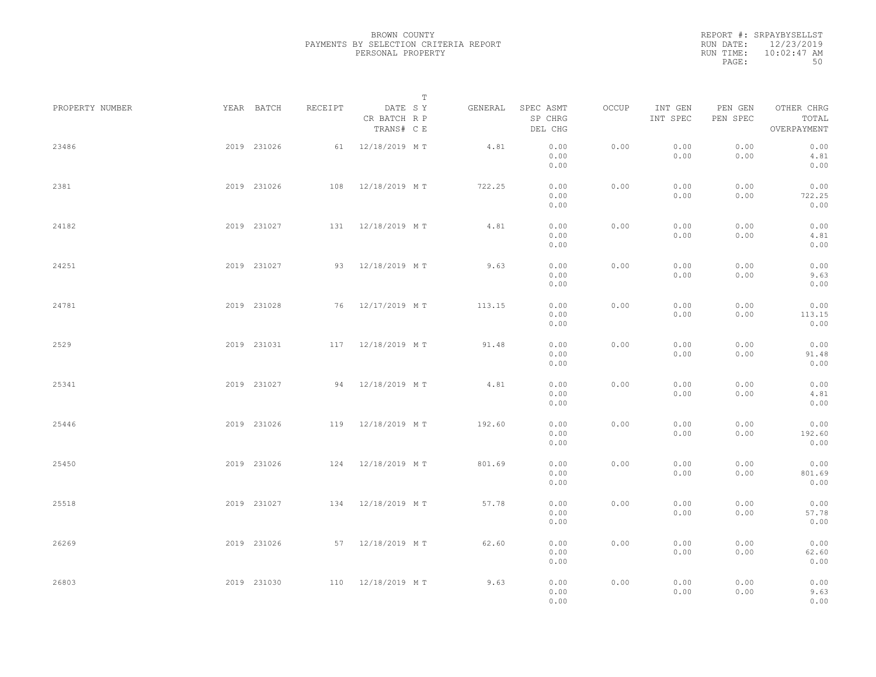|           | REPORT #: SRPAYBYSELLST |
|-----------|-------------------------|
|           | RUN DATE: 12/23/2019    |
| RUN TIME: | $10:02:47$ AM           |
| PAGE:     | 50                      |

|                 |             |             |         |                                       | $\mathbb T$ |                                 |       |                     |                     |                                    |  |
|-----------------|-------------|-------------|---------|---------------------------------------|-------------|---------------------------------|-------|---------------------|---------------------|------------------------------------|--|
| PROPERTY NUMBER |             | YEAR BATCH  | RECEIPT | DATE SY<br>CR BATCH R P<br>TRANS# C E | GENERAL     | SPEC ASMT<br>SP CHRG<br>DEL CHG | OCCUP | INT GEN<br>INT SPEC | PEN GEN<br>PEN SPEC | OTHER CHRG<br>TOTAL<br>OVERPAYMENT |  |
| 23486           |             | 2019 231026 |         | 61 12/18/2019 MT                      | 4.81        | 0.00<br>0.00<br>0.00            | 0.00  | 0.00<br>0.00        | 0.00<br>0.00        | 0.00<br>4.81<br>0.00               |  |
| 2381            |             | 2019 231026 |         | 108 12/18/2019 MT                     | 722.25      | 0.00<br>0.00<br>0.00            | 0.00  | 0.00<br>0.00        | 0.00<br>0.00        | 0.00<br>722.25<br>0.00             |  |
| 24182           |             | 2019 231027 |         | 131 12/18/2019 MT                     | 4.81        | 0.00<br>0.00<br>0.00            | 0.00  | 0.00<br>0.00        | 0.00<br>0.00        | 0.00<br>4.81<br>0.00               |  |
| 24251           |             | 2019 231027 |         | 93 12/18/2019 MT                      | 9.63        | 0.00<br>0.00<br>0.00            | 0.00  | 0.00<br>0.00        | 0.00<br>0.00        | 0.00<br>9.63<br>0.00               |  |
| 24781           |             | 2019 231028 |         | 76 12/17/2019 MT                      | 113.15      | 0.00<br>0.00<br>0.00            | 0.00  | 0.00<br>0.00        | 0.00<br>0.00        | 0.00<br>113.15<br>0.00             |  |
| 2529            |             | 2019 231031 |         | 117 12/18/2019 MT                     | 91.48       | 0.00<br>0.00<br>0.00            | 0.00  | 0.00<br>0.00        | 0.00<br>0.00        | 0.00<br>91.48<br>0.00              |  |
| 25341           |             | 2019 231027 |         | 94 12/18/2019 MT                      | 4.81        | 0.00<br>0.00<br>0.00            | 0.00  | 0.00<br>0.00        | 0.00<br>0.00        | 0.00<br>4.81<br>0.00               |  |
| 25446           |             | 2019 231026 |         | 119 12/18/2019 MT                     | 192.60      | 0.00<br>0.00<br>0.00            | 0.00  | 0.00<br>0.00        | 0.00<br>0.00        | 0.00<br>192.60<br>0.00             |  |
| 25450           |             | 2019 231026 |         | 124 12/18/2019 MT                     | 801.69      | 0.00<br>0.00<br>0.00            | 0.00  | 0.00<br>0.00        | 0.00<br>0.00        | 0.00<br>801.69<br>0.00             |  |
| 25518           |             | 2019 231027 |         | 134 12/18/2019 MT                     | 57.78       | 0.00<br>0.00<br>0.00            | 0.00  | 0.00<br>0.00        | 0.00<br>0.00        | 0.00<br>57.78<br>0.00              |  |
| 26269           |             | 2019 231026 |         | 57 12/18/2019 MT                      | 62.60       | 0.00<br>0.00<br>0.00            | 0.00  | 0.00<br>0.00        | 0.00<br>0.00        | 0.00<br>62.60<br>0.00              |  |
| 26803           | 2019 231030 |             |         | 110 12/18/2019 MT                     | 9.63        | 0.00<br>0.00<br>0.00            | 0.00  | 0.00<br>0.00        | 0.00<br>0.00        | 0.00<br>9.63<br>0.00               |  |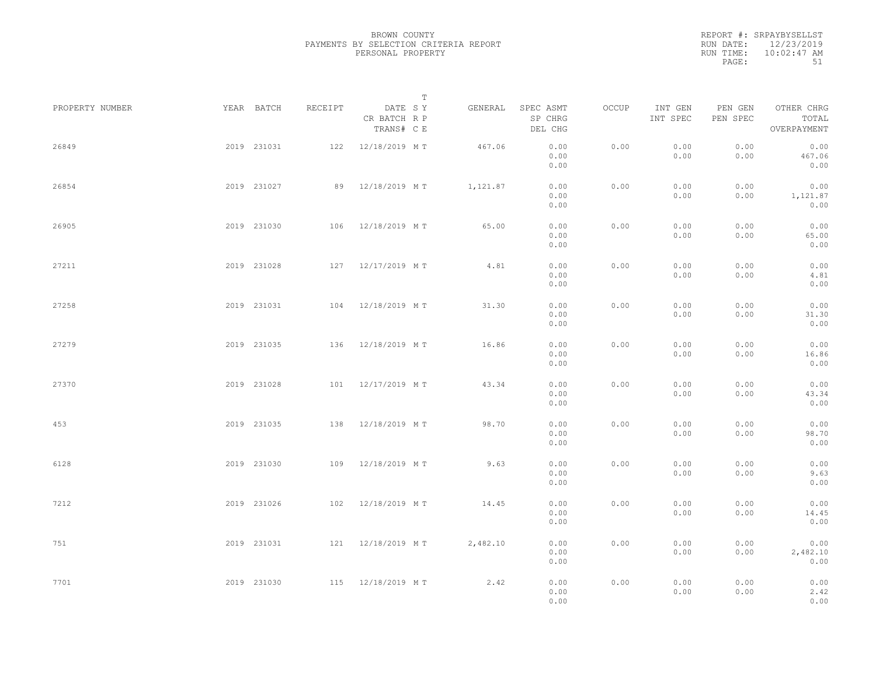REPORT #: SRPAYBYSELLST RUN DATE: 12/23/2019 RUN TIME: 10:02:47 AM PAGE: 51

|                 |             |             |         | $\mathbb T$                           |          |                                 |       |                     |                     |                                    |  |
|-----------------|-------------|-------------|---------|---------------------------------------|----------|---------------------------------|-------|---------------------|---------------------|------------------------------------|--|
| PROPERTY NUMBER |             | YEAR BATCH  | RECEIPT | DATE SY<br>CR BATCH R P<br>TRANS# C E | GENERAL  | SPEC ASMT<br>SP CHRG<br>DEL CHG | OCCUP | INT GEN<br>INT SPEC | PEN GEN<br>PEN SPEC | OTHER CHRG<br>TOTAL<br>OVERPAYMENT |  |
| 26849           |             | 2019 231031 |         | 122 12/18/2019 MT                     | 467.06   | 0.00<br>0.00<br>0.00            | 0.00  | 0.00<br>0.00        | 0.00<br>0.00        | 0.00<br>467.06<br>0.00             |  |
| 26854           |             | 2019 231027 |         | 89 12/18/2019 MT                      | 1,121.87 | 0.00<br>0.00<br>0.00            | 0.00  | 0.00<br>0.00        | 0.00<br>0.00        | 0.00<br>1,121.87<br>0.00           |  |
| 26905           |             | 2019 231030 |         | 106 12/18/2019 MT                     | 65.00    | 0.00<br>0.00<br>0.00            | 0.00  | 0.00<br>0.00        | 0.00<br>0.00        | 0.00<br>65.00<br>0.00              |  |
| 27211           |             | 2019 231028 |         | 127 12/17/2019 MT                     | 4.81     | 0.00<br>0.00<br>0.00            | 0.00  | 0.00<br>0.00        | 0.00<br>0.00        | 0.00<br>4.81<br>0.00               |  |
| 27258           |             | 2019 231031 |         | 104 12/18/2019 MT                     | 31.30    | 0.00<br>0.00<br>0.00            | 0.00  | 0.00<br>0.00        | 0.00<br>0.00        | 0.00<br>31.30<br>0.00              |  |
| 27279           |             | 2019 231035 | 136     | 12/18/2019 MT                         | 16.86    | 0.00<br>0.00<br>0.00            | 0.00  | 0.00<br>0.00        | 0.00<br>0.00        | 0.00<br>16.86<br>0.00              |  |
| 27370           |             | 2019 231028 | 101     | 12/17/2019 MT                         | 43.34    | 0.00<br>0.00<br>0.00            | 0.00  | 0.00<br>0.00        | 0.00<br>0.00        | 0.00<br>43.34<br>0.00              |  |
| 453             |             | 2019 231035 |         | 138 12/18/2019 MT                     | 98.70    | 0.00<br>0.00<br>0.00            | 0.00  | 0.00<br>0.00        | 0.00<br>0.00        | 0.00<br>98.70<br>0.00              |  |
| 6128            |             | 2019 231030 |         | 109 12/18/2019 MT                     | 9.63     | 0.00<br>0.00<br>0.00            | 0.00  | 0.00<br>0.00        | 0.00<br>0.00        | 0.00<br>9.63<br>0.00               |  |
| 7212            |             | 2019 231026 |         | 102 12/18/2019 MT                     | 14.45    | 0.00<br>0.00<br>0.00            | 0.00  | 0.00<br>0.00        | 0.00<br>0.00        | 0.00<br>14.45<br>0.00              |  |
| 751             |             | 2019 231031 |         | 121 12/18/2019 MT                     | 2,482.10 | 0.00<br>0.00<br>0.00            | 0.00  | 0.00<br>0.00        | 0.00<br>0.00        | 0.00<br>2,482.10<br>0.00           |  |
| 7701            | 2019 231030 |             |         | 115 12/18/2019 MT                     | 2.42     | 0.00<br>0.00<br>0.00            | 0.00  | 0.00<br>0.00        | 0.00<br>0.00        | 0.00<br>2.42<br>0.00               |  |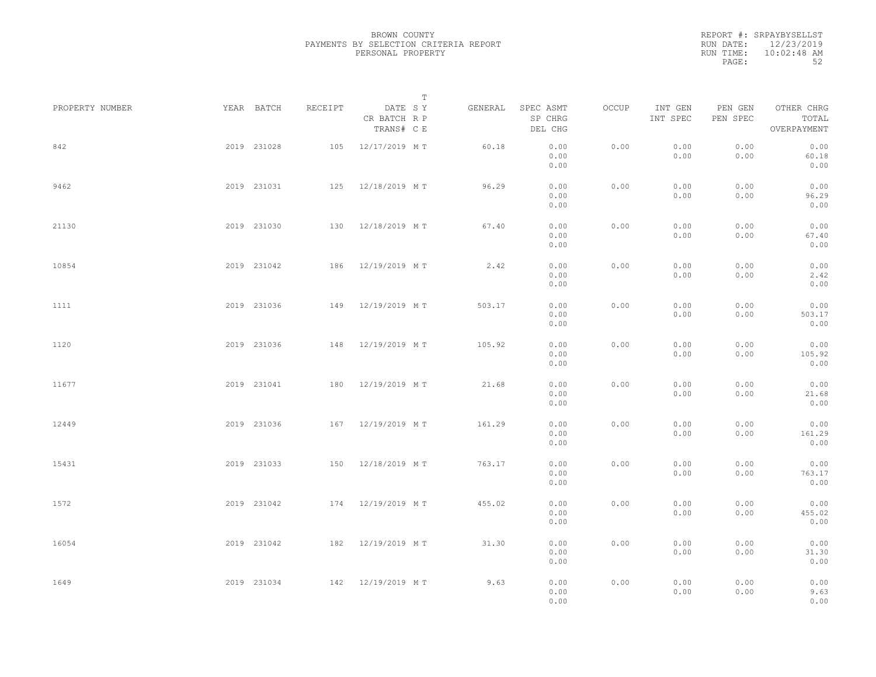| REPORT #: SRPAYBYSELLST    |
|----------------------------|
| RUN DATE: 12/23/2019       |
| $10:02:48$ AM<br>RUN TIME: |
| 52                         |
|                            |

| PROPERTY NUMBER     | YEAR BATCH  | RECEIPT | DATE SY                    | $\mathbb T$ | GENERAL | SPEC ASMT            | OCCUP | INT GEN      | PEN GEN      | OTHER CHRG             |  |
|---------------------|-------------|---------|----------------------------|-------------|---------|----------------------|-------|--------------|--------------|------------------------|--|
|                     |             |         | CR BATCH R P<br>TRANS# C E |             |         | SP CHRG<br>DEL CHG   |       | INT SPEC     | PEN SPEC     | TOTAL<br>OVERPAYMENT   |  |
| 842                 | 2019 231028 |         | 105 12/17/2019 MT          |             | 60.18   | 0.00<br>0.00<br>0.00 | 0.00  | 0.00<br>0.00 | 0.00<br>0.00 | 0.00<br>60.18<br>0.00  |  |
| 9462                | 2019 231031 |         | 125 12/18/2019 MT          |             | 96.29   | 0.00<br>0.00<br>0.00 | 0.00  | 0.00<br>0.00 | 0.00<br>0.00 | 0.00<br>96.29<br>0.00  |  |
| 21130               | 2019 231030 |         | 130 12/18/2019 MT          |             | 67.40   | 0.00<br>0.00<br>0.00 | 0.00  | 0.00<br>0.00 | 0.00<br>0.00 | 0.00<br>67.40<br>0.00  |  |
| 10854               | 2019 231042 |         | 186 12/19/2019 MT          |             | 2.42    | 0.00<br>0.00<br>0.00 | 0.00  | 0.00<br>0.00 | 0.00<br>0.00 | 0.00<br>2.42<br>0.00   |  |
| 1111                | 2019 231036 |         | 149 12/19/2019 MT          |             | 503.17  | 0.00<br>0.00<br>0.00 | 0.00  | 0.00<br>0.00 | 0.00<br>0.00 | 0.00<br>503.17<br>0.00 |  |
| 1120                | 2019 231036 |         | 148 12/19/2019 MT          |             | 105.92  | 0.00<br>0.00<br>0.00 | 0.00  | 0.00<br>0.00 | 0.00<br>0.00 | 0.00<br>105.92<br>0.00 |  |
| 11677               | 2019 231041 |         | 180 12/19/2019 MT          |             | 21.68   | 0.00<br>0.00<br>0.00 | 0.00  | 0.00<br>0.00 | 0.00<br>0.00 | 0.00<br>21.68<br>0.00  |  |
| 12449               | 2019 231036 |         | 167 12/19/2019 MT          |             | 161.29  | 0.00<br>0.00<br>0.00 | 0.00  | 0.00<br>0.00 | 0.00<br>0.00 | 0.00<br>161.29<br>0.00 |  |
| 15431               | 2019 231033 |         | 150 12/18/2019 MT          |             | 763.17  | 0.00<br>0.00<br>0.00 | 0.00  | 0.00<br>0.00 | 0.00<br>0.00 | 0.00<br>763.17<br>0.00 |  |
| 1572                | 2019 231042 |         | 174 12/19/2019 MT          |             | 455.02  | 0.00<br>0.00<br>0.00 | 0.00  | 0.00<br>0.00 | 0.00<br>0.00 | 0.00<br>455.02<br>0.00 |  |
| 16054               | 2019 231042 |         | 182 12/19/2019 MT          |             | 31.30   | 0.00<br>0.00<br>0.00 | 0.00  | 0.00<br>0.00 | 0.00<br>0.00 | 0.00<br>31.30<br>0.00  |  |
| 2019 231034<br>1649 |             |         | 142 12/19/2019 MT          |             | 9.63    | 0.00<br>0.00<br>0.00 | 0.00  | 0.00<br>0.00 | 0.00<br>0.00 | 0.00<br>9.63<br>0.00   |  |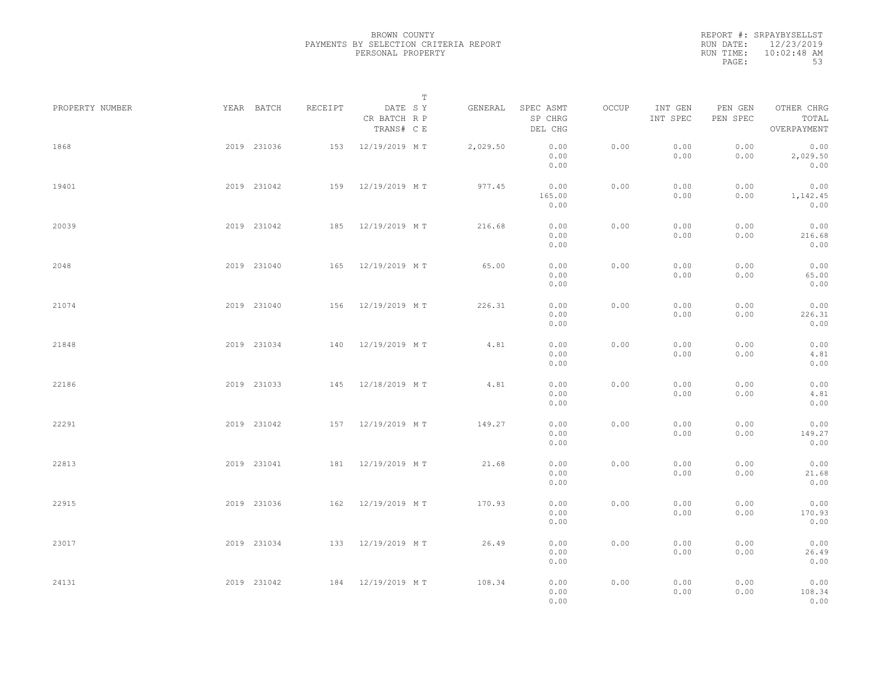|                 |             |                   |                                       | T |          |                                 |       |                     |                     |                                    |  |
|-----------------|-------------|-------------------|---------------------------------------|---|----------|---------------------------------|-------|---------------------|---------------------|------------------------------------|--|
| PROPERTY NUMBER | YEAR BATCH  | RECEIPT           | DATE SY<br>CR BATCH R P<br>TRANS# C E |   | GENERAL  | SPEC ASMT<br>SP CHRG<br>DEL CHG | OCCUP | INT GEN<br>INT SPEC | PEN GEN<br>PEN SPEC | OTHER CHRG<br>TOTAL<br>OVERPAYMENT |  |
| 1868            | 2019 231036 |                   | 153 12/19/2019 MT                     |   | 2,029.50 | 0.00<br>0.00<br>0.00            | 0.00  | 0.00<br>0.00        | 0.00<br>0.00        | 0.00<br>2,029.50<br>0.00           |  |
| 19401           | 2019 231042 |                   | 159 12/19/2019 MT                     |   | 977.45   | 0.00<br>165.00<br>0.00          | 0.00  | 0.00<br>0.00        | 0.00<br>0.00        | 0.00<br>1,142.45<br>0.00           |  |
| 20039           | 2019 231042 |                   | 185 12/19/2019 MT                     |   | 216.68   | 0.00<br>0.00<br>0.00            | 0.00  | 0.00<br>0.00        | 0.00<br>0.00        | 0.00<br>216.68<br>0.00             |  |
| 2048            | 2019 231040 |                   | 165 12/19/2019 MT                     |   | 65.00    | 0.00<br>0.00<br>0.00            | 0.00  | 0.00<br>0.00        | 0.00<br>0.00        | 0.00<br>65.00<br>0.00              |  |
| 21074           | 2019 231040 | 156               | 12/19/2019 MT                         |   | 226.31   | 0.00<br>0.00<br>0.00            | 0.00  | 0.00<br>0.00        | 0.00<br>0.00        | 0.00<br>226.31<br>0.00             |  |
| 21848           | 2019 231034 | 140               | 12/19/2019 MT                         |   | 4.81     | 0.00<br>0.00<br>0.00            | 0.00  | 0.00<br>0.00        | 0.00<br>0.00        | 0.00<br>4.81<br>0.00               |  |
| 22186           | 2019 231033 |                   | 145 12/18/2019 MT                     |   | 4.81     | 0.00<br>0.00<br>0.00            | 0.00  | 0.00<br>0.00        | 0.00<br>0.00        | 0.00<br>4.81<br>0.00               |  |
| 22291           | 2019 231042 |                   | 157 12/19/2019 MT                     |   | 149.27   | 0.00<br>0.00<br>0.00            | 0.00  | 0.00<br>0.00        | 0.00<br>0.00        | 0.00<br>149.27<br>0.00             |  |
| 22813           | 2019 231041 |                   | 181 12/19/2019 MT                     |   | 21.68    | 0.00<br>0.00<br>0.00            | 0.00  | 0.00<br>0.00        | 0.00<br>0.00        | 0.00<br>21.68<br>0.00              |  |
| 22915           | 2019 231036 |                   | 162 12/19/2019 MT                     |   | 170.93   | 0.00<br>0.00<br>0.00            | 0.00  | 0.00<br>0.00        | 0.00<br>0.00        | 0.00<br>170.93<br>0.00             |  |
| 23017           | 2019 231034 |                   | 133 12/19/2019 MT                     |   | 26.49    | 0.00<br>0.00<br>0.00            | 0.00  | 0.00<br>0.00        | 0.00<br>0.00        | 0.00<br>26.49<br>0.00              |  |
| 24131           | 2019 231042 | 184 12/19/2019 MT |                                       |   | 108.34   | 0.00<br>0.00<br>0.00            | 0.00  | 0.00<br>0.00        | 0.00<br>0.00        | 0.00<br>108.34<br>0.00             |  |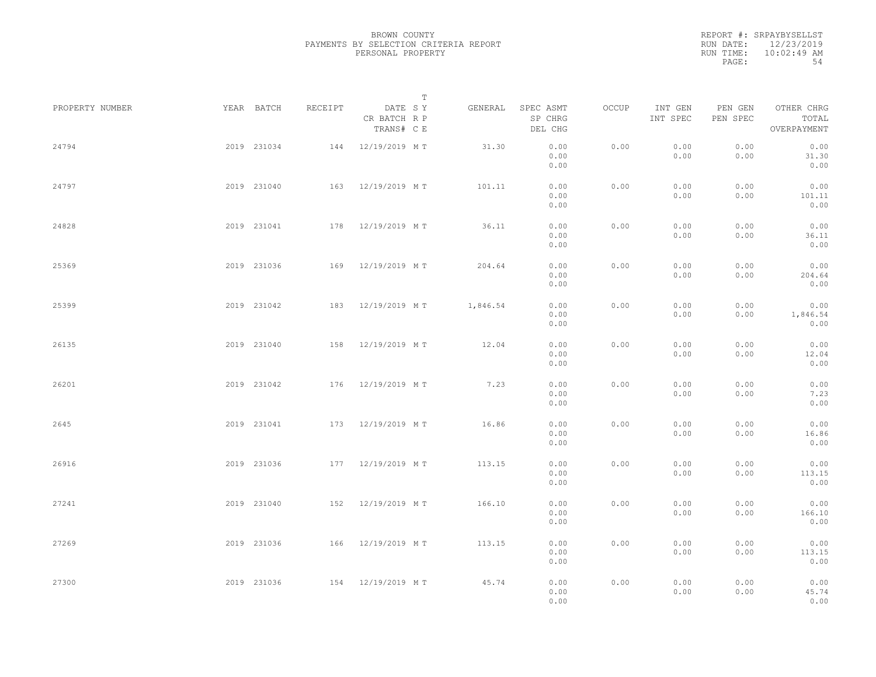|                 |             |             |         |                                       | $\mathbb{T}$ |          |                                 |       |                     |                     |                                    |  |
|-----------------|-------------|-------------|---------|---------------------------------------|--------------|----------|---------------------------------|-------|---------------------|---------------------|------------------------------------|--|
| PROPERTY NUMBER |             | YEAR BATCH  | RECEIPT | DATE SY<br>CR BATCH R P<br>TRANS# C E |              | GENERAL  | SPEC ASMT<br>SP CHRG<br>DEL CHG | OCCUP | INT GEN<br>INT SPEC | PEN GEN<br>PEN SPEC | OTHER CHRG<br>TOTAL<br>OVERPAYMENT |  |
| 24794           |             | 2019 231034 |         | 144 12/19/2019 MT                     |              | 31.30    | 0.00<br>0.00<br>0.00            | 0.00  | 0.00<br>0.00        | 0.00<br>0.00        | 0.00<br>31.30<br>0.00              |  |
| 24797           |             | 2019 231040 |         | 163 12/19/2019 MT                     |              | 101.11   | 0.00<br>0.00<br>0.00            | 0.00  | 0.00<br>0.00        | 0.00<br>0.00        | 0.00<br>101.11<br>0.00             |  |
| 24828           |             | 2019 231041 |         | 178 12/19/2019 MT                     |              | 36.11    | 0.00<br>0.00<br>0.00            | 0.00  | 0.00<br>0.00        | 0.00<br>0.00        | 0.00<br>36.11<br>0.00              |  |
| 25369           |             | 2019 231036 |         | 169 12/19/2019 MT                     |              | 204.64   | 0.00<br>0.00<br>0.00            | 0.00  | 0.00<br>0.00        | 0.00<br>0.00        | 0.00<br>204.64<br>0.00             |  |
| 25399           |             | 2019 231042 |         | 183 12/19/2019 MT                     |              | 1,846.54 | 0.00<br>0.00<br>0.00            | 0.00  | 0.00<br>0.00        | 0.00<br>0.00        | 0.00<br>1,846.54<br>0.00           |  |
| 26135           |             | 2019 231040 | 158     | 12/19/2019 MT                         |              | 12.04    | 0.00<br>0.00<br>0.00            | 0.00  | 0.00<br>0.00        | 0.00<br>0.00        | 0.00<br>12.04<br>0.00              |  |
| 26201           |             | 2019 231042 |         | 176 12/19/2019 MT                     |              | 7.23     | 0.00<br>0.00<br>0.00            | 0.00  | 0.00<br>0.00        | 0.00<br>0.00        | 0.00<br>7.23<br>0.00               |  |
| 2645            |             | 2019 231041 |         | 173 12/19/2019 MT                     |              | 16.86    | 0.00<br>0.00<br>0.00            | 0.00  | 0.00<br>0.00        | 0.00<br>0.00        | 0.00<br>16.86<br>0.00              |  |
| 26916           |             | 2019 231036 |         | 177 12/19/2019 MT                     |              | 113.15   | 0.00<br>0.00<br>0.00            | 0.00  | 0.00<br>0.00        | 0.00<br>0.00        | 0.00<br>113.15<br>0.00             |  |
| 27241           |             | 2019 231040 |         | 152 12/19/2019 MT                     |              | 166.10   | 0.00<br>0.00<br>0.00            | 0.00  | 0.00<br>0.00        | 0.00<br>0.00        | 0.00<br>166.10<br>0.00             |  |
| 27269           |             | 2019 231036 |         | 166 12/19/2019 MT                     |              | 113.15   | 0.00<br>0.00<br>0.00            | 0.00  | 0.00<br>0.00        | 0.00<br>0.00        | 0.00<br>113.15<br>0.00             |  |
| 27300           | 2019 231036 |             |         | 154 12/19/2019 MT                     |              | 45.74    | 0.00<br>0.00<br>0.00            | 0.00  | 0.00<br>0.00        | 0.00<br>0.00        | 0.00<br>45.74<br>0.00              |  |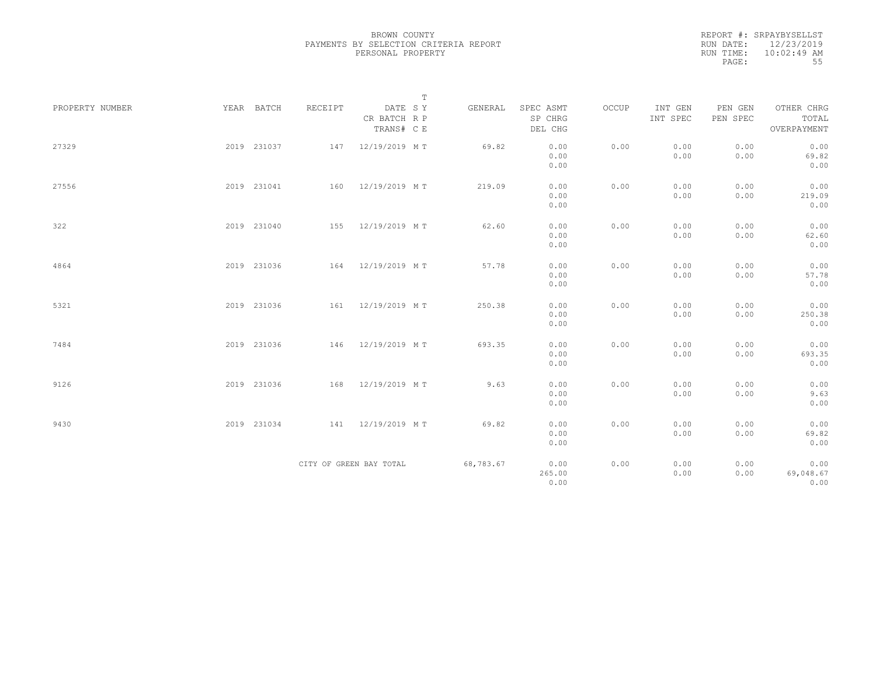|                 |             |         | $\mathbb T$                           |           |                                 |       |                     |                     |                                    |
|-----------------|-------------|---------|---------------------------------------|-----------|---------------------------------|-------|---------------------|---------------------|------------------------------------|
| PROPERTY NUMBER | YEAR BATCH  | RECEIPT | DATE SY<br>CR BATCH R P<br>TRANS# C E | GENERAL   | SPEC ASMT<br>SP CHRG<br>DEL CHG | OCCUP | INT GEN<br>INT SPEC | PEN GEN<br>PEN SPEC | OTHER CHRG<br>TOTAL<br>OVERPAYMENT |
| 27329           | 2019 231037 |         | 147 12/19/2019 MT                     | 69.82     | 0.00<br>0.00<br>0.00            | 0.00  | 0.00<br>0.00        | 0.00<br>0.00        | 0.00<br>69.82<br>0.00              |
| 27556           | 2019 231041 |         | 160 12/19/2019 MT                     | 219.09    | 0.00<br>0.00<br>0.00            | 0.00  | 0.00<br>0.00        | 0.00<br>0.00        | 0.00<br>219.09<br>0.00             |
| 322             | 2019 231040 |         | 155 12/19/2019 MT                     | 62.60     | 0.00<br>0.00<br>0.00            | 0.00  | 0.00<br>0.00        | 0.00<br>0.00        | 0.00<br>62.60<br>0.00              |
| 4864            | 2019 231036 |         | 164 12/19/2019 MT                     | 57.78     | 0.00<br>0.00<br>0.00            | 0.00  | 0.00<br>0.00        | 0.00<br>0.00        | 0.00<br>57.78<br>0.00              |
| 5321            | 2019 231036 |         | 161 12/19/2019 MT                     | 250.38    | 0.00<br>0.00<br>0.00            | 0.00  | 0.00<br>0.00        | 0.00<br>0.00        | 0.00<br>250.38<br>0.00             |
| 7484            | 2019 231036 |         | 146 12/19/2019 MT                     | 693.35    | 0.00<br>0.00<br>0.00            | 0.00  | 0.00<br>0.00        | 0.00<br>0.00        | 0.00<br>693.35<br>0.00             |
| 9126            | 2019 231036 |         | 168 12/19/2019 MT                     | 9.63      | 0.00<br>0.00<br>0.00            | 0.00  | 0.00<br>0.00        | 0.00<br>0.00        | 0.00<br>9.63<br>0.00               |
| 9430            | 2019 231034 |         | 141 12/19/2019 MT                     | 69.82     | 0.00<br>0.00<br>0.00            | 0.00  | 0.00<br>0.00        | 0.00<br>0.00        | 0.00<br>69.82<br>0.00              |
|                 |             |         | CITY OF GREEN BAY TOTAL               | 68,783.67 | 0.00<br>265.00<br>0.00          | 0.00  | 0.00<br>0.00        | 0.00<br>0.00        | 0.00<br>69,048.67<br>0.00          |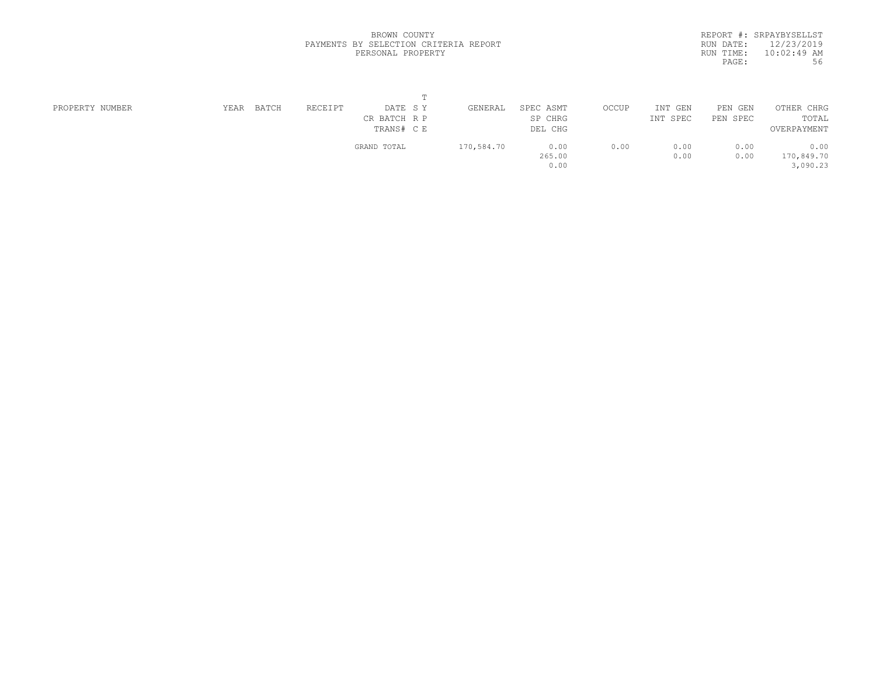|           | REPORT #: SRPAYBYSELLST |
|-----------|-------------------------|
| RUN DATE: | 12/23/2019              |
| RUN TIME: | $10:02:49$ AM           |
| PAGE:     | 56                      |
|           |                         |

|                 |      |       |         | $\mathbf{m}$ |            |           |       |            |          |             |
|-----------------|------|-------|---------|--------------|------------|-----------|-------|------------|----------|-------------|
| PROPERTY NUMBER | YEAR | BATCH | RECEIPT | DATE SY      | GENERAL    | SPEC ASMT | OCCUP | INT<br>GEN | PEN GEN  | OTHER CHRG  |
|                 |      |       |         | CR BATCH R P |            | SP CHRG   |       | INT SPEC   | PEN SPEC | TOTAL       |
|                 |      |       |         | TRANS# C E   |            | DEL CHG   |       |            |          | OVERPAYMENT |
|                 |      |       |         | GRAND TOTAL  | 170,584.70 | 0.00      | 0.00  | 0.00       | 0.00     | 0.00        |
|                 |      |       |         |              |            | 265.00    |       | 0.00       | 0.00     | 170,849.70  |
|                 |      |       |         |              |            | 0.00      |       |            |          | 3,090.23    |